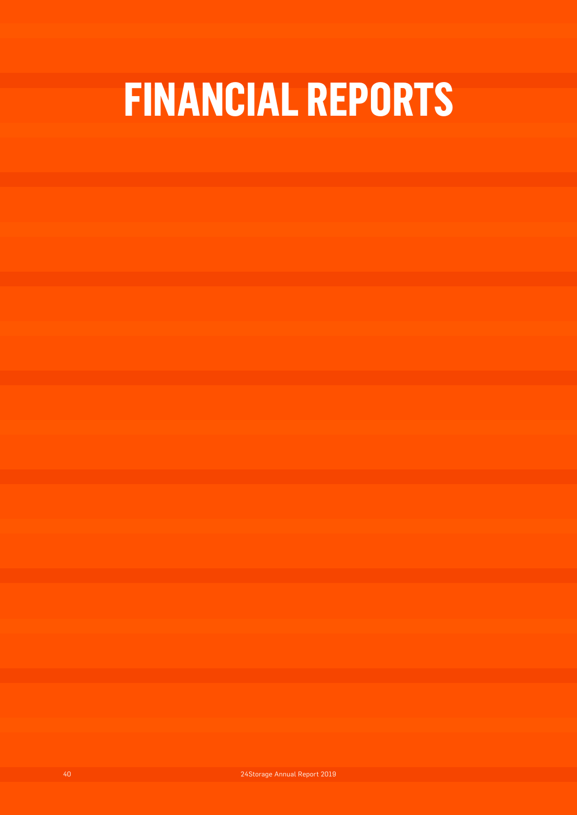# **FINANCIAL REPORTS**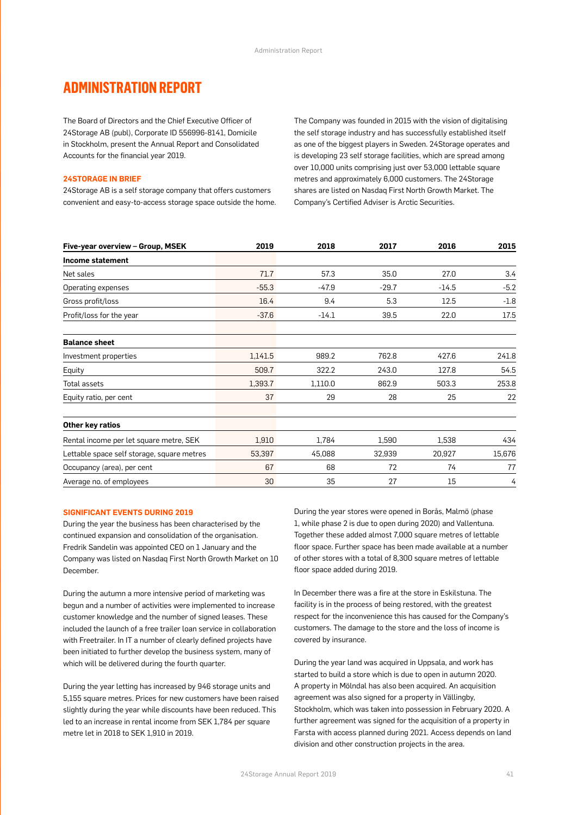### **ADMINISTRATION REPORT**

The Board of Directors and the Chief Executive Officer of 24Storage AB (publ), Corporate ID 556996-8141, Domicile in Stockholm, present the Annual Report and Consolidated Accounts for the financial year 2019.

#### **24STORAGE IN BRIEF**

24Storage AB is a self storage company that offers customers convenient and easy-to-access storage space outside the home. The Company was founded in 2015 with the vision of digitalising the self storage industry and has successfully established itself as one of the biggest players in Sweden. 24Storage operates and is developing 23 self storage facilities, which are spread among over 10,000 units comprising just over 53,000 lettable square metres and approximately 6,000 customers. The 24Storage shares are listed on Nasdaq First North Growth Market. The Company's Certified Adviser is Arctic Securities.

| Five-year overview - Group, MSEK           | 2019    | 2018    | 2017    | 2016    | 2015   |
|--------------------------------------------|---------|---------|---------|---------|--------|
| Income statement                           |         |         |         |         |        |
| Net sales                                  | 71.7    | 57.3    | 35.0    | 27.0    | 3.4    |
| Operating expenses                         | $-55.3$ | $-47.9$ | $-29.7$ | $-14.5$ | $-5.2$ |
| Gross profit/loss                          | 16.4    | 9.4     | 5.3     | 12.5    | $-1.8$ |
| Profit/loss for the year                   | $-37.6$ | $-14.1$ | 39.5    | 22.0    | 17.5   |
| <b>Balance sheet</b>                       |         |         |         |         |        |
| Investment properties                      | 1,141.5 | 989.2   | 762.8   | 427.6   | 241.8  |
| Equity                                     | 509.7   | 322.2   | 243.0   | 127.8   | 54.5   |
| Total assets                               | 1,393.7 | 1,110.0 | 862.9   | 503.3   | 253.8  |
| Equity ratio, per cent                     | 37      | 29      | 28      | 25      | 22     |
| Other key ratios                           |         |         |         |         |        |
| Rental income per let square metre, SEK    | 1,910   | 1,784   | 1,590   | 1,538   | 434    |
| Lettable space self storage, square metres | 53,397  | 45,088  | 32,939  | 20,927  | 15,676 |
| Occupancy (area), per cent                 | 67      | 68      | 72      | 74      | 77     |
| Average no. of employees                   | 30      | 35      | 27      | 15      | 4      |

#### **SIGNIFICANT EVENTS DURING 2019**

During the year the business has been characterised by the continued expansion and consolidation of the organisation. Fredrik Sandelin was appointed CEO on 1 January and the Company was listed on Nasdaq First North Growth Market on 10 December.

During the autumn a more intensive period of marketing was begun and a number of activities were implemented to increase customer knowledge and the number of signed leases. These included the launch of a free trailer loan service in collaboration with Freetrailer. In IT a number of clearly defined projects have been initiated to further develop the business system, many of which will be delivered during the fourth quarter.

During the year letting has increased by 946 storage units and 5,155 square metres. Prices for new customers have been raised slightly during the year while discounts have been reduced. This led to an increase in rental income from SEK 1,784 per square metre let in 2018 to SEK 1,910 in 2019.

During the year stores were opened in Borås, Malmö (phase 1, while phase 2 is due to open during 2020) and Vallentuna. Together these added almost 7,000 square metres of lettable floor space. Further space has been made available at a number of other stores with a total of 8,300 square metres of lettable floor space added during 2019.

In December there was a fire at the store in Eskilstuna. The facility is in the process of being restored, with the greatest respect for the inconvenience this has caused for the Company's customers. The damage to the store and the loss of income is covered by insurance.

During the year land was acquired in Uppsala, and work has started to build a store which is due to open in autumn 2020. A property in Mölndal has also been acquired. An acquisition agreement was also signed for a property in Vällingby, Stockholm, which was taken into possession in February 2020. A further agreement was signed for the acquisition of a property in Farsta with access planned during 2021. Access depends on land division and other construction projects in the area.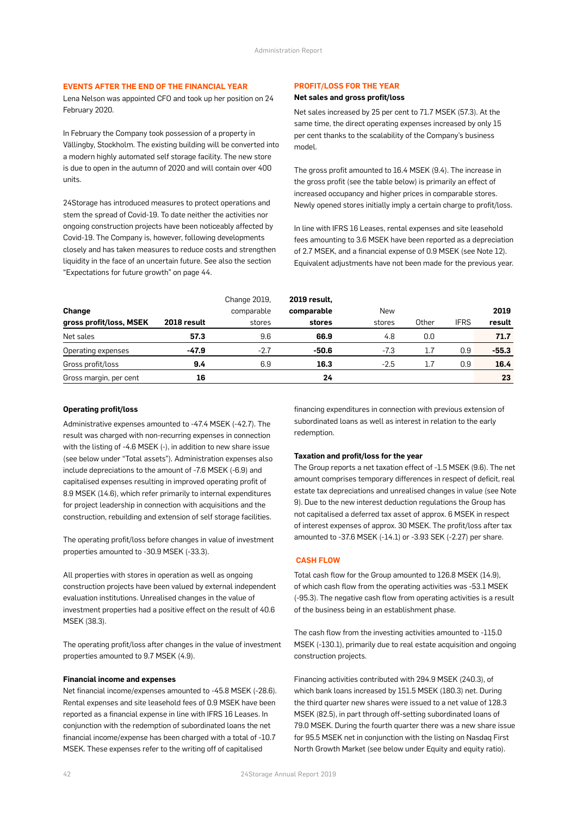#### **EVENTS AFTER THE END OF THE FINANCIAL YEAR**

Lena Nelson was appointed CFO and took up her position on 24 February 2020.

In February the Company took possession of a property in Vällingby, Stockholm. The existing building will be converted into a modern highly automated self storage facility. The new store is due to open in the autumn of 2020 and will contain over 400 units.

24Storage has introduced measures to protect operations and stem the spread of Covid-19. To date neither the activities nor ongoing construction projects have been noticeably affected by Covid-19. The Company is, however, following developments closely and has taken measures to reduce costs and strengthen liquidity in the face of an uncertain future. See also the section "Expectations for future growth" on page 44.

#### **PROFIT/LOSS FOR THE YEAR**

#### **Net sales and gross profit/loss**

Net sales increased by 25 per cent to 71.7 MSEK (57.3). At the same time, the direct operating expenses increased by only 15 per cent thanks to the scalability of the Company's business model.

The gross profit amounted to 16.4 MSEK (9.4). The increase in the gross profit (see the table below) is primarily an effect of increased occupancy and higher prices in comparable stores. Newly opened stores initially imply a certain charge to profit/loss.

In line with IFRS 16 Leases, rental expenses and site leasehold fees amounting to 3.6 MSEK have been reported as a depreciation of 2.7 MSEK, and a financial expense of 0.9 MSEK (see Note 12). Equivalent adjustments have not been made for the previous year.

| Change                  |             | Change 2019,<br>comparable | <b>2019 result,</b><br>comparable | New    |       |             | 2019    |
|-------------------------|-------------|----------------------------|-----------------------------------|--------|-------|-------------|---------|
| gross profit/loss, MSEK | 2018 result | stores                     | stores                            | stores | Other | <b>IFRS</b> | result  |
| Net sales               | 57.3        | 9.6                        | 66.9                              | 4.8    | 0.0   |             | 71.7    |
| Operating expenses      | $-47.9$     | $-2.7$                     | $-50.6$                           | $-7.3$ | 1.7   | 0.9         | $-55.3$ |
| Gross profit/loss       | 9.4         | 6.9                        | 16.3                              | $-2.5$ | 1.7   | 0.9         | 16.4    |
| Gross margin, per cent  | 16          |                            | 24                                |        |       |             | 23      |

#### **Operating profit/loss**

Administrative expenses amounted to -47.4 MSEK (-42.7). The result was charged with non-recurring expenses in connection with the listing of -4.6 MSEK (-), in addition to new share issue (see below under "Total assets"). Administration expenses also include depreciations to the amount of -7.6 MSEK (-6.9) and capitalised expenses resulting in improved operating profit of 8.9 MSEK (14.6), which refer primarily to internal expenditures for project leadership in connection with acquisitions and the construction, rebuilding and extension of self storage facilities.

The operating profit/loss before changes in value of investment properties amounted to -30.9 MSEK (-33.3).

All properties with stores in operation as well as ongoing construction projects have been valued by external independent evaluation institutions. Unrealised changes in the value of investment properties had a positive effect on the result of 40.6 MSEK (38.3).

The operating profit/loss after changes in the value of investment properties amounted to 9.7 MSEK (4.9).

#### **Financial income and expenses**

Net financial income/expenses amounted to -45.8 MSEK (-28.6). Rental expenses and site leasehold fees of 0.9 MSEK have been reported as a financial expense in line with IFRS 16 Leases. In conjunction with the redemption of subordinated loans the net financial income/expense has been charged with a total of -10.7 MSEK. These expenses refer to the writing off of capitalised

financing expenditures in connection with previous extension of subordinated loans as well as interest in relation to the early redemption.

#### **Taxation and profit/loss for the year**

The Group reports a net taxation effect of -1.5 MSEK (9.6). The net amount comprises temporary differences in respect of deficit, real estate tax depreciations and unrealised changes in value (see Note 9). Due to the new interest deduction regulations the Group has not capitalised a deferred tax asset of approx. 6 MSEK in respect of interest expenses of approx. 30 MSEK. The profit/loss after tax amounted to -37.6 MSEK (-14.1) or -3.93 SEK (-2.27) per share.

#### **CASH FLOW**

Total cash flow for the Group amounted to 126.8 MSEK (14.9), of which cash flow from the operating activities was -53.1 MSEK (-95.3). The negative cash flow from operating activities is a result of the business being in an establishment phase.

The cash flow from the investing activities amounted to -115.0 MSEK (-130.1), primarily due to real estate acquisition and ongoing construction projects.

Financing activities contributed with 294.9 MSEK (240.3), of which bank loans increased by 151.5 MSEK (180.3) net. During the third quarter new shares were issued to a net value of 128.3 MSEK (82.5), in part through off-setting subordinated loans of 79.0 MSEK. During the fourth quarter there was a new share issue for 95.5 MSEK net in conjunction with the listing on Nasdaq First North Growth Market (see below under Equity and equity ratio).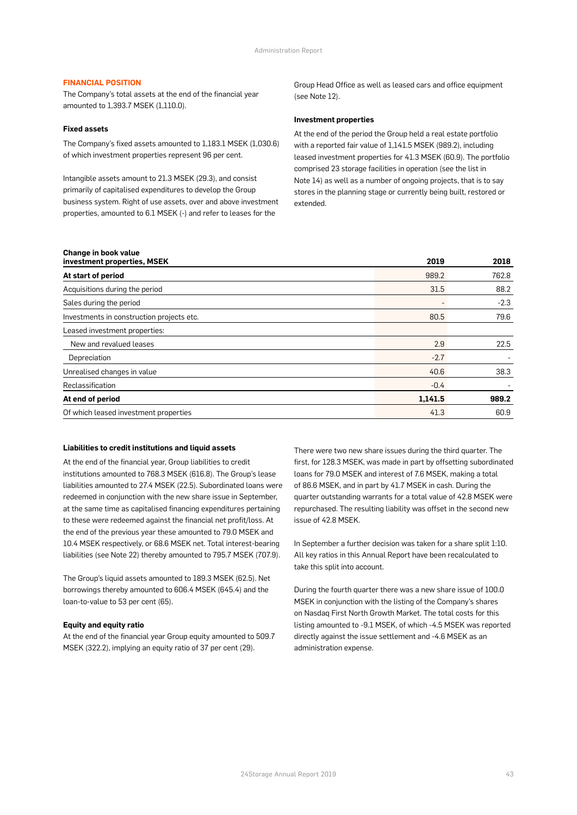#### **FINANCIAL POSITION**

The Company's total assets at the end of the financial year amounted to 1,393.7 MSEK (1,110.0).

#### **Fixed assets**

The Company's fixed assets amounted to 1,183.1 MSEK (1,030.6) of which investment properties represent 96 per cent.

Intangible assets amount to 21.3 MSEK (29.3), and consist primarily of capitalised expenditures to develop the Group business system. Right of use assets, over and above investment properties, amounted to 6.1 MSEK (-) and refer to leases for the

Group Head Office as well as leased cars and office equipment (see Note 12).

#### **Investment properties**

At the end of the period the Group held a real estate portfolio with a reported fair value of 1,141.5 MSEK (989.2), including leased investment properties for 41.3 MSEK (60.9). The portfolio comprised 23 storage facilities in operation (see the list in Note 14) as well as a number of ongoing projects, that is to say stores in the planning stage or currently being built, restored or extended.

| Change in book value<br>investment properties, MSEK | 2019    | 2018   |
|-----------------------------------------------------|---------|--------|
| At start of period                                  | 989.2   | 762.8  |
| Acquisitions during the period                      | 31.5    | 88.2   |
| Sales during the period                             |         | $-2.3$ |
| Investments in construction projects etc.           | 80.5    | 79.6   |
| Leased investment properties:                       |         |        |
| New and revalued leases                             | 2.9     | 22.5   |
| Depreciation                                        | $-2.7$  |        |
| Unrealised changes in value                         | 40.6    | 38.3   |
| Reclassification                                    | $-0.4$  |        |
| At end of period                                    | 1,141.5 | 989.2  |
| Of which leased investment properties               | 41.3    | 60.9   |

#### **Liabilities to credit institutions and liquid assets**

At the end of the financial year, Group liabilities to credit institutions amounted to 768.3 MSEK (616.8). The Group's lease liabilities amounted to 27.4 MSEK (22.5). Subordinated loans were redeemed in conjunction with the new share issue in September, at the same time as capitalised financing expenditures pertaining to these were redeemed against the financial net profit/loss. At the end of the previous year these amounted to 79.0 MSEK and 10.4 MSEK respectively, or 68.6 MSEK net. Total interest-bearing liabilities (see Note 22) thereby amounted to 795.7 MSEK (707.9).

The Group's liquid assets amounted to 189.3 MSEK (62.5). Net borrowings thereby amounted to 606.4 MSEK (645.4) and the loan-to-value to 53 per cent (65).

#### **Equity and equity ratio**

At the end of the financial year Group equity amounted to 509.7 MSEK (322.2), implying an equity ratio of 37 per cent (29).

There were two new share issues during the third quarter. The first, for 128.3 MSEK, was made in part by offsetting subordinated loans for 79.0 MSEK and interest of 7.6 MSEK, making a total of 86.6 MSEK, and in part by 41.7 MSEK in cash. During the quarter outstanding warrants for a total value of 42.8 MSEK were repurchased. The resulting liability was offset in the second new issue of 42.8 MSEK.

In September a further decision was taken for a share split 1:10. All key ratios in this Annual Report have been recalculated to take this split into account.

During the fourth quarter there was a new share issue of 100.0 MSEK in conjunction with the listing of the Company's shares on Nasdaq First North Growth Market. The total costs for this listing amounted to -9.1 MSEK, of which -4.5 MSEK was reported directly against the issue settlement and -4.6 MSEK as an administration expense.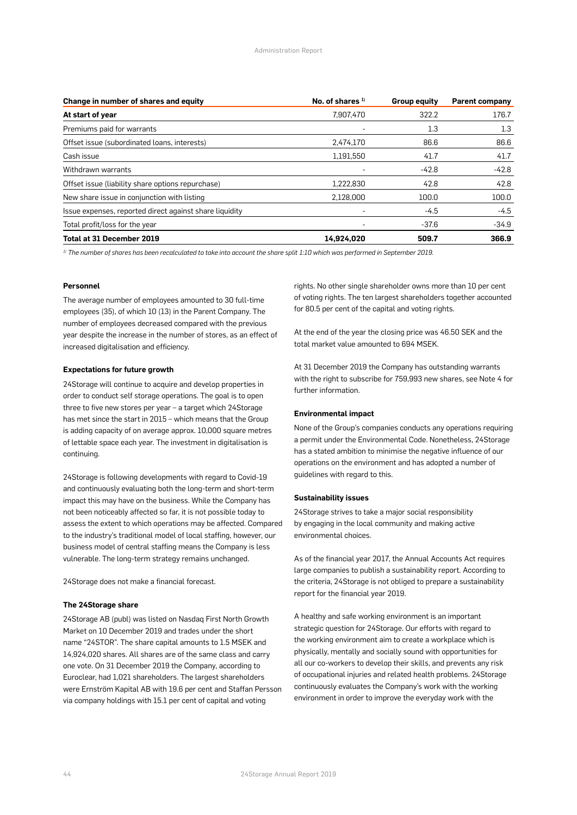| Change in number of shares and equity                   | No. of shares <sup>1)</sup> | Group equity | <b>Parent company</b> |  |
|---------------------------------------------------------|-----------------------------|--------------|-----------------------|--|
| At start of year                                        | 7,907,470                   | 322.2        | 176.7                 |  |
| Premiums paid for warrants                              |                             | 1.3          | 1.3                   |  |
| Offset issue (subordinated loans, interests)            | 2,474,170                   | 86.6         | 86.6                  |  |
| Cash issue                                              | 1,191,550                   | 41.7         | 41.7                  |  |
| Withdrawn warrants                                      |                             | $-42.8$      | $-42.8$               |  |
| Offset issue (liability share options repurchase)       | 1,222,830                   | 42.8         | 42.8                  |  |
| New share issue in conjunction with listing             | 2,128,000                   | 100.0        | 100.0                 |  |
| Issue expenses, reported direct against share liquidity |                             | $-4.5$       | $-4.5$                |  |
| Total profit/loss for the year                          |                             | $-37.6$      | $-34.9$               |  |
| <b>Total at 31 December 2019</b>                        | 14,924,020                  | 509.7        | 366.9                 |  |

*1) The number of shares has been recalculated to take into account the share split 1:10 which was performed in September 2019.*

#### **Personnel**

The average number of employees amounted to 30 full-time employees (35), of which 10 (13) in the Parent Company. The number of employees decreased compared with the previous year despite the increase in the number of stores, as an effect of increased digitalisation and efficiency.

#### **Expectations for future growth**

24Storage will continue to acquire and develop properties in order to conduct self storage operations. The goal is to open three to five new stores per year – a target which 24Storage has met since the start in 2015 – which means that the Group is adding capacity of on average approx. 10,000 square metres of lettable space each year. The investment in digitalisation is continuing.

24Storage is following developments with regard to Covid-19 and continuously evaluating both the long-term and short-term impact this may have on the business. While the Company has not been noticeably affected so far, it is not possible today to assess the extent to which operations may be affected. Compared to the industry's traditional model of local staffing, however, our business model of central staffing means the Company is less vulnerable. The long-term strategy remains unchanged.

24Storage does not make a financial forecast.

#### **The 24Storage share**

24Storage AB (publ) was listed on Nasdaq First North Growth Market on 10 December 2019 and trades under the short name "24STOR". The share capital amounts to 1.5 MSEK and 14,924,020 shares. All shares are of the same class and carry one vote. On 31 December 2019 the Company, according to Euroclear, had 1,021 shareholders. The largest shareholders were Ernström Kapital AB with 19.6 per cent and Staffan Persson via company holdings with 15.1 per cent of capital and voting

rights. No other single shareholder owns more than 10 per cent of voting rights. The ten largest shareholders together accounted for 80.5 per cent of the capital and voting rights.

At the end of the year the closing price was 46.50 SEK and the total market value amounted to 694 MSEK.

At 31 December 2019 the Company has outstanding warrants with the right to subscribe for 759,993 new shares, see Note 4 for further information.

#### **Environmental impact**

None of the Group's companies conducts any operations requiring a permit under the Environmental Code. Nonetheless, 24Storage has a stated ambition to minimise the negative influence of our operations on the environment and has adopted a number of guidelines with regard to this.

#### **Sustainability issues**

24Storage strives to take a major social responsibility by engaging in the local community and making active environmental choices.

As of the financial year 2017, the Annual Accounts Act requires large companies to publish a sustainability report. According to the criteria, 24Storage is not obliged to prepare a sustainability report for the financial year 2019.

A healthy and safe working environment is an important strategic question for 24Storage. Our efforts with regard to the working environment aim to create a workplace which is physically, mentally and socially sound with opportunities for all our co-workers to develop their skills, and prevents any risk of occupational injuries and related health problems. 24Storage continuously evaluates the Company's work with the working environment in order to improve the everyday work with the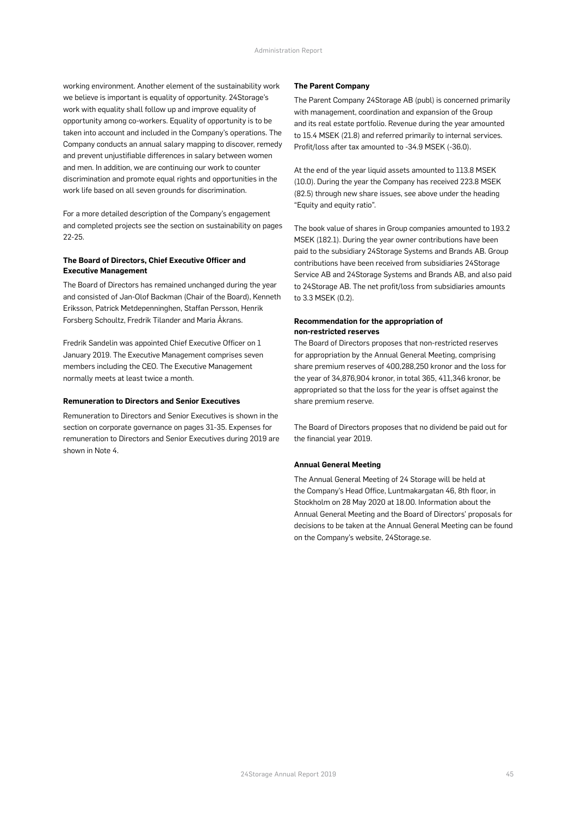working environment. Another element of the sustainability work we believe is important is equality of opportunity. 24Storage's work with equality shall follow up and improve equality of opportunity among co-workers. Equality of opportunity is to be taken into account and included in the Company's operations. The Company conducts an annual salary mapping to discover, remedy and prevent unjustifiable differences in salary between women and men. In addition, we are continuing our work to counter discrimination and promote equal rights and opportunities in the work life based on all seven grounds for discrimination.

For a more detailed description of the Company's engagement and completed projects see the section on sustainability on pages 22-25.

#### **The Board of Directors, Chief Executive Officer and Executive Management**

The Board of Directors has remained unchanged during the year and consisted of Jan-Olof Backman (Chair of the Board), Kenneth Eriksson, Patrick Metdepenninghen, Staffan Persson, Henrik Forsberg Schoultz, Fredrik Tilander and Maria Åkrans.

Fredrik Sandelin was appointed Chief Executive Officer on 1 January 2019. The Executive Management comprises seven members including the CEO. The Executive Management normally meets at least twice a month.

#### **Remuneration to Directors and Senior Executives**

Remuneration to Directors and Senior Executives is shown in the section on corporate governance on pages 31-35. Expenses for remuneration to Directors and Senior Executives during 2019 are shown in Note 4.

#### **The Parent Company**

The Parent Company 24Storage AB (publ) is concerned primarily with management, coordination and expansion of the Group and its real estate portfolio. Revenue during the year amounted to 15.4 MSEK (21.8) and referred primarily to internal services. Profit/loss after tax amounted to -34.9 MSEK (-36.0).

At the end of the year liquid assets amounted to 113.8 MSEK (10.0). During the year the Company has received 223.8 MSEK (82.5) through new share issues, see above under the heading "Equity and equity ratio".

The book value of shares in Group companies amounted to 193.2 MSEK (182.1). During the year owner contributions have been paid to the subsidiary 24Storage Systems and Brands AB. Group contributions have been received from subsidiaries 24Storage Service AB and 24Storage Systems and Brands AB, and also paid to 24Storage AB. The net profit/loss from subsidiaries amounts to 3.3 MSEK (0.2).

#### **Recommendation for the appropriation of non-restricted reserves**

The Board of Directors proposes that non-restricted reserves for appropriation by the Annual General Meeting, comprising share premium reserves of 400,288,250 kronor and the loss for the year of 34,876,904 kronor, in total 365, 411,346 kronor, be appropriated so that the loss for the year is offset against the share premium reserve.

The Board of Directors proposes that no dividend be paid out for the financial year 2019.

#### **Annual General Meeting**

The Annual General Meeting of 24 Storage will be held at the Company's Head Office, Luntmakargatan 46, 8th floor, in Stockholm on 28 May 2020 at 18.00. Information about the Annual General Meeting and the Board of Directors' proposals for decisions to be taken at the Annual General Meeting can be found on the Company's website, 24Storage.se.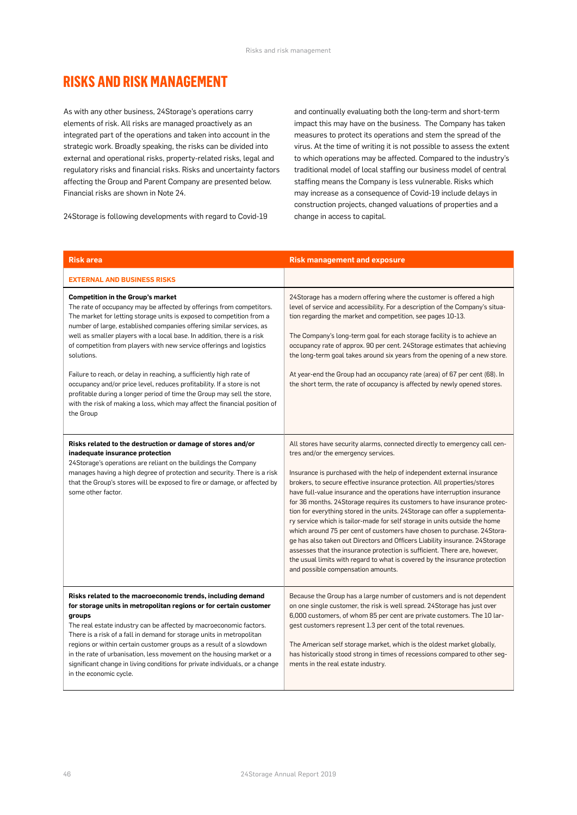### **RISKS AND RISK MANAGEMENT**

As with any other business, 24Storage's operations carry elements of risk. All risks are managed proactively as an integrated part of the operations and taken into account in the strategic work. Broadly speaking, the risks can be divided into external and operational risks, property-related risks, legal and regulatory risks and financial risks. Risks and uncertainty factors affecting the Group and Parent Company are presented below. Financial risks are shown in Note 24.

24Storage is following developments with regard to Covid-19

and continually evaluating both the long-term and short-term impact this may have on the business. The Company has taken measures to protect its operations and stem the spread of the virus. At the time of writing it is not possible to assess the extent to which operations may be affected. Compared to the industry's traditional model of local staffing our business model of central staffing means the Company is less vulnerable. Risks which may increase as a consequence of Covid-19 include delays in construction projects, changed valuations of properties and a change in access to capital.

| <b>Risk area</b>                                                                                                                                                                                                                                                                                                                                                                                                                                                                                                                                                                                                                                                                                                                                          | <b>Risk management and exposure</b>                                                                                                                                                                                                                                                                                                                                                                                                                                                                                                                                                                                                                                                                                                                                                                                                                                                                                                                       |
|-----------------------------------------------------------------------------------------------------------------------------------------------------------------------------------------------------------------------------------------------------------------------------------------------------------------------------------------------------------------------------------------------------------------------------------------------------------------------------------------------------------------------------------------------------------------------------------------------------------------------------------------------------------------------------------------------------------------------------------------------------------|-----------------------------------------------------------------------------------------------------------------------------------------------------------------------------------------------------------------------------------------------------------------------------------------------------------------------------------------------------------------------------------------------------------------------------------------------------------------------------------------------------------------------------------------------------------------------------------------------------------------------------------------------------------------------------------------------------------------------------------------------------------------------------------------------------------------------------------------------------------------------------------------------------------------------------------------------------------|
| <b>EXTERNAL AND BUSINESS RISKS</b>                                                                                                                                                                                                                                                                                                                                                                                                                                                                                                                                                                                                                                                                                                                        |                                                                                                                                                                                                                                                                                                                                                                                                                                                                                                                                                                                                                                                                                                                                                                                                                                                                                                                                                           |
| <b>Competition in the Group's market</b><br>The rate of occupancy may be affected by offerings from competitors.<br>The market for letting storage units is exposed to competition from a<br>number of large, established companies offering similar services, as<br>well as smaller players with a local base. In addition, there is a risk<br>of competition from players with new service offerings and logistics<br>solutions.<br>Failure to reach, or delay in reaching, a sufficiently high rate of<br>occupancy and/or price level, reduces profitability. If a store is not<br>profitable during a longer period of time the Group may sell the store,<br>with the risk of making a loss, which may affect the financial position of<br>the Group | 24Storage has a modern offering where the customer is offered a high<br>level of service and accessibility. For a description of the Company's situa-<br>tion regarding the market and competition, see pages 10-13.<br>The Company's long-term goal for each storage facility is to achieve an<br>occupancy rate of approx. 90 per cent. 24Storage estimates that achieving<br>the long-term goal takes around six years from the opening of a new store.<br>At year-end the Group had an occupancy rate (area) of 67 per cent (68). In<br>the short term, the rate of occupancy is affected by newly opened stores.                                                                                                                                                                                                                                                                                                                                     |
| Risks related to the destruction or damage of stores and/or<br>inadequate insurance protection<br>24Storage's operations are reliant on the buildings the Company<br>manages having a high degree of protection and security. There is a risk<br>that the Group's stores will be exposed to fire or damage, or affected by<br>some other factor.                                                                                                                                                                                                                                                                                                                                                                                                          | All stores have security alarms, connected directly to emergency call cen-<br>tres and/or the emergency services.<br>Insurance is purchased with the help of independent external insurance<br>brokers, to secure effective insurance protection. All properties/stores<br>have full-value insurance and the operations have interruption insurance<br>for 36 months. 24Storage requires its customers to have insurance protec-<br>tion for everything stored in the units. 24Storage can offer a supplementa-<br>ry service which is tailor-made for self storage in units outside the home<br>which around 75 per cent of customers have chosen to purchase. 24Stora-<br>ge has also taken out Directors and Officers Liability insurance. 24Storage<br>assesses that the insurance protection is sufficient. There are, however,<br>the usual limits with regard to what is covered by the insurance protection<br>and possible compensation amounts. |
| Risks related to the macroeconomic trends, including demand<br>for storage units in metropolitan regions or for certain customer<br>groups<br>The real estate industry can be affected by macroeconomic factors.<br>There is a risk of a fall in demand for storage units in metropolitan<br>regions or within certain customer groups as a result of a slowdown<br>in the rate of urbanisation, less movement on the housing market or a<br>significant change in living conditions for private individuals, or a change<br>in the economic cycle.                                                                                                                                                                                                       | Because the Group has a large number of customers and is not dependent<br>on one single customer, the risk is well spread. 24Storage has just over<br>6,000 customers, of whom 85 per cent are private customers. The 10 lar-<br>gest customers represent 1.3 per cent of the total revenues.<br>The American self storage market, which is the oldest market globally,<br>has historically stood strong in times of recessions compared to other seg-<br>ments in the real estate industry.                                                                                                                                                                                                                                                                                                                                                                                                                                                              |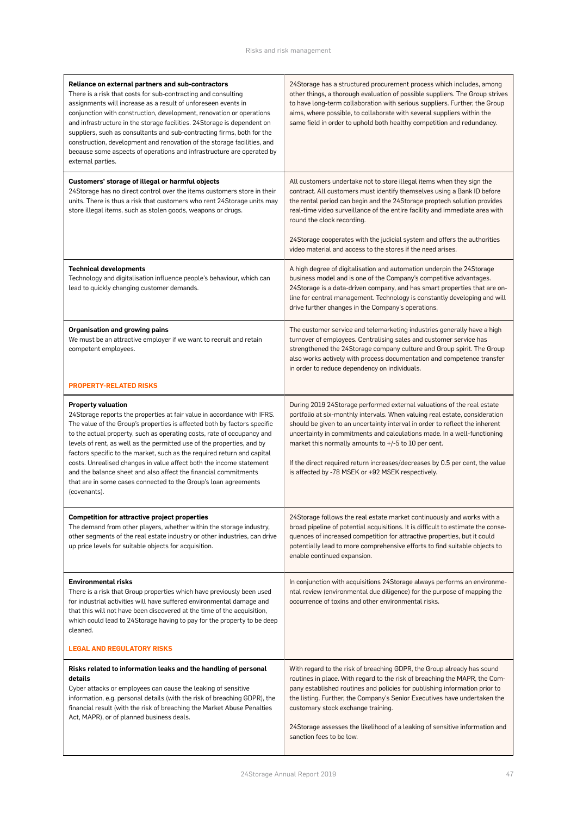| Reliance on external partners and sub-contractors<br>There is a risk that costs for sub-contracting and consulting<br>assignments will increase as a result of unforeseen events in<br>conjunction with construction, development, renovation or operations<br>and infrastructure in the storage facilities. 24Storage is dependent on<br>suppliers, such as consultants and sub-contracting firms, both for the<br>construction, development and renovation of the storage facilities, and<br>because some aspects of operations and infrastructure are operated by<br>external parties.                                                    | 24Storage has a structured procurement process which includes, among<br>other things, a thorough evaluation of possible suppliers. The Group strives<br>to have long-term collaboration with serious suppliers. Further, the Group<br>aims, where possible, to collaborate with several suppliers within the<br>same field in order to uphold both healthy competition and redundancy.                                                                                                                       |
|----------------------------------------------------------------------------------------------------------------------------------------------------------------------------------------------------------------------------------------------------------------------------------------------------------------------------------------------------------------------------------------------------------------------------------------------------------------------------------------------------------------------------------------------------------------------------------------------------------------------------------------------|--------------------------------------------------------------------------------------------------------------------------------------------------------------------------------------------------------------------------------------------------------------------------------------------------------------------------------------------------------------------------------------------------------------------------------------------------------------------------------------------------------------|
| Customers' storage of illegal or harmful objects<br>24 Storage has no direct control over the items customers store in their<br>units. There is thus a risk that customers who rent 24Storage units may<br>store illegal items, such as stolen goods, weapons or drugs.                                                                                                                                                                                                                                                                                                                                                                      | All customers undertake not to store illegal items when they sign the<br>contract. All customers must identify themselves using a Bank ID before<br>the rental period can begin and the 24Storage proptech solution provides<br>real-time video surveillance of the entire facility and immediate area with<br>round the clock recording.                                                                                                                                                                    |
|                                                                                                                                                                                                                                                                                                                                                                                                                                                                                                                                                                                                                                              | 24Storage cooperates with the judicial system and offers the authorities<br>video material and access to the stores if the need arises.                                                                                                                                                                                                                                                                                                                                                                      |
| <b>Technical developments</b><br>Technology and digitalisation influence people's behaviour, which can<br>lead to quickly changing customer demands.                                                                                                                                                                                                                                                                                                                                                                                                                                                                                         | A high degree of digitalisation and automation underpin the 24Storage<br>business model and is one of the Company's competitive advantages.<br>24Storage is a data-driven company, and has smart properties that are on-<br>line for central management. Technology is constantly developing and will<br>drive further changes in the Company's operations.                                                                                                                                                  |
| <b>Organisation and growing pains</b><br>We must be an attractive employer if we want to recruit and retain<br>competent employees.                                                                                                                                                                                                                                                                                                                                                                                                                                                                                                          | The customer service and telemarketing industries generally have a high<br>turnover of employees. Centralising sales and customer service has<br>strengthened the 24Storage company culture and Group spirit. The Group<br>also works actively with process documentation and competence transfer<br>in order to reduce dependency on individuals.                                                                                                                                                           |
| <b>PROPERTY-RELATED RISKS</b>                                                                                                                                                                                                                                                                                                                                                                                                                                                                                                                                                                                                                |                                                                                                                                                                                                                                                                                                                                                                                                                                                                                                              |
| <b>Property valuation</b><br>24Storage reports the properties at fair value in accordance with IFRS.<br>The value of the Group's properties is affected both by factors specific<br>to the actual property, such as operating costs, rate of occupancy and<br>levels of rent, as well as the permitted use of the properties, and by<br>factors specific to the market, such as the required return and capital<br>costs. Unrealised changes in value affect both the income statement<br>and the balance sheet and also affect the financial commitments<br>that are in some cases connected to the Group's loan agreements<br>(covenants). | During 2019 24Storage performed external valuations of the real estate<br>portfolio at six-monthly intervals. When valuing real estate, consideration<br>should be given to an uncertainty interval in order to reflect the inherent<br>uncertainty in commitments and calculations made. In a well-functioning<br>market this normally amounts to +/-5 to 10 per cent.<br>If the direct required return increases/decreases by 0.5 per cent, the value<br>is affected by -78 MSEK or +92 MSEK respectively. |
| <b>Competition for attractive project properties</b><br>The demand from other players, whether within the storage industry,<br>other segments of the real estate industry or other industries, can drive<br>up price levels for suitable objects for acquisition.                                                                                                                                                                                                                                                                                                                                                                            | 24Storage follows the real estate market continuously and works with a<br>broad pipeline of potential acquisitions. It is difficult to estimate the conse-<br>quences of increased competition for attractive properties, but it could<br>potentially lead to more comprehensive efforts to find suitable objects to<br>enable continued expansion.                                                                                                                                                          |
| <b>Environmental risks</b><br>There is a risk that Group properties which have previously been used<br>for industrial activities will have suffered environmental damage and<br>that this will not have been discovered at the time of the acquisition,<br>which could lead to 24Storage having to pay for the property to be deep<br>cleaned.                                                                                                                                                                                                                                                                                               | In conjunction with acquisitions 24Storage always performs an environme-<br>ntal review (environmental due diligence) for the purpose of mapping the<br>occurrence of toxins and other environmental risks.                                                                                                                                                                                                                                                                                                  |
| <b>LEGAL AND REGULATORY RISKS</b>                                                                                                                                                                                                                                                                                                                                                                                                                                                                                                                                                                                                            |                                                                                                                                                                                                                                                                                                                                                                                                                                                                                                              |
| Risks related to information leaks and the handling of personal<br>details<br>Cyber attacks or employees can cause the leaking of sensitive<br>information, e.g. personal details (with the risk of breaching GDPR), the<br>financial result (with the risk of breaching the Market Abuse Penalties<br>Act, MAPR), or of planned business deals.                                                                                                                                                                                                                                                                                             | With regard to the risk of breaching GDPR, the Group already has sound<br>routines in place. With regard to the risk of breaching the MAPR, the Com-<br>pany established routines and policies for publishing information prior to<br>the listing. Further, the Company's Senior Executives have undertaken the<br>customary stock exchange training.<br>24Storage assesses the likelihood of a leaking of sensitive information and<br>sanction fees to be low.                                             |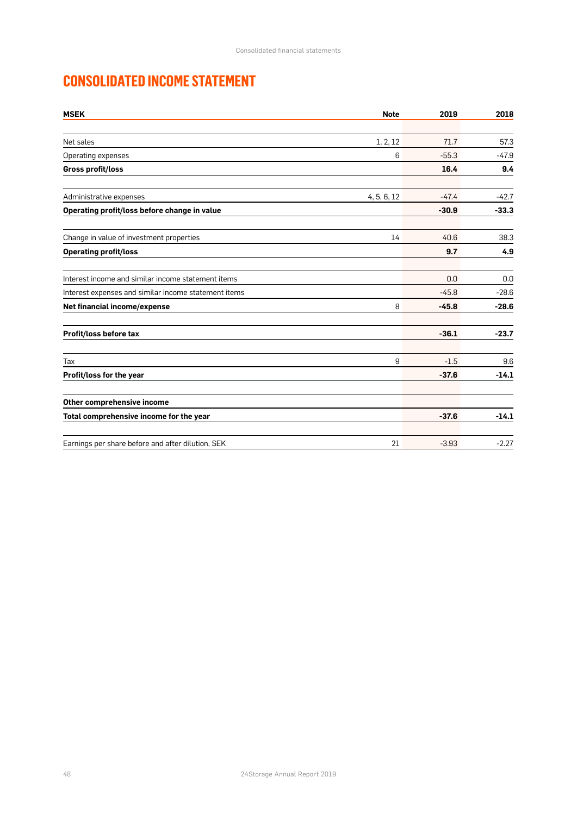# **CONSOLIDATED INCOME STATEMENT**

| <b>MSEK</b>                                          | <b>Note</b> | 2019    | 2018    |
|------------------------------------------------------|-------------|---------|---------|
|                                                      |             |         |         |
| Net sales                                            | 1, 2, 12    | 71.7    | 57.3    |
| Operating expenses                                   | 6           | $-55.3$ | $-47.9$ |
| Gross profit/loss                                    |             | 16.4    | 9.4     |
| Administrative expenses                              | 4, 5, 6, 12 | $-47.4$ | $-42.7$ |
| Operating profit/loss before change in value         |             | $-30.9$ | $-33.3$ |
| Change in value of investment properties             | 14          | 40.6    | 38.3    |
| <b>Operating profit/loss</b>                         |             | 9.7     | 4.9     |
| Interest income and similar income statement items   |             | 0.0     | 0.0     |
| Interest expenses and similar income statement items |             | $-45.8$ | $-28.6$ |
| Net financial income/expense                         | 8           | $-45.8$ | $-28.6$ |
| Profit/loss before tax                               |             | $-36.1$ | $-23.7$ |
| Tax                                                  | 9           | $-1.5$  | 9.6     |
| Profit/loss for the year                             |             | $-37.6$ | $-14.1$ |
| Other comprehensive income                           |             |         |         |
| Total comprehensive income for the year              |             | $-37.6$ | $-14.1$ |
| Earnings per share before and after dilution, SEK    | 21          | $-3.93$ | $-2.27$ |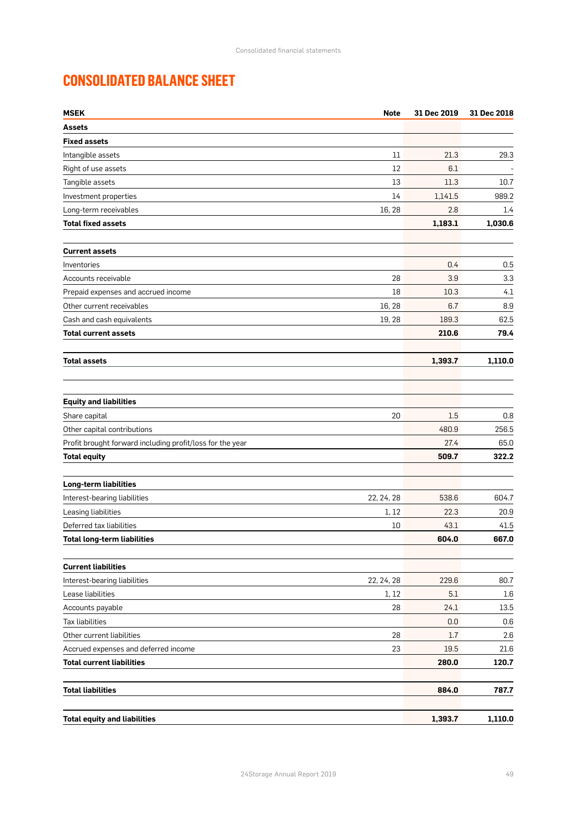# **CONSOLIDATED BALANCE SHEET**

| <b>MSEK</b><br><b>Note</b>                                | 31 Dec 2019 | 31 Dec 2018 |
|-----------------------------------------------------------|-------------|-------------|
| Assets                                                    |             |             |
| <b>Fixed assets</b>                                       |             |             |
| Intangible assets<br>11                                   | 21.3        | 29.3        |
| Right of use assets<br>12                                 | 6.1         |             |
| 13<br>Tangible assets                                     | 11.3        | 10.7        |
| Investment properties<br>14                               | 1,141.5     | 989.2       |
| Long-term receivables<br>16, 28                           | 2.8         | 1.4         |
| <b>Total fixed assets</b>                                 | 1,183.1     | 1,030.6     |
| <b>Current assets</b>                                     |             |             |
| Inventories                                               | 0.4         | 0.5         |
| Accounts receivable<br>28                                 | 3.9         | 3.3         |
| 18<br>Prepaid expenses and accrued income                 | 10.3        | 4.1         |
| 16, 28<br>Other current receivables                       | 6.7         | 8.9         |
| Cash and cash equivalents<br>19, 28                       | 189.3       | 62.5        |
| <b>Total current assets</b>                               | 210.6       | 79.4        |
| <b>Total assets</b>                                       | 1,393.7     | 1,110.0     |
|                                                           |             |             |
| <b>Equity and liabilities</b>                             |             |             |
| Share capital<br>20                                       | 1.5         | 0.8         |
| Other capital contributions                               | 480.9       | 256.5       |
| Profit brought forward including profit/loss for the year | 27.4        | 65.0        |
| <b>Total equity</b>                                       | 509.7       | 322.2       |
| <b>Long-term liabilities</b>                              |             |             |
| Interest-bearing liabilities<br>22, 24, 28                | 538.6       | 604.7       |
| Leasing liabilities<br>1, 12                              | 22.3        | 20.9        |
| Deferred tax liabilities<br>10                            | 43.1        | 41.5        |
| <b>Total long-term liabilities</b>                        | 604.0       | 667.0       |
| <b>Current liabilities</b>                                |             |             |
| Interest-bearing liabilities<br>22, 24, 28                | 229.6       | 80.7        |
| Lease liabilities<br>1, 12                                | 5.1         | 1.6         |
| Accounts payable<br>28                                    | 24.1        | 13.5        |
| <b>Tax liabilities</b>                                    | 0.0         | 0.6         |
| Other current liabilities<br>28                           | 1.7         | 2.6         |
| Accrued expenses and deferred income<br>23                | 19.5        | 21.6        |
| <b>Total current liabilities</b>                          | 280.0       | 120.7       |
| <b>Total liabilities</b>                                  | 884.0       | 787.7       |
| <b>Total equity and liabilities</b>                       | 1,393.7     | 1,110.0     |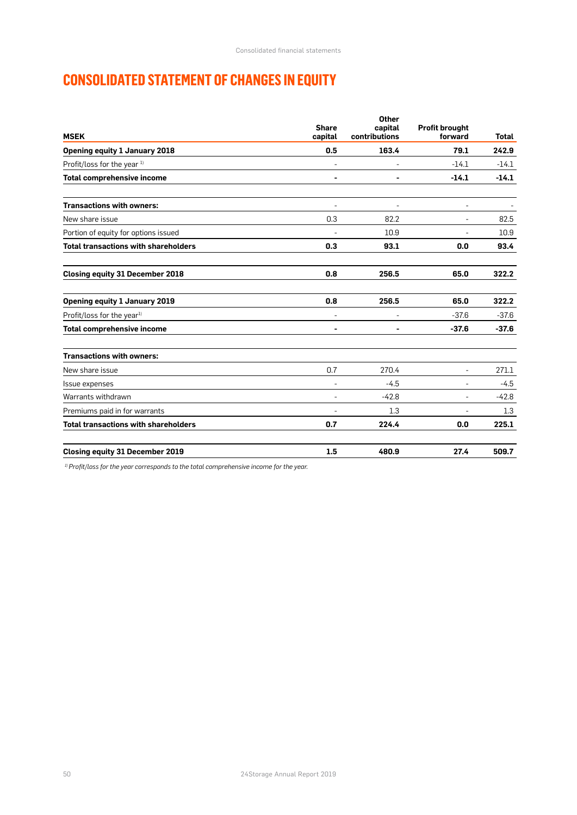# **CONSOLIDATED STATEMENT OF CHANGES IN EQUITY**

| <b>MSEK</b>                                 | <b>Share</b><br>capital | Other<br>capital<br>contributions | <b>Profit brought</b><br>forward | <b>Total</b> |
|---------------------------------------------|-------------------------|-----------------------------------|----------------------------------|--------------|
| <b>Opening equity 1 January 2018</b>        | 0.5                     | 163.4                             | 79.1                             | 242.9        |
| Profit/loss for the year 1)                 |                         |                                   | $-14.1$                          | $-14.1$      |
| <b>Total comprehensive income</b>           |                         |                                   | $-14.1$                          | $-14.1$      |
| <b>Transactions with owners:</b>            |                         |                                   | ٠                                |              |
| New share issue                             | 0.3                     | 82.2                              | $\overline{\phantom{a}}$         | 82.5         |
| Portion of equity for options issued        |                         | 10.9                              |                                  | 10.9         |
| <b>Total transactions with shareholders</b> | 0.3                     | 93.1                              | 0.0                              | 93.4         |
| <b>Closing equity 31 December 2018</b>      | 0.8                     | 256.5                             | 65.0                             | 322.2        |
| <b>Opening equity 1 January 2019</b>        | 0.8                     | 256.5                             | 65.0                             | 322.2        |
| Profit/loss for the year <sup>1)</sup>      |                         |                                   | $-37.6$                          | $-37.6$      |
| <b>Total comprehensive income</b>           |                         |                                   | $-37.6$                          | $-37.6$      |
| <b>Transactions with owners:</b>            |                         |                                   |                                  |              |
| New share issue                             | 0.7                     | 270.4                             | $\frac{1}{2}$                    | 271.1        |
| Issue expenses                              |                         | $-4.5$                            | L,                               | $-4.5$       |
| Warrants withdrawn                          |                         | $-42.8$                           | -                                | $-42.8$      |
| Premiums paid in for warrants               |                         | 1.3                               | $\overline{a}$                   | 1.3          |
| <b>Total transactions with shareholders</b> | 0.7                     | 224.4                             | 0.0                              | 225.1        |
| <b>Closing equity 31 December 2019</b>      | 1.5                     | 480.9                             | 27.4                             | 509.7        |

*1) Profit/loss for the year corresponds to the total comprehensive income for the year.*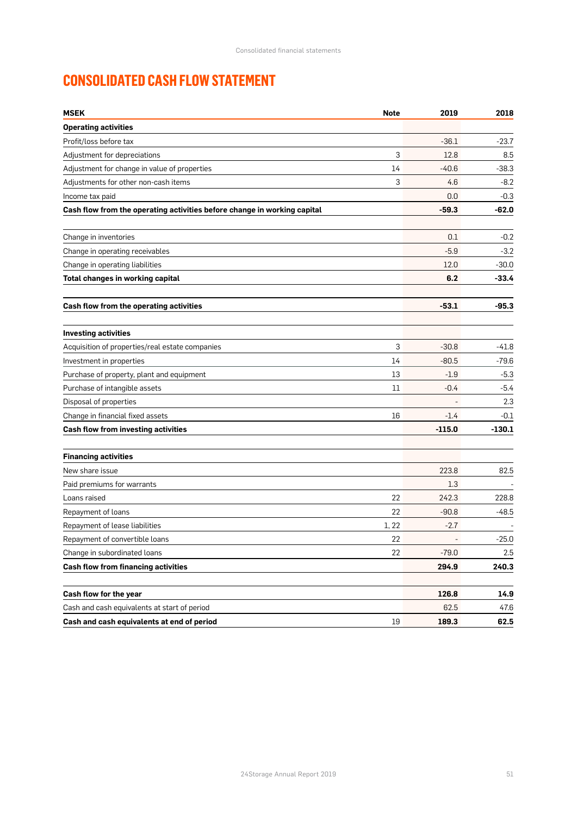# **CONSOLIDATED CASH FLOW STATEMENT**

| <b>MSEK</b>                                                              | <b>Note</b> | 2019     | 2018     |
|--------------------------------------------------------------------------|-------------|----------|----------|
| <b>Operating activities</b>                                              |             |          |          |
| Profit/loss before tax                                                   |             | $-36.1$  | $-23.7$  |
| Adjustment for depreciations                                             | 3           | 12.8     | 8.5      |
| Adjustment for change in value of properties                             | 14          | $-40.6$  | $-38.3$  |
| Adjustments for other non-cash items                                     | 3           | 4.6      | $-8.2$   |
| Income tax paid                                                          |             | 0.0      | $-0.3$   |
| Cash flow from the operating activities before change in working capital |             | $-59.3$  | -62.0    |
| Change in inventories                                                    |             | 0.1      | $-0.2$   |
| Change in operating receivables                                          |             | $-5.9$   | $-3.2$   |
| Change in operating liabilities                                          |             | 12.0     | $-30.0$  |
| Total changes in working capital                                         |             | 6.2      | $-33.4$  |
| Cash flow from the operating activities                                  |             | $-53.1$  | $-95.3$  |
| <b>Investing activities</b>                                              |             |          |          |
| Acquisition of properties/real estate companies                          | 3           | $-30.8$  | $-41.8$  |
| Investment in properties                                                 | 14          | $-80.5$  | $-79.6$  |
| Purchase of property, plant and equipment                                | 13          | $-1.9$   | $-5.3$   |
| Purchase of intangible assets                                            | 11          | $-0.4$   | $-5.4$   |
| Disposal of properties                                                   |             |          | 2.3      |
| Change in financial fixed assets                                         | 16          | $-1.4$   | $-0.1$   |
| Cash flow from investing activities                                      |             | $-115.0$ | $-130.1$ |
| <b>Financing activities</b>                                              |             |          |          |
| New share issue                                                          |             | 223.8    | 82.5     |
| Paid premiums for warrants                                               |             | $1.3\,$  |          |
| Loans raised                                                             | 22          | 242.3    | 228.8    |
| Repayment of loans                                                       | 22          | $-90.8$  | $-48.5$  |
| Repayment of lease liabilities                                           | 1, 22       | $-2.7$   |          |
| Repayment of convertible loans                                           | 22          |          | $-25.0$  |
| Change in subordinated loans                                             | 22          | $-79.0$  | 2.5      |
| <b>Cash flow from financing activities</b>                               |             | 294.9    | 240.3    |
| Cash flow for the year                                                   |             | 126.8    | 14.9     |
| Cash and cash equivalents at start of period                             |             | 62.5     | 47.6     |
| Cash and cash equivalents at end of period                               | 19          | 189.3    | 62.5     |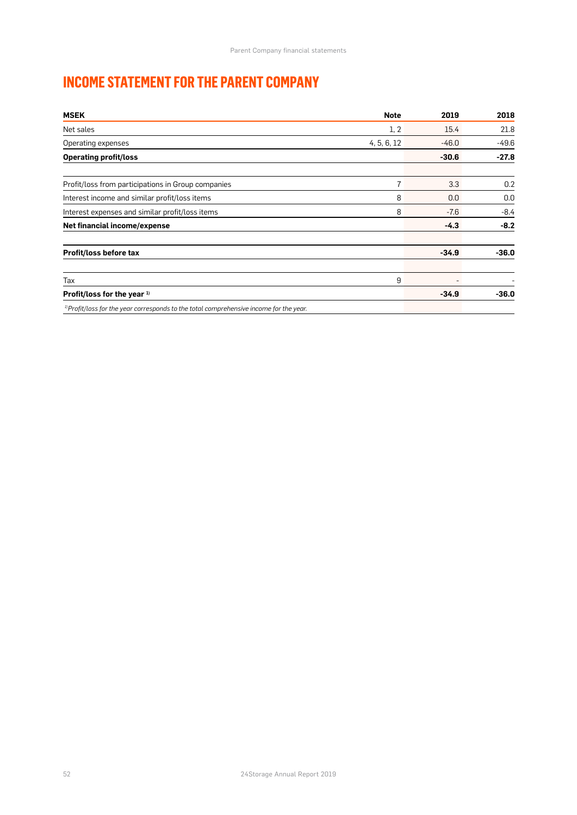# **INCOME STATEMENT FOR THE PARENT COMPANY**

| <b>MSEK</b>                                                                                        | <b>Note</b>    | 2019    | 2018    |
|----------------------------------------------------------------------------------------------------|----------------|---------|---------|
| Net sales                                                                                          | 1, 2           | 15.4    | 21.8    |
| Operating expenses                                                                                 | 4, 5, 6, 12    | $-46.0$ | $-49.6$ |
| <b>Operating profit/loss</b>                                                                       |                | $-30.6$ | $-27.8$ |
| Profit/loss from participations in Group companies                                                 | $\overline{7}$ | 3.3     | 0.2     |
| Interest income and similar profit/loss items                                                      | 8              | 0.0     | 0.0     |
| Interest expenses and similar profit/loss items                                                    | 8              | $-7.6$  | $-8.4$  |
| Net financial income/expense                                                                       |                | $-4.3$  | $-8.2$  |
| Profit/loss before tax                                                                             |                | $-34.9$ | $-36.0$ |
| Tax                                                                                                | 9              |         |         |
| Profit/loss for the year 1)                                                                        |                | $-34.9$ | $-36.0$ |
| <sup>1)</sup> Profit/loss for the year corresponds to the total comprehensive income for the year. |                |         |         |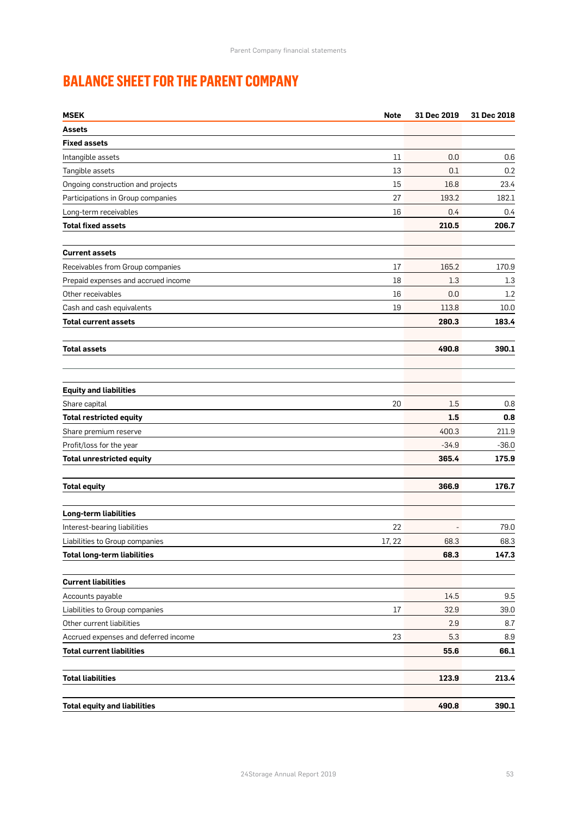# **BALANCE SHEET FOR THE PARENT COMPANY**

| <b>MSEK</b>                          | <b>Note</b> | 31 Dec 2019 | 31 Dec 2018 |
|--------------------------------------|-------------|-------------|-------------|
| Assets                               |             |             |             |
| <b>Fixed assets</b>                  |             |             |             |
| Intangible assets                    | 11          | 0.0         | 0.6         |
| Tangible assets                      | 13          | 0.1         | 0.2         |
| Ongoing construction and projects    | 15          | 16.8        | 23.4        |
| Participations in Group companies    | 27          | 193.2       | 182.1       |
| Long-term receivables                | 16          | 0.4         | 0.4         |
| <b>Total fixed assets</b>            |             | 210.5       | 206.7       |
| <b>Current assets</b>                |             |             |             |
| Receivables from Group companies     | 17          | 165.2       | 170.9       |
| Prepaid expenses and accrued income  | 18          | 1.3         | 1.3         |
| Other receivables                    | 16          | 0.0         | 1.2         |
| Cash and cash equivalents            | 19          | 113.8       | 10.0        |
| <b>Total current assets</b>          |             | 280.3       | 183.4       |
| <b>Total assets</b>                  |             | 490.8       | 390.1       |
| <b>Equity and liabilities</b>        |             |             |             |
| Share capital                        | 20          | 1.5         | 0.8         |
| <b>Total restricted equity</b>       |             | 1.5         | 0.8         |
| Share premium reserve                |             | 400.3       | 211.9       |
| Profit/loss for the year             |             | $-34.9$     | $-36.0$     |
| <b>Total unrestricted equity</b>     |             | 365.4       | 175.9       |
| <b>Total equity</b>                  |             | 366.9       | 176.7       |
|                                      |             |             |             |
| <b>Long-term liabilities</b>         |             |             |             |
| Interest-bearing liabilities         | 22          |             | 79.0        |
| Liabilities to Group companies       | 17, 22      | 68.3        | 68.3        |
| <b>Total long-term liabilities</b>   |             | 68.3        | 147.3       |
| <b>Current liabilities</b>           |             |             |             |
| Accounts payable                     |             | 14.5        | 9.5         |
| Liabilities to Group companies       | 17          | 32.9        | 39.0        |
| Other current liabilities            |             | 2.9         | 8.7         |
| Accrued expenses and deferred income | 23          | 5.3         | 8.9         |
| <b>Total current liabilities</b>     |             | 55.6        | 66.1        |
| <b>Total liabilities</b>             |             | 123.9       | 213.4       |
| <b>Total equity and liabilities</b>  |             | 490.8       | 390.1       |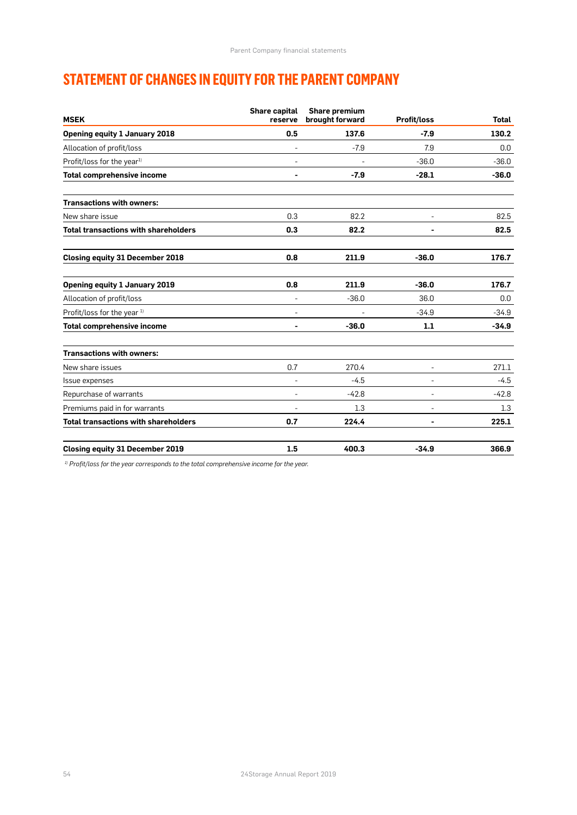# **STATEMENT OF CHANGES IN EQUITY FOR THE PARENT COMPANY**

| <b>MSEK</b>                                 | <b>Share capital</b><br>reserve | Share premium<br>brought forward | <b>Profit/loss</b> | <b>Total</b> |
|---------------------------------------------|---------------------------------|----------------------------------|--------------------|--------------|
| <b>Opening equity 1 January 2018</b>        | 0.5                             | 137.6                            | $-7.9$             | 130.2        |
| Allocation of profit/loss                   |                                 | $-7.9$                           | 7.9                | 0.0          |
| Profit/loss for the year <sup>1)</sup>      |                                 |                                  | $-36.0$            | $-36.0$      |
| <b>Total comprehensive income</b>           |                                 | $-7.9$                           | $-28.1$            | $-36.0$      |
| <b>Transactions with owners:</b>            |                                 |                                  |                    |              |
| New share issue                             | 0.3                             | 82.2                             |                    | 82.5         |
| <b>Total transactions with shareholders</b> | 0.3                             | 82.2                             |                    | 82.5         |
| <b>Closing equity 31 December 2018</b>      | 0.8                             | 211.9                            | $-36.0$            | 176.7        |
| <b>Opening equity 1 January 2019</b>        | 0.8                             | 211.9                            | $-36.0$            | 176.7        |
| Allocation of profit/loss                   | $\overline{\phantom{a}}$        | $-36.0$                          | 36.0               | 0.0          |
| Profit/loss for the year 1)                 | $\overline{\phantom{a}}$        |                                  | $-34.9$            | $-34.9$      |
| <b>Total comprehensive income</b>           | ۰                               | $-36.0$                          | 1.1                | $-34.9$      |
| <b>Transactions with owners:</b>            |                                 |                                  |                    |              |
| New share issues                            | 0.7                             | 270.4                            |                    | 271.1        |
| Issue expenses                              | $\overline{\phantom{a}}$        | $-4.5$                           |                    | $-4.5$       |
| Repurchase of warrants                      | $\sim$                          | $-42.8$                          |                    | $-42.8$      |
| Premiums paid in for warrants               |                                 | 1.3                              |                    | 1.3          |
| <b>Total transactions with shareholders</b> | 0.7                             | 224.4                            |                    | 225.1        |
| <b>Closing equity 31 December 2019</b>      | 1.5                             | 400.3                            | $-34.9$            | 366.9        |

*1) Profit/loss for the year corresponds to the total comprehensive income for the year.*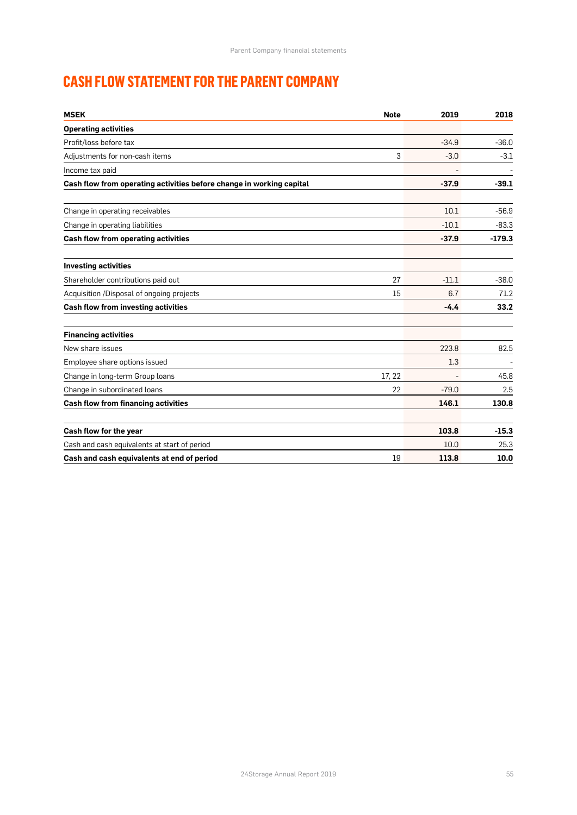# **CASH FLOW STATEMENT FOR THE PARENT COMPANY**

| <b>MSEK</b>                                                          | <b>Note</b> | 2019    | 2018     |
|----------------------------------------------------------------------|-------------|---------|----------|
| <b>Operating activities</b>                                          |             |         |          |
| Profit/loss before tax                                               |             | $-34.9$ | $-36.0$  |
| Adjustments for non-cash items                                       | 3           | $-3.0$  | $-3.1$   |
| Income tax paid                                                      |             |         |          |
| Cash flow from operating activities before change in working capital |             | $-37.9$ | $-39.1$  |
| Change in operating receivables                                      |             | 10.1    | $-56.9$  |
| Change in operating liabilities                                      |             | $-10.1$ | $-83.3$  |
| <b>Cash flow from operating activities</b>                           |             | $-37.9$ | $-179.3$ |
| <b>Investing activities</b>                                          |             |         |          |
| Shareholder contributions paid out                                   | 27          | $-11.1$ | $-38.0$  |
| Acquisition /Disposal of ongoing projects                            | 15          | 6.7     | 71.2     |
| Cash flow from investing activities                                  |             | $-4.4$  | 33.2     |
| <b>Financing activities</b>                                          |             |         |          |
| New share issues                                                     |             | 223.8   | 82.5     |
| Employee share options issued                                        |             | 1.3     |          |
| Change in long-term Group loans                                      | 17, 22      |         | 45.8     |
| Change in subordinated loans                                         | 22          | $-79.0$ | 2.5      |
| <b>Cash flow from financing activities</b>                           |             | 146.1   | 130.8    |
| Cash flow for the year                                               |             | 103.8   | $-15.3$  |
| Cash and cash equivalents at start of period                         |             | 10.0    | 25.3     |
| Cash and cash equivalents at end of period                           | 19          | 113.8   | 10.0     |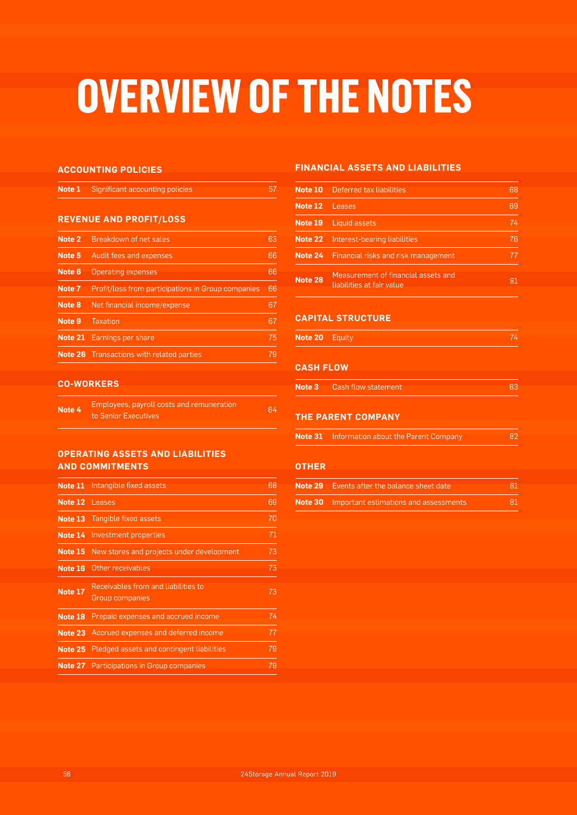# **OVERVIEW OF THE NOTES**

#### **ACCOUNTING POLICIES**

| <b>Note 1</b> Significant accounting policies |  |
|-----------------------------------------------|--|
|                                               |  |

#### **REVENUE AND PROFIT/LOSS**

| Note 2 | <b>Breakdown of net sales</b>                      | 63 |
|--------|----------------------------------------------------|----|
| Note 5 | Audit fees and expenses                            | 66 |
| Note 6 | <b>Operating expenses</b>                          | 66 |
| Note 7 | Profit/loss from participations in Group companies | 66 |
| Note 8 | Net financial income/expense                       | 67 |
| Note 9 | Taxation                                           | 67 |
|        | <b>Note 21</b> Earnings per share                  | 75 |
|        | <b>Note 26</b> Transactions with related parties   | 79 |

#### **CO-WORKERS**

| Note 4 | Employees, payroll costs and remuneration | 64 |
|--------|-------------------------------------------|----|
|        | to Senior Executives                      |    |

#### **OPERATING ASSETS AND LIABILITIES AND COMMITMENTS**

| Intangible fixed assets                                       | 68                                                                                                                                                                                                                                                                                                               |
|---------------------------------------------------------------|------------------------------------------------------------------------------------------------------------------------------------------------------------------------------------------------------------------------------------------------------------------------------------------------------------------|
|                                                               | 69                                                                                                                                                                                                                                                                                                               |
|                                                               | 70                                                                                                                                                                                                                                                                                                               |
|                                                               | 71                                                                                                                                                                                                                                                                                                               |
| New stores and projects under development                     | 73                                                                                                                                                                                                                                                                                                               |
|                                                               | 73                                                                                                                                                                                                                                                                                                               |
| Receivables from and liabilities to<br><b>Group companies</b> | 73                                                                                                                                                                                                                                                                                                               |
| Prepaid expenses and accrued income                           | 74                                                                                                                                                                                                                                                                                                               |
|                                                               | 77                                                                                                                                                                                                                                                                                                               |
|                                                               | 79                                                                                                                                                                                                                                                                                                               |
|                                                               | 79                                                                                                                                                                                                                                                                                                               |
|                                                               | Note 11<br>Note 12 Leases<br><b>Note 13</b> Tangible fixed assets<br><b>Note 14</b> Investment properties<br>Note 15<br>Other receivables<br><b>Note 23</b> Accrued expenses and deferred income<br><b>Note 25</b> Pledged assets and contingent liabilities<br><b>Note 27</b> Participations in Group companies |

#### **FINANCIAL ASSETS AND LIABILITIES**

| Note 10 | Deferred tax liabilities                                         | 68 |
|---------|------------------------------------------------------------------|----|
| Note 12 | Leases                                                           | 69 |
| Note 19 | Liquid assets                                                    | 74 |
| Note 22 | Interest-bearing liabilities                                     | 76 |
|         | <b>Note 24</b> Financial risks and risk management               |    |
| Note 28 | Measurement of financial assets and<br>liabilities at fair value | 81 |

#### **CAPITAL STRUCTURE**

| 74 |  |  |  |  |  |  |  |  |  |  |  |  |  |  |  |  |  |  |  |  |  |  |  |  |  |  |  |  |  |  |  |  |  |  |  |  |  |  |  |  |
|----|--|--|--|--|--|--|--|--|--|--|--|--|--|--|--|--|--|--|--|--|--|--|--|--|--|--|--|--|--|--|--|--|--|--|--|--|--|--|--|--|
|    |  |  |  |  |  |  |  |  |  |  |  |  |  |  |  |  |  |  |  |  |  |  |  |  |  |  |  |  |  |  |  |  |  |  |  |  |  |  |  |  |
|    |  |  |  |  |  |  |  |  |  |  |  |  |  |  |  |  |  |  |  |  |  |  |  |  |  |  |  |  |  |  |  |  |  |  |  |  |  |  |  |  |
|    |  |  |  |  |  |  |  |  |  |  |  |  |  |  |  |  |  |  |  |  |  |  |  |  |  |  |  |  |  |  |  |  |  |  |  |  |  |  |  |  |
|    |  |  |  |  |  |  |  |  |  |  |  |  |  |  |  |  |  |  |  |  |  |  |  |  |  |  |  |  |  |  |  |  |  |  |  |  |  |  |  |  |
|    |  |  |  |  |  |  |  |  |  |  |  |  |  |  |  |  |  |  |  |  |  |  |  |  |  |  |  |  |  |  |  |  |  |  |  |  |  |  |  |  |
|    |  |  |  |  |  |  |  |  |  |  |  |  |  |  |  |  |  |  |  |  |  |  |  |  |  |  |  |  |  |  |  |  |  |  |  |  |  |  |  |  |
|    |  |  |  |  |  |  |  |  |  |  |  |  |  |  |  |  |  |  |  |  |  |  |  |  |  |  |  |  |  |  |  |  |  |  |  |  |  |  |  |  |
|    |  |  |  |  |  |  |  |  |  |  |  |  |  |  |  |  |  |  |  |  |  |  |  |  |  |  |  |  |  |  |  |  |  |  |  |  |  |  |  |  |
|    |  |  |  |  |  |  |  |  |  |  |  |  |  |  |  |  |  |  |  |  |  |  |  |  |  |  |  |  |  |  |  |  |  |  |  |  |  |  |  |  |
|    |  |  |  |  |  |  |  |  |  |  |  |  |  |  |  |  |  |  |  |  |  |  |  |  |  |  |  |  |  |  |  |  |  |  |  |  |  |  |  |  |
|    |  |  |  |  |  |  |  |  |  |  |  |  |  |  |  |  |  |  |  |  |  |  |  |  |  |  |  |  |  |  |  |  |  |  |  |  |  |  |  |  |
|    |  |  |  |  |  |  |  |  |  |  |  |  |  |  |  |  |  |  |  |  |  |  |  |  |  |  |  |  |  |  |  |  |  |  |  |  |  |  |  |  |
|    |  |  |  |  |  |  |  |  |  |  |  |  |  |  |  |  |  |  |  |  |  |  |  |  |  |  |  |  |  |  |  |  |  |  |  |  |  |  |  |  |
|    |  |  |  |  |  |  |  |  |  |  |  |  |  |  |  |  |  |  |  |  |  |  |  |  |  |  |  |  |  |  |  |  |  |  |  |  |  |  |  |  |
|    |  |  |  |  |  |  |  |  |  |  |  |  |  |  |  |  |  |  |  |  |  |  |  |  |  |  |  |  |  |  |  |  |  |  |  |  |  |  |  |  |
|    |  |  |  |  |  |  |  |  |  |  |  |  |  |  |  |  |  |  |  |  |  |  |  |  |  |  |  |  |  |  |  |  |  |  |  |  |  |  |  |  |
|    |  |  |  |  |  |  |  |  |  |  |  |  |  |  |  |  |  |  |  |  |  |  |  |  |  |  |  |  |  |  |  |  |  |  |  |  |  |  |  |  |
|    |  |  |  |  |  |  |  |  |  |  |  |  |  |  |  |  |  |  |  |  |  |  |  |  |  |  |  |  |  |  |  |  |  |  |  |  |  |  |  |  |
|    |  |  |  |  |  |  |  |  |  |  |  |  |  |  |  |  |  |  |  |  |  |  |  |  |  |  |  |  |  |  |  |  |  |  |  |  |  |  |  |  |
|    |  |  |  |  |  |  |  |  |  |  |  |  |  |  |  |  |  |  |  |  |  |  |  |  |  |  |  |  |  |  |  |  |  |  |  |  |  |  |  |  |
|    |  |  |  |  |  |  |  |  |  |  |  |  |  |  |  |  |  |  |  |  |  |  |  |  |  |  |  |  |  |  |  |  |  |  |  |  |  |  |  |  |
|    |  |  |  |  |  |  |  |  |  |  |  |  |  |  |  |  |  |  |  |  |  |  |  |  |  |  |  |  |  |  |  |  |  |  |  |  |  |  |  |  |
|    |  |  |  |  |  |  |  |  |  |  |  |  |  |  |  |  |  |  |  |  |  |  |  |  |  |  |  |  |  |  |  |  |  |  |  |  |  |  |  |  |
|    |  |  |  |  |  |  |  |  |  |  |  |  |  |  |  |  |  |  |  |  |  |  |  |  |  |  |  |  |  |  |  |  |  |  |  |  |  |  |  |  |
|    |  |  |  |  |  |  |  |  |  |  |  |  |  |  |  |  |  |  |  |  |  |  |  |  |  |  |  |  |  |  |  |  |  |  |  |  |  |  |  |  |
|    |  |  |  |  |  |  |  |  |  |  |  |  |  |  |  |  |  |  |  |  |  |  |  |  |  |  |  |  |  |  |  |  |  |  |  |  |  |  |  |  |
|    |  |  |  |  |  |  |  |  |  |  |  |  |  |  |  |  |  |  |  |  |  |  |  |  |  |  |  |  |  |  |  |  |  |  |  |  |  |  |  |  |
|    |  |  |  |  |  |  |  |  |  |  |  |  |  |  |  |  |  |  |  |  |  |  |  |  |  |  |  |  |  |  |  |  |  |  |  |  |  |  |  |  |
|    |  |  |  |  |  |  |  |  |  |  |  |  |  |  |  |  |  |  |  |  |  |  |  |  |  |  |  |  |  |  |  |  |  |  |  |  |  |  |  |  |
|    |  |  |  |  |  |  |  |  |  |  |  |  |  |  |  |  |  |  |  |  |  |  |  |  |  |  |  |  |  |  |  |  |  |  |  |  |  |  |  |  |
|    |  |  |  |  |  |  |  |  |  |  |  |  |  |  |  |  |  |  |  |  |  |  |  |  |  |  |  |  |  |  |  |  |  |  |  |  |  |  |  |  |
|    |  |  |  |  |  |  |  |  |  |  |  |  |  |  |  |  |  |  |  |  |  |  |  |  |  |  |  |  |  |  |  |  |  |  |  |  |  |  |  |  |
|    |  |  |  |  |  |  |  |  |  |  |  |  |  |  |  |  |  |  |  |  |  |  |  |  |  |  |  |  |  |  |  |  |  |  |  |  |  |  |  |  |
|    |  |  |  |  |  |  |  |  |  |  |  |  |  |  |  |  |  |  |  |  |  |  |  |  |  |  |  |  |  |  |  |  |  |  |  |  |  |  |  |  |
|    |  |  |  |  |  |  |  |  |  |  |  |  |  |  |  |  |  |  |  |  |  |  |  |  |  |  |  |  |  |  |  |  |  |  |  |  |  |  |  |  |
|    |  |  |  |  |  |  |  |  |  |  |  |  |  |  |  |  |  |  |  |  |  |  |  |  |  |  |  |  |  |  |  |  |  |  |  |  |  |  |  |  |
|    |  |  |  |  |  |  |  |  |  |  |  |  |  |  |  |  |  |  |  |  |  |  |  |  |  |  |  |  |  |  |  |  |  |  |  |  |  |  |  |  |
|    |  |  |  |  |  |  |  |  |  |  |  |  |  |  |  |  |  |  |  |  |  |  |  |  |  |  |  |  |  |  |  |  |  |  |  |  |  |  |  |  |
|    |  |  |  |  |  |  |  |  |  |  |  |  |  |  |  |  |  |  |  |  |  |  |  |  |  |  |  |  |  |  |  |  |  |  |  |  |  |  |  |  |
|    |  |  |  |  |  |  |  |  |  |  |  |  |  |  |  |  |  |  |  |  |  |  |  |  |  |  |  |  |  |  |  |  |  |  |  |  |  |  |  |  |
|    |  |  |  |  |  |  |  |  |  |  |  |  |  |  |  |  |  |  |  |  |  |  |  |  |  |  |  |  |  |  |  |  |  |  |  |  |  |  |  |  |
|    |  |  |  |  |  |  |  |  |  |  |  |  |  |  |  |  |  |  |  |  |  |  |  |  |  |  |  |  |  |  |  |  |  |  |  |  |  |  |  |  |
|    |  |  |  |  |  |  |  |  |  |  |  |  |  |  |  |  |  |  |  |  |  |  |  |  |  |  |  |  |  |  |  |  |  |  |  |  |  |  |  |  |
|    |  |  |  |  |  |  |  |  |  |  |  |  |  |  |  |  |  |  |  |  |  |  |  |  |  |  |  |  |  |  |  |  |  |  |  |  |  |  |  |  |
|    |  |  |  |  |  |  |  |  |  |  |  |  |  |  |  |  |  |  |  |  |  |  |  |  |  |  |  |  |  |  |  |  |  |  |  |  |  |  |  |  |
|    |  |  |  |  |  |  |  |  |  |  |  |  |  |  |  |  |  |  |  |  |  |  |  |  |  |  |  |  |  |  |  |  |  |  |  |  |  |  |  |  |
|    |  |  |  |  |  |  |  |  |  |  |  |  |  |  |  |  |  |  |  |  |  |  |  |  |  |  |  |  |  |  |  |  |  |  |  |  |  |  |  |  |
|    |  |  |  |  |  |  |  |  |  |  |  |  |  |  |  |  |  |  |  |  |  |  |  |  |  |  |  |  |  |  |  |  |  |  |  |  |  |  |  |  |
|    |  |  |  |  |  |  |  |  |  |  |  |  |  |  |  |  |  |  |  |  |  |  |  |  |  |  |  |  |  |  |  |  |  |  |  |  |  |  |  |  |
|    |  |  |  |  |  |  |  |  |  |  |  |  |  |  |  |  |  |  |  |  |  |  |  |  |  |  |  |  |  |  |  |  |  |  |  |  |  |  |  |  |
|    |  |  |  |  |  |  |  |  |  |  |  |  |  |  |  |  |  |  |  |  |  |  |  |  |  |  |  |  |  |  |  |  |  |  |  |  |  |  |  |  |
|    |  |  |  |  |  |  |  |  |  |  |  |  |  |  |  |  |  |  |  |  |  |  |  |  |  |  |  |  |  |  |  |  |  |  |  |  |  |  |  |  |
|    |  |  |  |  |  |  |  |  |  |  |  |  |  |  |  |  |  |  |  |  |  |  |  |  |  |  |  |  |  |  |  |  |  |  |  |  |  |  |  |  |
|    |  |  |  |  |  |  |  |  |  |  |  |  |  |  |  |  |  |  |  |  |  |  |  |  |  |  |  |  |  |  |  |  |  |  |  |  |  |  |  |  |
|    |  |  |  |  |  |  |  |  |  |  |  |  |  |  |  |  |  |  |  |  |  |  |  |  |  |  |  |  |  |  |  |  |  |  |  |  |  |  |  |  |
|    |  |  |  |  |  |  |  |  |  |  |  |  |  |  |  |  |  |  |  |  |  |  |  |  |  |  |  |  |  |  |  |  |  |  |  |  |  |  |  |  |
|    |  |  |  |  |  |  |  |  |  |  |  |  |  |  |  |  |  |  |  |  |  |  |  |  |  |  |  |  |  |  |  |  |  |  |  |  |  |  |  |  |
|    |  |  |  |  |  |  |  |  |  |  |  |  |  |  |  |  |  |  |  |  |  |  |  |  |  |  |  |  |  |  |  |  |  |  |  |  |  |  |  |  |
|    |  |  |  |  |  |  |  |  |  |  |  |  |  |  |  |  |  |  |  |  |  |  |  |  |  |  |  |  |  |  |  |  |  |  |  |  |  |  |  |  |
|    |  |  |  |  |  |  |  |  |  |  |  |  |  |  |  |  |  |  |  |  |  |  |  |  |  |  |  |  |  |  |  |  |  |  |  |  |  |  |  |  |
|    |  |  |  |  |  |  |  |  |  |  |  |  |  |  |  |  |  |  |  |  |  |  |  |  |  |  |  |  |  |  |  |  |  |  |  |  |  |  |  |  |
|    |  |  |  |  |  |  |  |  |  |  |  |  |  |  |  |  |  |  |  |  |  |  |  |  |  |  |  |  |  |  |  |  |  |  |  |  |  |  |  |  |
|    |  |  |  |  |  |  |  |  |  |  |  |  |  |  |  |  |  |  |  |  |  |  |  |  |  |  |  |  |  |  |  |  |  |  |  |  |  |  |  |  |
|    |  |  |  |  |  |  |  |  |  |  |  |  |  |  |  |  |  |  |  |  |  |  |  |  |  |  |  |  |  |  |  |  |  |  |  |  |  |  |  |  |
|    |  |  |  |  |  |  |  |  |  |  |  |  |  |  |  |  |  |  |  |  |  |  |  |  |  |  |  |  |  |  |  |  |  |  |  |  |  |  |  |  |
|    |  |  |  |  |  |  |  |  |  |  |  |  |  |  |  |  |  |  |  |  |  |  |  |  |  |  |  |  |  |  |  |  |  |  |  |  |  |  |  |  |

#### **CASH FLOW**

| Note 3 | Cash flow statement |  |
|--------|---------------------|--|

#### **THE PARENT COMPANY**

| 82                                                  |
|-----------------------------------------------------|
| <b>Note 31</b> Information about the Parent Company |

#### **OTHER**

| <b>Note 29</b> Events after the balance sheet date   |  |
|------------------------------------------------------|--|
| <b>Note 30</b> Important estimations and assessments |  |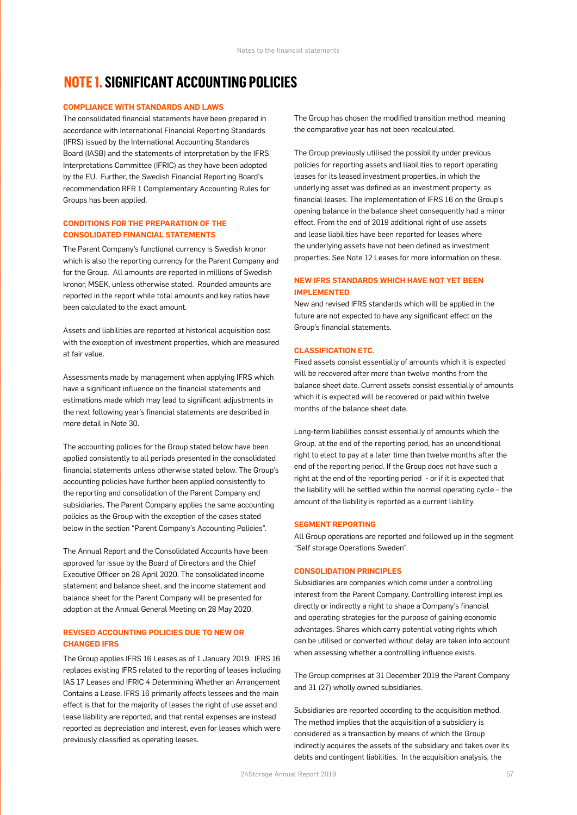### **NOTE 1. SIGNIFICANT ACCOUNTING POLICIES**

#### **COMPLIANCE WITH STANDARDS AND LAWS**

The consolidated financial statements have been prepared in accordance with International Financial Reporting Standards (IFRS) issued by the International Accounting Standards Board (IASB) and the statements of interpretation by the IFRS Interpretations Committee (IFRIC) as they have been adopted by the EU. Further, the Swedish Financial Reporting Board's recommendation RFR 1 Complementary Accounting Rules for Groups has been applied.

#### **CONDITIONS FOR THE PREPARATION OF THE CONSOLIDATED FINANCIAL STATEMENTS**

The Parent Company's functional currency is Swedish kronor which is also the reporting currency for the Parent Company and for the Group. All amounts are reported in millions of Swedish kronor, MSEK, unless otherwise stated. Rounded amounts are reported in the report while total amounts and key ratios have been calculated to the exact amount.

Assets and liabilities are reported at historical acquisition cost with the exception of investment properties, which are measured at fair value.

Assessments made by management when applying IFRS which have a significant influence on the financial statements and estimations made which may lead to significant adjustments in the next following year's financial statements are described in more detail in Note 30.

The accounting policies for the Group stated below have been applied consistently to all periods presented in the consolidated financial statements unless otherwise stated below. The Group's accounting policies have further been applied consistently to the reporting and consolidation of the Parent Company and subsidiaries. The Parent Company applies the same accounting policies as the Group with the exception of the cases stated below in the section "Parent Company's Accounting Policies".

The Annual Report and the Consolidated Accounts have been approved for issue by the Board of Directors and the Chief Executive Officer on 28 April 2020. The consolidated income statement and balance sheet, and the income statement and balance sheet for the Parent Company will be presented for adoption at the Annual General Meeting on 28 May 2020.

#### **REVISED ACCOUNTING POLICIES DUE TO NEW OR CHANGED IFRS**

The Group applies IFRS 16 Leases as of 1 January 2019. IFRS 16 replaces existing IFRS related to the reporting of leases including IAS 17 Leases and IFRIC 4 Determining Whether an Arrangement Contains a Lease. IFRS 16 primarily affects lessees and the main effect is that for the majority of leases the right of use asset and lease liability are reported, and that rental expenses are instead reported as depreciation and interest, even for leases which were previously classified as operating leases.

The Group has chosen the modified transition method, meaning the comparative year has not been recalculated.

The Group previously utilised the possibility under previous policies for reporting assets and liabilities to report operating leases for its leased investment properties, in which the underlying asset was defined as an investment property, as financial leases. The implementation of IFRS 16 on the Group's opening balance in the balance sheet consequently had a minor effect. From the end of 2019 additional right of use assets and lease liabilities have been reported for leases where the underlying assets have not been defined as investment properties. See Note 12 Leases for more information on these.

#### **NEW IFRS STANDARDS WHICH HAVE NOT YET BEEN IMPLEMENTED**

New and revised IFRS standards which will be applied in the future are not expected to have any significant effect on the Group's financial statements.

#### **CLASSIFICATION ETC.**

Fixed assets consist essentially of amounts which it is expected will be recovered after more than twelve months from the balance sheet date. Current assets consist essentially of amounts which it is expected will be recovered or paid within twelve months of the balance sheet date.

Long-term liabilities consist essentially of amounts which the Group, at the end of the reporting period, has an unconditional right to elect to pay at a later time than twelve months after the end of the reporting period. If the Group does not have such a right at the end of the reporting period - or if it is expected that the liability will be settled within the normal operating cycle – the amount of the liability is reported as a current liability.

#### **SEGMENT REPORTING**

All Group operations are reported and followed up in the segment "Self storage Operations Sweden".

#### **CONSOLIDATION PRINCIPLES**

Subsidiaries are companies which come under a controlling interest from the Parent Company. Controlling interest implies directly or indirectly a right to shape a Company's financial and operating strategies for the purpose of gaining economic advantages. Shares which carry potential voting rights which can be utilised or converted without delay are taken into account when assessing whether a controlling influence exists.

The Group comprises at 31 December 2019 the Parent Company and 31 (27) wholly owned subsidiaries.

Subsidiaries are reported according to the acquisition method. The method implies that the acquisition of a subsidiary is considered as a transaction by means of which the Group indirectly acquires the assets of the subsidiary and takes over its debts and contingent liabilities. In the acquisition analysis, the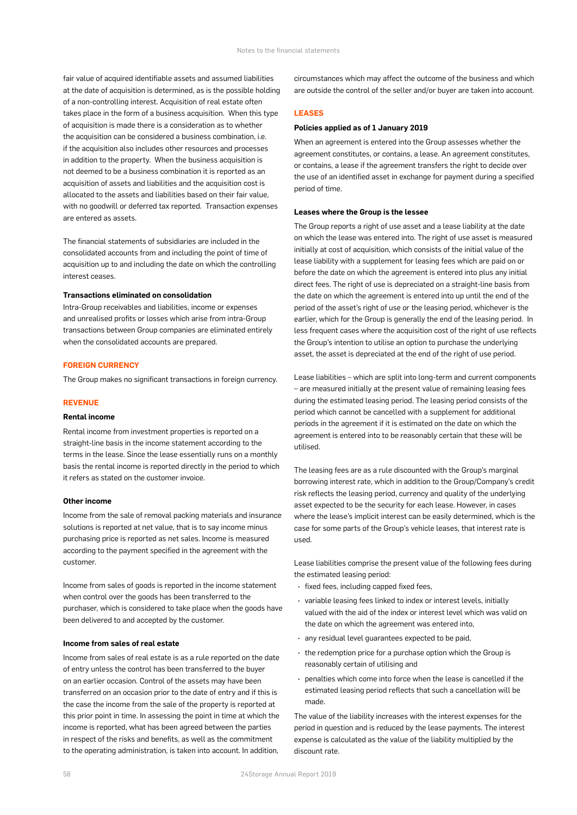fair value of acquired identifiable assets and assumed liabilities at the date of acquisition is determined, as is the possible holding of a non-controlling interest. Acquisition of real estate often takes place in the form of a business acquisition. When this type of acquisition is made there is a consideration as to whether the acquisition can be considered a business combination, i.e. if the acquisition also includes other resources and processes in addition to the property. When the business acquisition is not deemed to be a business combination it is reported as an acquisition of assets and liabilities and the acquisition cost is allocated to the assets and liabilities based on their fair value, with no goodwill or deferred tax reported. Transaction expenses are entered as assets.

The financial statements of subsidiaries are included in the consolidated accounts from and including the point of time of acquisition up to and including the date on which the controlling interest ceases.

#### **Transactions eliminated on consolidation**

Intra-Group receivables and liabilities, income or expenses and unrealised profits or losses which arise from intra-Group transactions between Group companies are eliminated entirely when the consolidated accounts are prepared.

#### **FOREIGN CURRENCY**

The Group makes no significant transactions in foreign currency.

#### **REVENUE**

#### **Rental income**

Rental income from investment properties is reported on a straight-line basis in the income statement according to the terms in the lease. Since the lease essentially runs on a monthly basis the rental income is reported directly in the period to which it refers as stated on the customer invoice.

#### **Other income**

Income from the sale of removal packing materials and insurance solutions is reported at net value, that is to say income minus purchasing price is reported as net sales. Income is measured according to the payment specified in the agreement with the customer.

Income from sales of goods is reported in the income statement when control over the goods has been transferred to the purchaser, which is considered to take place when the goods have been delivered to and accepted by the customer.

#### **Income from sales of real estate**

Income from sales of real estate is as a rule reported on the date of entry unless the control has been transferred to the buyer on an earlier occasion. Control of the assets may have been transferred on an occasion prior to the date of entry and if this is the case the income from the sale of the property is reported at this prior point in time. In assessing the point in time at which the income is reported, what has been agreed between the parties in respect of the risks and benefits, as well as the commitment to the operating administration, is taken into account. In addition,

circumstances which may affect the outcome of the business and which are outside the control of the seller and/or buyer are taken into account.

#### **LEASES**

#### **Policies applied as of 1 January 2019**

When an agreement is entered into the Group assesses whether the agreement constitutes, or contains, a lease. An agreement constitutes, or contains, a lease if the agreement transfers the right to decide over the use of an identified asset in exchange for payment during a specified period of time.

#### **Leases where the Group is the lessee**

The Group reports a right of use asset and a lease liability at the date on which the lease was entered into. The right of use asset is measured initially at cost of acquisition, which consists of the initial value of the lease liability with a supplement for leasing fees which are paid on or before the date on which the agreement is entered into plus any initial direct fees. The right of use is depreciated on a straight-line basis from the date on which the agreement is entered into up until the end of the period of the asset's right of use or the leasing period, whichever is the earlier, which for the Group is generally the end of the leasing period. In less frequent cases where the acquisition cost of the right of use reflects the Group's intention to utilise an option to purchase the underlying asset, the asset is depreciated at the end of the right of use period.

Lease liabilities – which are split into long-term and current components – are measured initially at the present value of remaining leasing fees during the estimated leasing period. The leasing period consists of the period which cannot be cancelled with a supplement for additional periods in the agreement if it is estimated on the date on which the agreement is entered into to be reasonably certain that these will be utilised.

The leasing fees are as a rule discounted with the Group's marginal borrowing interest rate, which in addition to the Group/Company's credit risk reflects the leasing period, currency and quality of the underlying asset expected to be the security for each lease. However, in cases where the lease's implicit interest can be easily determined, which is the case for some parts of the Group's vehicle leases, that interest rate is used.

Lease liabilities comprise the present value of the following fees during the estimated leasing period:

- fixed fees, including capped fixed fees,
- variable leasing fees linked to index or interest levels, initially valued with the aid of the index or interest level which was valid on the date on which the agreement was entered into,
- any residual level guarantees expected to be paid,
- the redemption price for a purchase option which the Group is reasonably certain of utilising and
- penalties which come into force when the lease is cancelled if the estimated leasing period reflects that such a cancellation will be made.

The value of the liability increases with the interest expenses for the period in question and is reduced by the lease payments. The interest expense is calculated as the value of the liability multiplied by the discount rate.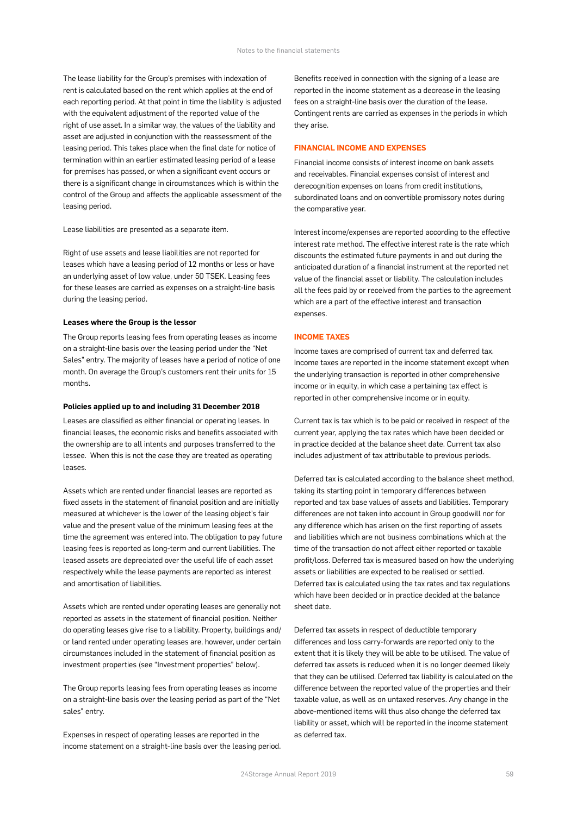The lease liability for the Group's premises with indexation of rent is calculated based on the rent which applies at the end of each reporting period. At that point in time the liability is adjusted with the equivalent adjustment of the reported value of the right of use asset. In a similar way, the values of the liability and asset are adjusted in conjunction with the reassessment of the leasing period. This takes place when the final date for notice of termination within an earlier estimated leasing period of a lease for premises has passed, or when a significant event occurs or there is a significant change in circumstances which is within the control of the Group and affects the applicable assessment of the leasing period.

Lease liabilities are presented as a separate item.

Right of use assets and lease liabilities are not reported for leases which have a leasing period of 12 months or less or have an underlying asset of low value, under 50 TSEK. Leasing fees for these leases are carried as expenses on a straight-line basis during the leasing period.

#### **Leases where the Group is the lessor**

The Group reports leasing fees from operating leases as income on a straight-line basis over the leasing period under the "Net Sales" entry. The majority of leases have a period of notice of one month. On average the Group's customers rent their units for 15 months.

#### **Policies applied up to and including 31 December 2018**

Leases are classified as either financial or operating leases. In financial leases, the economic risks and benefits associated with the ownership are to all intents and purposes transferred to the lessee. When this is not the case they are treated as operating leases.

Assets which are rented under financial leases are reported as fixed assets in the statement of financial position and are initially measured at whichever is the lower of the leasing object's fair value and the present value of the minimum leasing fees at the time the agreement was entered into. The obligation to pay future leasing fees is reported as long-term and current liabilities. The leased assets are depreciated over the useful life of each asset respectively while the lease payments are reported as interest and amortisation of liabilities.

Assets which are rented under operating leases are generally not reported as assets in the statement of financial position. Neither do operating leases give rise to a liability. Property, buildings and/ or land rented under operating leases are, however, under certain circumstances included in the statement of financial position as investment properties (see "Investment properties" below).

The Group reports leasing fees from operating leases as income on a straight-line basis over the leasing period as part of the "Net sales" entry.

Expenses in respect of operating leases are reported in the income statement on a straight-line basis over the leasing period. Benefits received in connection with the signing of a lease are reported in the income statement as a decrease in the leasing fees on a straight-line basis over the duration of the lease. Contingent rents are carried as expenses in the periods in which they arise.

#### **FINANCIAL INCOME AND EXPENSES**

Financial income consists of interest income on bank assets and receivables. Financial expenses consist of interest and derecognition expenses on loans from credit institutions, subordinated loans and on convertible promissory notes during the comparative year.

Interest income/expenses are reported according to the effective interest rate method. The effective interest rate is the rate which discounts the estimated future payments in and out during the anticipated duration of a financial instrument at the reported net value of the financial asset or liability. The calculation includes all the fees paid by or received from the parties to the agreement which are a part of the effective interest and transaction expenses.

#### **INCOME TAXES**

Income taxes are comprised of current tax and deferred tax. Income taxes are reported in the income statement except when the underlying transaction is reported in other comprehensive income or in equity, in which case a pertaining tax effect is reported in other comprehensive income or in equity.

Current tax is tax which is to be paid or received in respect of the current year, applying the tax rates which have been decided or in practice decided at the balance sheet date. Current tax also includes adjustment of tax attributable to previous periods.

Deferred tax is calculated according to the balance sheet method, taking its starting point in temporary differences between reported and tax base values of assets and liabilities. Temporary differences are not taken into account in Group goodwill nor for any difference which has arisen on the first reporting of assets and liabilities which are not business combinations which at the time of the transaction do not affect either reported or taxable profit/loss. Deferred tax is measured based on how the underlying assets or liabilities are expected to be realised or settled. Deferred tax is calculated using the tax rates and tax regulations which have been decided or in practice decided at the balance sheet date.

Deferred tax assets in respect of deductible temporary differences and loss carry-forwards are reported only to the extent that it is likely they will be able to be utilised. The value of deferred tax assets is reduced when it is no longer deemed likely that they can be utilised. Deferred tax liability is calculated on the difference between the reported value of the properties and their taxable value, as well as on untaxed reserves. Any change in the above-mentioned items will thus also change the deferred tax liability or asset, which will be reported in the income statement as deferred tax.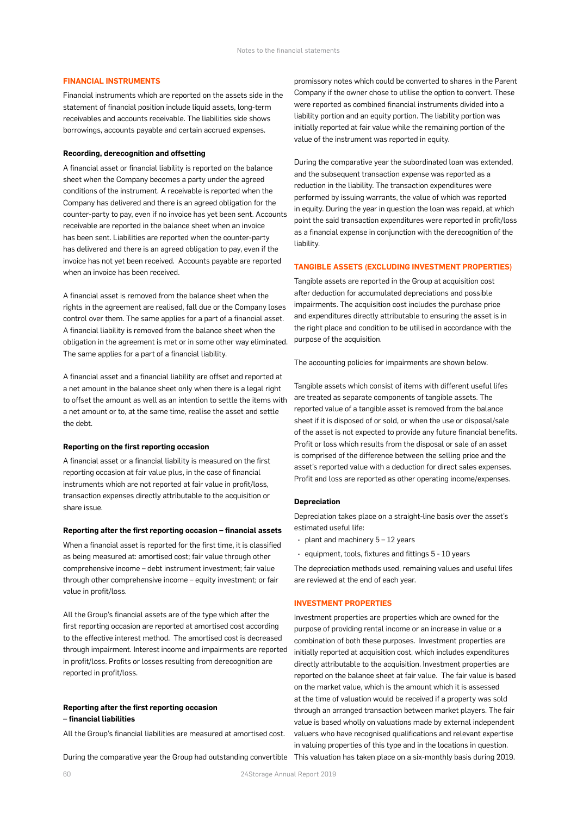#### **FINANCIAL INSTRUMENTS**

Financial instruments which are reported on the assets side in the statement of financial position include liquid assets, long-term receivables and accounts receivable. The liabilities side shows borrowings, accounts payable and certain accrued expenses.

#### **Recording, derecognition and offsetting**

A financial asset or financial liability is reported on the balance sheet when the Company becomes a party under the agreed conditions of the instrument. A receivable is reported when the Company has delivered and there is an agreed obligation for the counter-party to pay, even if no invoice has yet been sent. Accounts receivable are reported in the balance sheet when an invoice has been sent. Liabilities are reported when the counter-party has delivered and there is an agreed obligation to pay, even if the invoice has not yet been received. Accounts payable are reported when an invoice has been received.

A financial asset is removed from the balance sheet when the rights in the agreement are realised, fall due or the Company loses control over them. The same applies for a part of a financial asset. A financial liability is removed from the balance sheet when the obligation in the agreement is met or in some other way eliminated. The same applies for a part of a financial liability.

A financial asset and a financial liability are offset and reported at a net amount in the balance sheet only when there is a legal right to offset the amount as well as an intention to settle the items with a net amount or to, at the same time, realise the asset and settle the debt.

#### **Reporting on the first reporting occasion**

A financial asset or a financial liability is measured on the first reporting occasion at fair value plus, in the case of financial instruments which are not reported at fair value in profit/loss, transaction expenses directly attributable to the acquisition or share issue.

#### **Reporting after the first reporting occasion – financial assets**

When a financial asset is reported for the first time, it is classified as being measured at: amortised cost; fair value through other comprehensive income – debt instrument investment; fair value through other comprehensive income – equity investment; or fair value in profit/loss.

All the Group's financial assets are of the type which after the first reporting occasion are reported at amortised cost according to the effective interest method. The amortised cost is decreased through impairment. Interest income and impairments are reported in profit/loss. Profits or losses resulting from derecognition are reported in profit/loss.

#### **Reporting after the first reporting occasion**

#### **– financial liabilities**

All the Group's financial liabilities are measured at amortised cost.

During the comparative year the Group had outstanding convertible This valuation has taken place on a six-monthly basis during 2019.

promissory notes which could be converted to shares in the Parent Company if the owner chose to utilise the option to convert. These were reported as combined financial instruments divided into a liability portion and an equity portion. The liability portion was initially reported at fair value while the remaining portion of the value of the instrument was reported in equity.

During the comparative year the subordinated loan was extended, and the subsequent transaction expense was reported as a reduction in the liability. The transaction expenditures were performed by issuing warrants, the value of which was reported in equity. During the year in question the loan was repaid, at which point the said transaction expenditures were reported in profit/loss as a financial expense in conjunction with the derecognition of the liability.

#### **TANGIBLE ASSETS (EXCLUDING INVESTMENT PROPERTIES)**

Tangible assets are reported in the Group at acquisition cost after deduction for accumulated depreciations and possible impairments. The acquisition cost includes the purchase price and expenditures directly attributable to ensuring the asset is in the right place and condition to be utilised in accordance with the purpose of the acquisition.

The accounting policies for impairments are shown below.

Tangible assets which consist of items with different useful lifes are treated as separate components of tangible assets. The reported value of a tangible asset is removed from the balance sheet if it is disposed of or sold, or when the use or disposal/sale of the asset is not expected to provide any future financial benefits. Profit or loss which results from the disposal or sale of an asset is comprised of the difference between the selling price and the asset's reported value with a deduction for direct sales expenses. Profit and loss are reported as other operating income/expenses.

#### **Depreciation**

Depreciation takes place on a straight-line basis over the asset's estimated useful life:

- $\cdot$  plant and machinery  $5 12$  years
- equipment, tools, fixtures and fittings 5 10 years

The depreciation methods used, remaining values and useful lifes are reviewed at the end of each year.

#### **INVESTMENT PROPERTIES**

Investment properties are properties which are owned for the purpose of providing rental income or an increase in value or a combination of both these purposes. Investment properties are initially reported at acquisition cost, which includes expenditures directly attributable to the acquisition. Investment properties are reported on the balance sheet at fair value. The fair value is based on the market value, which is the amount which it is assessed at the time of valuation would be received if a property was sold through an arranged transaction between market players. The fair value is based wholly on valuations made by external independent valuers who have recognised qualifications and relevant expertise in valuing properties of this type and in the locations in question.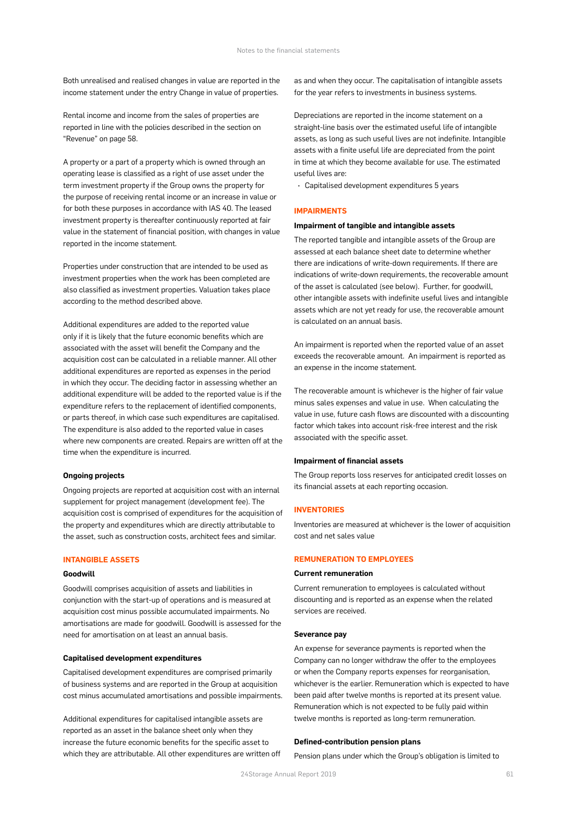Both unrealised and realised changes in value are reported in the income statement under the entry Change in value of properties.

Rental income and income from the sales of properties are reported in line with the policies described in the section on "Revenue" on page 58.

A property or a part of a property which is owned through an operating lease is classified as a right of use asset under the term investment property if the Group owns the property for the purpose of receiving rental income or an increase in value or for both these purposes in accordance with IAS 40. The leased investment property is thereafter continuously reported at fair value in the statement of financial position, with changes in value reported in the income statement.

Properties under construction that are intended to be used as investment properties when the work has been completed are also classified as investment properties. Valuation takes place according to the method described above.

Additional expenditures are added to the reported value only if it is likely that the future economic benefits which are associated with the asset will benefit the Company and the acquisition cost can be calculated in a reliable manner. All other additional expenditures are reported as expenses in the period in which they occur. The deciding factor in assessing whether an additional expenditure will be added to the reported value is if the expenditure refers to the replacement of identified components, or parts thereof, in which case such expenditures are capitalised. The expenditure is also added to the reported value in cases where new components are created. Repairs are written off at the time when the expenditure is incurred.

#### **Ongoing projects**

Ongoing projects are reported at acquisition cost with an internal supplement for project management (development fee). The acquisition cost is comprised of expenditures for the acquisition of the property and expenditures which are directly attributable to the asset, such as construction costs, architect fees and similar.

#### **INTANGIBLE ASSETS**

#### **Goodwill**

Goodwill comprises acquisition of assets and liabilities in conjunction with the start-up of operations and is measured at acquisition cost minus possible accumulated impairments. No amortisations are made for goodwill. Goodwill is assessed for the need for amortisation on at least an annual basis.

#### **Capitalised development expenditures**

Capitalised development expenditures are comprised primarily of business systems and are reported in the Group at acquisition cost minus accumulated amortisations and possible impairments.

Additional expenditures for capitalised intangible assets are reported as an asset in the balance sheet only when they increase the future economic benefits for the specific asset to which they are attributable. All other expenditures are written off as and when they occur. The capitalisation of intangible assets for the year refers to investments in business systems.

Depreciations are reported in the income statement on a straight-line basis over the estimated useful life of intangible assets, as long as such useful lives are not indefinite. Intangible assets with a finite useful life are depreciated from the point in time at which they become available for use. The estimated useful lives are:

• Capitalised development expenditures 5 years

#### **IMPAIRMENTS**

#### **Impairment of tangible and intangible assets**

The reported tangible and intangible assets of the Group are assessed at each balance sheet date to determine whether there are indications of write-down requirements. If there are indications of write-down requirements, the recoverable amount of the asset is calculated (see below). Further, for goodwill, other intangible assets with indefinite useful lives and intangible assets which are not yet ready for use, the recoverable amount is calculated on an annual basis.

An impairment is reported when the reported value of an asset exceeds the recoverable amount. An impairment is reported as an expense in the income statement.

The recoverable amount is whichever is the higher of fair value minus sales expenses and value in use. When calculating the value in use, future cash flows are discounted with a discounting factor which takes into account risk-free interest and the risk associated with the specific asset.

#### **Impairment of financial assets**

The Group reports loss reserves for anticipated credit losses on its financial assets at each reporting occasion.

#### **INVENTOBIES**

Inventories are measured at whichever is the lower of acquisition cost and net sales value

#### **REMUNERATION TO EMPLOYEES**

#### **Current remuneration**

Current remuneration to employees is calculated without discounting and is reported as an expense when the related services are received.

#### **Severance pay**

An expense for severance payments is reported when the Company can no longer withdraw the offer to the employees or when the Company reports expenses for reorganisation, whichever is the earlier. Remuneration which is expected to have been paid after twelve months is reported at its present value. Remuneration which is not expected to be fully paid within twelve months is reported as long-term remuneration.

#### **Defined-contribution pension plans**

Pension plans under which the Group's obligation is limited to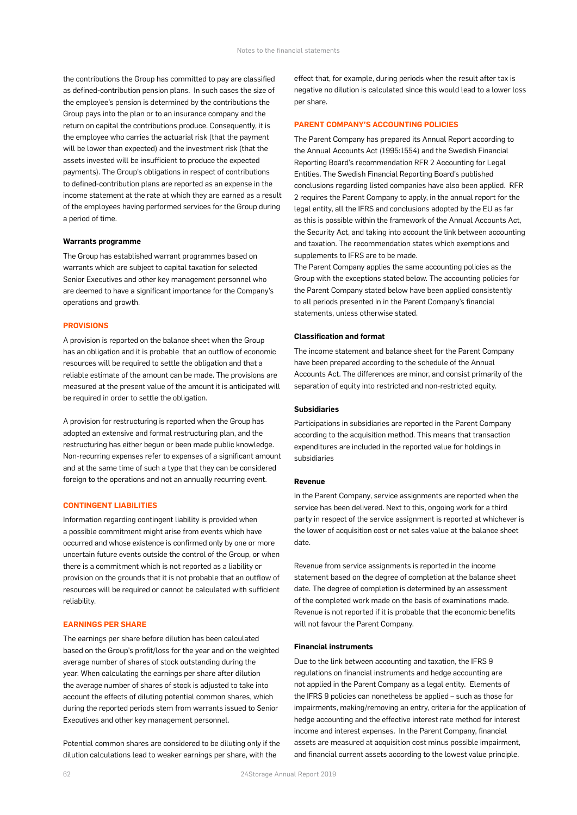the contributions the Group has committed to pay are classified as defined-contribution pension plans. In such cases the size of the employee's pension is determined by the contributions the Group pays into the plan or to an insurance company and the return on capital the contributions produce. Consequently, it is the employee who carries the actuarial risk (that the payment will be lower than expected) and the investment risk (that the assets invested will be insufficient to produce the expected payments). The Group's obligations in respect of contributions to defined-contribution plans are reported as an expense in the income statement at the rate at which they are earned as a result of the employees having performed services for the Group during a period of time.

#### **Warrants programme**

The Group has established warrant programmes based on warrants which are subject to capital taxation for selected Senior Executives and other key management personnel who are deemed to have a significant importance for the Company's operations and growth.

#### **PROVISIONS**

A provision is reported on the balance sheet when the Group has an obligation and it is probable that an outflow of economic resources will be required to settle the obligation and that a reliable estimate of the amount can be made. The provisions are measured at the present value of the amount it is anticipated will be required in order to settle the obligation.

A provision for restructuring is reported when the Group has adopted an extensive and formal restructuring plan, and the restructuring has either begun or been made public knowledge. Non-recurring expenses refer to expenses of a significant amount and at the same time of such a type that they can be considered foreign to the operations and not an annually recurring event.

#### **CONTINGENT LIABILITIES**

Information regarding contingent liability is provided when a possible commitment might arise from events which have occurred and whose existence is confirmed only by one or more uncertain future events outside the control of the Group, or when there is a commitment which is not reported as a liability or provision on the grounds that it is not probable that an outflow of resources will be required or cannot be calculated with sufficient reliability.

#### **EARNINGS PER SHARE**

The earnings per share before dilution has been calculated based on the Group's profit/loss for the year and on the weighted average number of shares of stock outstanding during the year. When calculating the earnings per share after dilution the average number of shares of stock is adjusted to take into account the effects of diluting potential common shares, which during the reported periods stem from warrants issued to Senior Executives and other key management personnel.

Potential common shares are considered to be diluting only if the dilution calculations lead to weaker earnings per share, with the

effect that, for example, during periods when the result after tax is negative no dilution is calculated since this would lead to a lower loss per share.

#### **PARENT COMPANY'S ACCOUNTING POLICIES**

The Parent Company has prepared its Annual Report according to the Annual Accounts Act (1995:1554) and the Swedish Financial Reporting Board's recommendation RFR 2 Accounting for Legal Entities. The Swedish Financial Reporting Board's published conclusions regarding listed companies have also been applied. RFR 2 requires the Parent Company to apply, in the annual report for the legal entity, all the IFRS and conclusions adopted by the EU as far as this is possible within the framework of the Annual Accounts Act, the Security Act, and taking into account the link between accounting and taxation. The recommendation states which exemptions and supplements to IFRS are to be made.

The Parent Company applies the same accounting policies as the Group with the exceptions stated below. The accounting policies for the Parent Company stated below have been applied consistently to all periods presented in in the Parent Company's financial statements, unless otherwise stated.

#### **Classification and format**

The income statement and balance sheet for the Parent Company have been prepared according to the schedule of the Annual Accounts Act. The differences are minor, and consist primarily of the separation of equity into restricted and non-restricted equity.

#### **Subsidiaries**

Participations in subsidiaries are reported in the Parent Company according to the acquisition method. This means that transaction expenditures are included in the reported value for holdings in subsidiaries

#### **Revenue**

In the Parent Company, service assignments are reported when the service has been delivered. Next to this, ongoing work for a third party in respect of the service assignment is reported at whichever is the lower of acquisition cost or net sales value at the balance sheet date.

Revenue from service assignments is reported in the income statement based on the degree of completion at the balance sheet date. The degree of completion is determined by an assessment of the completed work made on the basis of examinations made. Revenue is not reported if it is probable that the economic benefits will not favour the Parent Company.

#### **Financial instruments**

Due to the link between accounting and taxation, the IFRS 9 regulations on financial instruments and hedge accounting are not applied in the Parent Company as a legal entity. Elements of the IFRS 9 policies can nonetheless be applied – such as those for impairments, making/removing an entry, criteria for the application of hedge accounting and the effective interest rate method for interest income and interest expenses. In the Parent Company, financial assets are measured at acquisition cost minus possible impairment, and financial current assets according to the lowest value principle.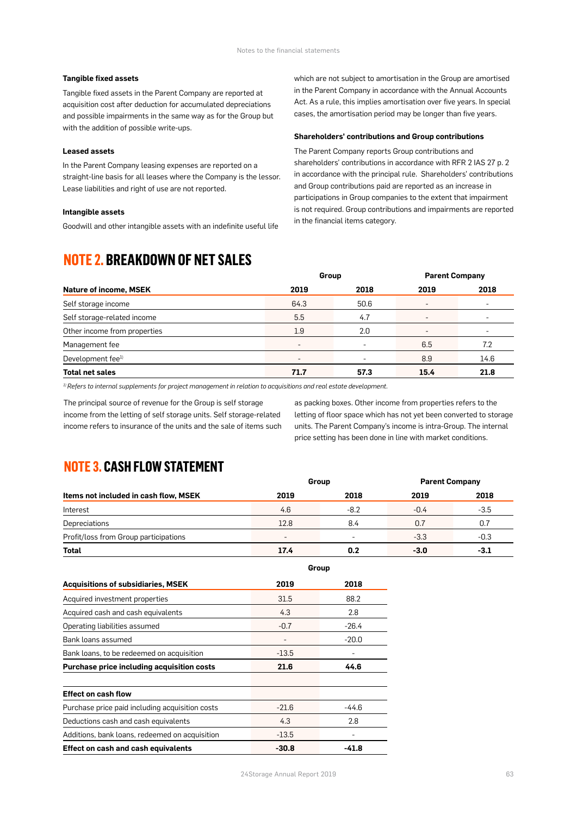#### **Tangible fixed assets**

Tangible fixed assets in the Parent Company are reported at acquisition cost after deduction for accumulated depreciations and possible impairments in the same way as for the Group but with the addition of possible write-ups.

#### **Leased assets**

In the Parent Company leasing expenses are reported on a straight-line basis for all leases where the Company is the lessor. Lease liabilities and right of use are not reported.

**Intangible assets** 

Goodwill and other intangible assets with an indefinite useful life

### **NOTE 2. BREAKDOWN OF NET SALES**

which are not subject to amortisation in the Group are amortised in the Parent Company in accordance with the Annual Accounts Act. As a rule, this implies amortisation over five years. In special cases, the amortisation period may be longer than five years.

#### **Shareholders' contributions and Group contributions**

The Parent Company reports Group contributions and shareholders' contributions in accordance with RFR 2 IAS 27 p. 2 in accordance with the principal rule. Shareholders' contributions and Group contributions paid are reported as an increase in participations in Group companies to the extent that impairment is not required. Group contributions and impairments are reported in the financial items category.

|                               | Group                    |      | <b>Parent Company</b>    |                          |
|-------------------------------|--------------------------|------|--------------------------|--------------------------|
| <b>Nature of income, MSEK</b> | 2019                     | 2018 | 2019                     | 2018                     |
| Self storage income           | 64.3                     | 50.6 | $\overline{\phantom{a}}$ | -                        |
| Self storage-related income   | 5.5                      | 4.7  | $\overline{\phantom{a}}$ | $\overline{\phantom{0}}$ |
| Other income from properties  | 1.9                      | 2.0  | $\overline{\phantom{a}}$ | $\overline{\phantom{0}}$ |
| Management fee                | ٠                        | ۰    | 6.5                      | 7.2                      |
| Development fee <sup>1)</sup> | $\overline{\phantom{0}}$ |      | 8.9                      | 14.6                     |
| <b>Total net sales</b>        | 71.7                     | 57.3 | 15.4                     | 21.8                     |

*1) Refers to internal supplements for project management in relation to acquisitions and real estate development.*

The principal source of revenue for the Group is self storage income from the letting of self storage units. Self storage-related income refers to insurance of the units and the sale of items such as packing boxes. Other income from properties refers to the letting of floor space which has not yet been converted to storage units. The Parent Company's income is intra-Group. The internal price setting has been done in line with market conditions.

### **NOTE 3. CASH FLOW STATEMENT**

|                                       |      | Group  | <b>Parent Company</b> |        |  |
|---------------------------------------|------|--------|-----------------------|--------|--|
| Items not included in cash flow, MSEK | 2019 | 2018   | 2019                  | 2018   |  |
| Interest                              | 4.6  | $-8.2$ | $-0.4$                | $-3.5$ |  |
| Depreciations                         | 12.8 | 8.4    | 0.7                   | 0.7    |  |
| Profit/loss from Group participations |      | -      | $-3.3$                | $-0.3$ |  |
| <b>Total</b>                          | 17.4 | 0.2    | $-3.0$                | -3.1   |  |

|                                                 |         | Group   |
|-------------------------------------------------|---------|---------|
| <b>Acquisitions of subsidiaries, MSEK</b>       | 2019    | 2018    |
| Acquired investment properties                  | 31.5    | 88.2    |
| Acquired cash and cash equivalents              | 4.3     | 2.8     |
| Operating liabilities assumed                   | $-0.7$  | $-26.4$ |
| Bank loans assumed                              |         | $-20.0$ |
| Bank loans, to be redeemed on acquisition       | $-13.5$ |         |
| Purchase price including acquisition costs      | 21.6    | 44.6    |
| <b>Effect on cash flow</b>                      |         |         |
| Purchase price paid including acquisition costs | $-21.6$ | $-44.6$ |
| Deductions cash and cash equivalents            | 4.3     | 2.8     |
| Additions, bank loans, redeemed on acquisition  | $-13.5$ |         |
| <b>Effect on cash and cash equivalents</b>      | $-30.8$ | -41.8   |

**Group**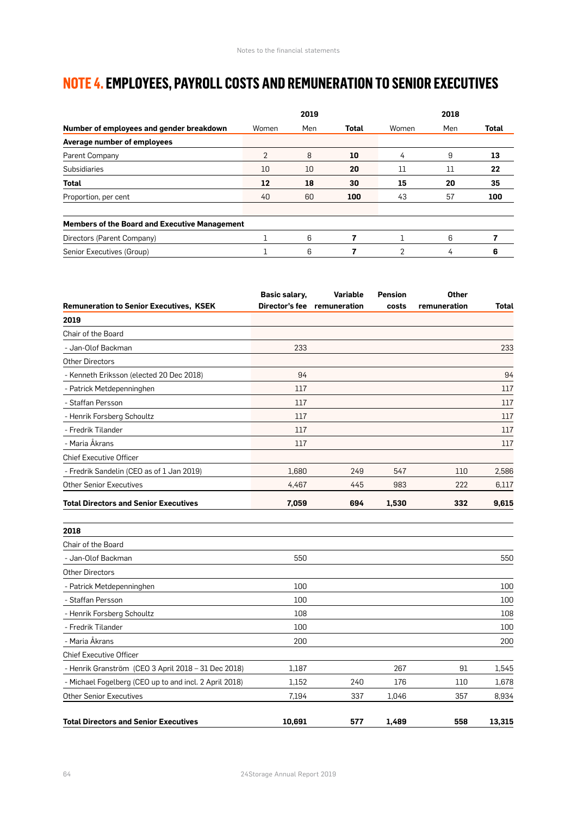# **NOTE 4. EMPLOYEES, PAYROLL COSTS AND REMUNERATION TO SENIOR EXECUTIVES**

|                                                      |                | 2019 |              |       | 2018 |              |
|------------------------------------------------------|----------------|------|--------------|-------|------|--------------|
| Number of employees and gender breakdown             | Women          | Men  | <b>Total</b> | Women | Men  | <b>Total</b> |
| Average number of employees                          |                |      |              |       |      |              |
| Parent Company                                       | $\overline{2}$ | 8    | 10           | 4     | 9    | 13           |
| Subsidiaries                                         | 10             | 10   | 20           | 11    | 11   | 22           |
| <b>Total</b>                                         | 12             | 18   | 30           | 15    | 20   | 35           |
| Proportion, per cent                                 | 40             | 60   | 100          | 43    | 57   | 100          |
| <b>Members of the Board and Executive Management</b> |                |      |              |       |      |              |
| Directors (Parent Company)                           |                | 6    |              |       | 6    |              |
| Senior Executives (Group)                            |                | 6    |              | 2     | 4    | 6            |

|                                                        | Basic salary, | <b>Variable</b>             | <b>Pension</b> | <b>Other</b> |        |
|--------------------------------------------------------|---------------|-----------------------------|----------------|--------------|--------|
| <b>Remuneration to Senior Executives, KSEK</b>         |               | Director's fee remuneration | costs          | remuneration | Total  |
| 2019                                                   |               |                             |                |              |        |
| Chair of the Board                                     |               |                             |                |              |        |
| - Jan-Olof Backman                                     | 233           |                             |                |              | 233    |
| Other Directors                                        |               |                             |                |              |        |
| - Kenneth Eriksson (elected 20 Dec 2018)               | 94            |                             |                |              | 94     |
| - Patrick Metdepenninghen                              | 117           |                             |                |              | 117    |
| - Staffan Persson                                      | 117           |                             |                |              | 117    |
| - Henrik Forsberg Schoultz                             | 117           |                             |                |              | 117    |
| - Fredrik Tilander                                     | 117           |                             |                |              | 117    |
| - Maria Åkrans                                         | 117           |                             |                |              | 117    |
| <b>Chief Executive Officer</b>                         |               |                             |                |              |        |
| - Fredrik Sandelin (CEO as of 1 Jan 2019)              | 1,680         | 249                         | 547            | 110          | 2,586  |
| <b>Other Senior Executives</b>                         | 4,467         | 445                         | 983            | 222          | 6,117  |
| <b>Total Directors and Senior Executives</b>           | 7,059         | 694                         | 1,530          | 332          | 9,615  |
| 2018                                                   |               |                             |                |              |        |
| Chair of the Board                                     |               |                             |                |              |        |
| - Jan-Olof Backman                                     | 550           |                             |                |              | 550    |
| <b>Other Directors</b>                                 |               |                             |                |              |        |
| - Patrick Metdepenninghen                              | 100           |                             |                |              | 100    |
| - Staffan Persson                                      | 100           |                             |                |              | 100    |
| - Henrik Forsberg Schoultz                             | 108           |                             |                |              | 108    |
| - Fredrik Tilander                                     | 100           |                             |                |              | 100    |
| - Maria Åkrans                                         | 200           |                             |                |              | 200    |
| <b>Chief Executive Officer</b>                         |               |                             |                |              |        |
| - Henrik Granström (CEO 3 April 2018 - 31 Dec 2018)    | 1,187         |                             | 267            | 91           | 1,545  |
| - Michael Fogelberg (CEO up to and incl. 2 April 2018) | 1,152         | 240                         | 176            | 110          | 1,678  |
| <b>Other Senior Executives</b>                         | 7,194         | 337                         | 1,046          | 357          | 8,934  |
| <b>Total Directors and Senior Executives</b>           | 10,691        | 577                         | 1.489          | 558          | 13,315 |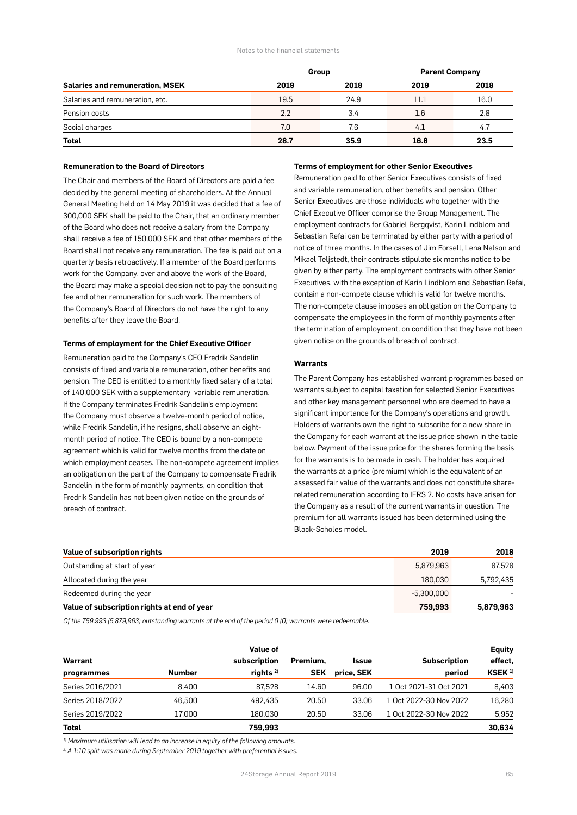#### Notes to the financial statements

|                                        |      | Group | <b>Parent Company</b> |      |  |
|----------------------------------------|------|-------|-----------------------|------|--|
| <b>Salaries and remuneration, MSEK</b> | 2019 | 2018  | 2019                  | 2018 |  |
| Salaries and remuneration, etc.        | 19.5 | 24.9  | 11.1                  | 16.0 |  |
| Pension costs                          | 2.2  | 3.4   | 1.6                   | 2.8  |  |
| Social charges                         | 7.0  | 7.6   | 4.1                   | 4.7  |  |
| <b>Total</b>                           | 28.7 | 35.9  | 16.8                  | 23.5 |  |

#### **Remuneration to the Board of Directors**

The Chair and members of the Board of Directors are paid a fee decided by the general meeting of shareholders. At the Annual General Meeting held on 14 May 2019 it was decided that a fee of 300,000 SEK shall be paid to the Chair, that an ordinary member of the Board who does not receive a salary from the Company shall receive a fee of 150,000 SEK and that other members of the Board shall not receive any remuneration. The fee is paid out on a quarterly basis retroactively. If a member of the Board performs work for the Company, over and above the work of the Board, the Board may make a special decision not to pay the consulting fee and other remuneration for such work. The members of the Company's Board of Directors do not have the right to any benefits after they leave the Board.

#### **Terms of employment for the Chief Executive Officer**

Remuneration paid to the Company's CEO Fredrik Sandelin consists of fixed and variable remuneration, other benefits and pension. The CEO is entitled to a monthly fixed salary of a total of 140,000 SEK with a supplementary variable remuneration. If the Company terminates Fredrik Sandelin's employment the Company must observe a twelve-month period of notice, while Fredrik Sandelin, if he resigns, shall observe an eightmonth period of notice. The CEO is bound by a non-compete agreement which is valid for twelve months from the date on which employment ceases. The non-compete agreement implies an obligation on the part of the Company to compensate Fredrik Sandelin in the form of monthly payments, on condition that Fredrik Sandelin has not been given notice on the grounds of breach of contract.

#### **Terms of employment for other Senior Executives**

Remuneration paid to other Senior Executives consists of fixed and variable remuneration, other benefits and pension. Other Senior Executives are those individuals who together with the Chief Executive Officer comprise the Group Management. The employment contracts for Gabriel Bergqvist, Karin Lindblom and Sebastian Refai can be terminated by either party with a period of notice of three months. In the cases of Jim Forsell, Lena Nelson and Mikael Teljstedt, their contracts stipulate six months notice to be given by either party. The employment contracts with other Senior Executives, with the exception of Karin Lindblom and Sebastian Refai, contain a non-compete clause which is valid for twelve months. The non-compete clause imposes an obligation on the Company to compensate the employees in the form of monthly payments after the termination of employment, on condition that they have not been given notice on the grounds of breach of contract.

#### **Warrants**

The Parent Company has established warrant programmes based on warrants subject to capital taxation for selected Senior Executives and other key management personnel who are deemed to have a significant importance for the Company's operations and growth. Holders of warrants own the right to subscribe for a new share in the Company for each warrant at the issue price shown in the table below. Payment of the issue price for the shares forming the basis for the warrants is to be made in cash. The holder has acquired the warrants at a price (premium) which is the equivalent of an assessed fair value of the warrants and does not constitute sharerelated remuneration according to IFRS 2. No costs have arisen for the Company as a result of the current warrants in question. The premium for all warrants issued has been determined using the Black-Scholes model.

| Value of subscription rights                | 2019       | 2018      |
|---------------------------------------------|------------|-----------|
| Outstanding at start of year                | 5.879.963  | 87,528    |
| Allocated during the year                   | 180.030    | 5,792,435 |
| Redeemed during the year                    | -5.300.000 |           |
| Value of subscription rights at end of year | 759.993    | 5,879,963 |

*Of the 759,993 (5,879,963) outstanding warrants at the end of the period 0 (0) warrants were redeemable.*

| Warrant          |               | Value of<br>subscription | Premium.   | <b>Issue</b> | <b>Subscription</b>    | <b>Equity</b><br>effect. |
|------------------|---------------|--------------------------|------------|--------------|------------------------|--------------------------|
| programmes       | <b>Number</b> | rights $2$               | <b>SEK</b> | price, SEK   | period                 | KSEK <sup>1)</sup>       |
| Series 2016/2021 | 8.400         | 87.528                   | 14.60      | 96.00        | 1 Oct 2021-31 Oct 2021 | 8,403                    |
| Series 2018/2022 | 46.500        | 492.435                  | 20.50      | 33.06        | 1 Oct 2022-30 Nov 2022 | 16,280                   |
| Series 2019/2022 | 17,000        | 180.030                  | 20.50      | 33.06        | 1 Oct 2022-30 Nov 2022 | 5,952                    |
| <b>Total</b>     |               | 759,993                  |            |              |                        | 30,634                   |

*1) Maximum utilisation will lead to an increase in equity of the following amounts.*

*2) A 1:10 split was made during September 2019 together with preferential issues.*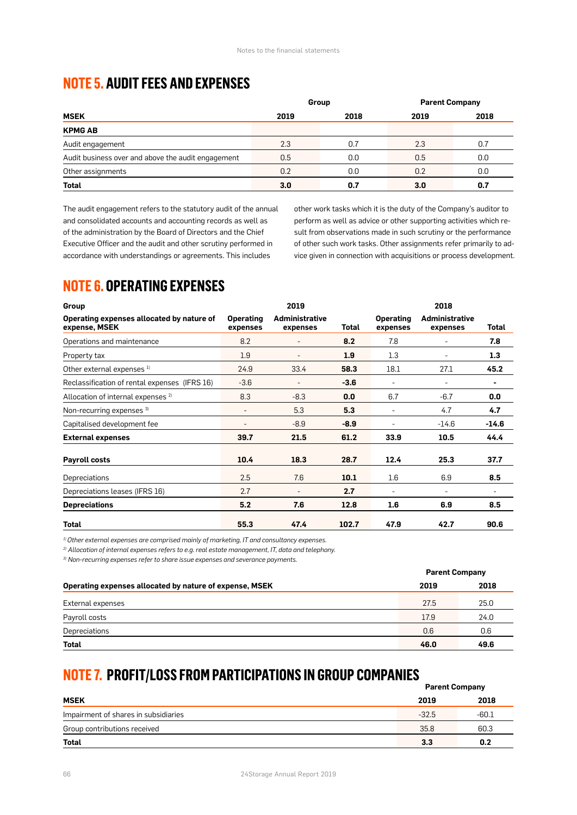### **NOTE 5. AUDIT FEES AND EXPENSES**

|                                                    | Group        |     | <b>Parent Company</b> |     |  |
|----------------------------------------------------|--------------|-----|-----------------------|-----|--|
| <b>MSEK</b>                                        | 2018<br>2019 |     | 2019<br>2018          |     |  |
| <b>KPMG AB</b>                                     |              |     |                       |     |  |
| Audit engagement                                   | 2.3          | 0.7 | 2.3                   | 0.7 |  |
| Audit business over and above the audit engagement | 0.5          | 0.0 | 0.5                   | 0.0 |  |
| Other assignments                                  | 0.2          | 0.0 | 0.2                   | 0.0 |  |
| <b>Total</b>                                       | 3.0          | 0.7 | 3.0                   | 0.7 |  |

The audit engagement refers to the statutory audit of the annual and consolidated accounts and accounting records as well as of the administration by the Board of Directors and the Chief Executive Officer and the audit and other scrutiny performed in accordance with understandings or agreements. This includes

other work tasks which it is the duty of the Company's auditor to perform as well as advice or other supporting activities which result from observations made in such scrutiny or the performance of other such work tasks. Other assignments refer primarily to advice given in connection with acquisitions or process development.

## **NOTE 6. OPERATING EXPENSES**

| Group                                                      |                              | 2019                              |        | 2018                         |                                   |         |
|------------------------------------------------------------|------------------------------|-----------------------------------|--------|------------------------------|-----------------------------------|---------|
| Operating expenses allocated by nature of<br>expense, MSEK | <b>Operating</b><br>expenses | <b>Administrative</b><br>expenses | Total  | <b>Operating</b><br>expenses | <b>Administrative</b><br>expenses | Total   |
| Operations and maintenance                                 | 8.2                          |                                   | 8.2    | 7.8                          | ۰                                 | 7.8     |
| Property tax                                               | 1.9                          | ٠                                 | 1.9    | 1.3                          | ٠                                 | 1.3     |
| Other external expenses <sup>1)</sup>                      | 24.9                         | 33.4                              | 58.3   | 18.1                         | 27.1                              | 45.2    |
| Reclassification of rental expenses (IFRS 16)              | $-3.6$                       | $\overline{\phantom{a}}$          | $-3.6$ | $\overline{\phantom{a}}$     | ٠                                 | ٠       |
| Allocation of internal expenses <sup>2)</sup>              | 8.3                          | $-8.3$                            | 0.0    | 6.7                          | $-6.7$                            | 0.0     |
| Non-recurring expenses 3)                                  | $\overline{\phantom{a}}$     | 5.3                               | 5.3    | ۰                            | 4.7                               | 4.7     |
| Capitalised development fee                                |                              | $-8.9$                            | $-8.9$ |                              | $-14.6$                           | $-14.6$ |
| <b>External expenses</b>                                   | 39.7                         | 21.5                              | 61.2   | 33.9                         | 10.5                              | 44.4    |
| Payroll costs                                              | 10.4                         | 18.3                              | 28.7   | 12.4                         | 25.3                              | 37.7    |
| Depreciations                                              | 2.5                          | 7.6                               | 10.1   | $1.6\,$                      | 6.9                               | 8.5     |
| Depreciations leases (IFRS 16)                             | 2.7                          | ۰                                 | 2.7    | ۰                            | ٠                                 | ۰       |
| <b>Depreciations</b>                                       | 5.2                          | 7.6                               | 12.8   | 1.6                          | 6.9                               | 8.5     |
| <b>Total</b>                                               | 55.3                         | 47.4                              | 102.7  | 47.9                         | 42.7                              | 90.6    |

*1) Other external expenses are comprised mainly of marketing, IT and consultancy expenses.*

*2) Allocation of internal expenses refers to e.g. real estate management, IT, data and telephony.*

*3) Non-recurring expenses refer to share issue expenses and severance payments.*

|                                                         |      | <b>Parent Company</b> |  |  |
|---------------------------------------------------------|------|-----------------------|--|--|
| Operating expenses allocated by nature of expense, MSEK | 2019 | 2018                  |  |  |
| External expenses                                       | 27.5 | 25.0                  |  |  |
| Payroll costs                                           | 17.9 | 24.0                  |  |  |
| Depreciations                                           | 0.6  | 0.6                   |  |  |
| <b>Total</b>                                            | 46.0 | 49.6                  |  |  |

# **NOTE 7. PROFIT/LOSS FROM PARTICIPATIONS IN GROUP COMPANIES**

|                                      |         | <b>Parent Company</b> |  |  |
|--------------------------------------|---------|-----------------------|--|--|
| <b>MSEK</b>                          | 2019    | 2018                  |  |  |
| Impairment of shares in subsidiaries | $-32.5$ | -60.1                 |  |  |
| Group contributions received         | 35.8    | 60.3                  |  |  |
| Total                                | 3.3     | 0.2                   |  |  |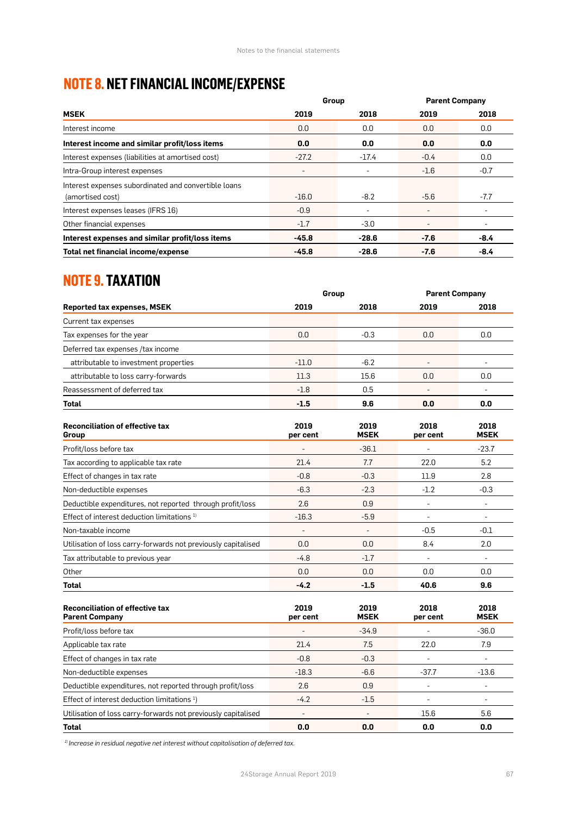# **NOTE 8. NET FINANCIAL INCOME/EXPENSE**

|                                                      | Group   |         | <b>Parent Company</b>    |        |
|------------------------------------------------------|---------|---------|--------------------------|--------|
| <b>MSEK</b>                                          | 2019    | 2018    | 2019                     | 2018   |
| Interest income                                      | 0.0     | 0.0     | 0.0                      | 0.0    |
| Interest income and similar profit/loss items        | 0.0     | 0.0     | 0.0                      | 0.0    |
| Interest expenses (liabilities at amortised cost)    | $-27.2$ | $-17.4$ | $-0.4$                   | 0.0    |
| Intra-Group interest expenses                        | -       | ۰       | $-1.6$                   | $-0.7$ |
| Interest expenses subordinated and convertible loans | $-16.0$ | $-8.2$  | $-5.6$                   | $-7.7$ |
| (amortised cost)                                     |         |         |                          |        |
| Interest expenses leases (IFRS 16)                   | $-0.9$  | ٠       | -                        |        |
| Other financial expenses                             | $-1.7$  | $-3.0$  | $\overline{\phantom{a}}$ |        |
| Interest expenses and similar profit/loss items      | $-45.8$ | $-28.6$ | $-7.6$                   | $-8.4$ |
| Total net financial income/expense                   | $-45.8$ | $-28.6$ | $-7.6$                   | $-8.4$ |

### **NOTE 9. TAXATION**

|                                                                 | Group                    |                          | <b>Parent Company</b>    |                          |
|-----------------------------------------------------------------|--------------------------|--------------------------|--------------------------|--------------------------|
| <b>Reported tax expenses, MSEK</b>                              | 2019                     | 2018                     | 2019                     | 2018                     |
| Current tax expenses                                            |                          |                          |                          |                          |
| Tax expenses for the year                                       | 0.0                      | $-0.3$                   | 0.0                      | 0.0                      |
| Deferred tax expenses /tax income                               |                          |                          |                          |                          |
| attributable to investment properties                           | $-11.0$                  | $-6.2$                   |                          |                          |
| attributable to loss carry-forwards                             | 11.3                     | 15.6                     | 0.0                      | 0.0                      |
| Reassessment of deferred tax                                    | $-1.8$                   | 0.5                      |                          |                          |
| <b>Total</b>                                                    | $-1.5$                   | 9.6                      | 0.0                      | 0.0                      |
| <b>Reconciliation of effective tax</b><br>Group                 | 2019<br>per cent         | 2019<br><b>MSEK</b>      | 2018<br>per cent         | 2018<br><b>MSEK</b>      |
| Profit/loss before tax                                          |                          | $-36.1$                  |                          | $-23.7$                  |
| Tax according to applicable tax rate                            | 21.4                     | 7.7                      | 22.0                     | 5.2                      |
| Effect of changes in tax rate                                   | $-0.8$                   | $-0.3$                   | 11.9                     | 2.8                      |
| Non-deductible expenses                                         | $-6.3$                   | $-2.3$                   | $-1.2$                   | $-0.3$                   |
| Deductible expenditures, not reported through profit/loss       | 2.6                      | 0.9                      | $\overline{a}$           | $\overline{\phantom{a}}$ |
| Effect of interest deduction limitations <sup>1)</sup>          | $-16.3$                  | $-5.9$                   | $\overline{\phantom{a}}$ | $\sim$                   |
| Non-taxable income                                              | $\overline{\phantom{m}}$ | $\overline{\phantom{a}}$ | $-0.5$                   | $-0.1$                   |
| Utilisation of loss carry-forwards not previously capitalised   | 0.0                      | 0.0                      | 8.4                      | 2.0                      |
| Tax attributable to previous year                               | $-4.8$                   | $-1.7$                   | $\overline{a}$           | $\overline{\phantom{a}}$ |
| Other                                                           | 0.0                      | 0.0                      | 0.0                      | 0.0                      |
| <b>Total</b>                                                    | $-4.2$                   | $-1.5$                   | 40.6                     | 9.6                      |
| <b>Reconciliation of effective tax</b><br><b>Parent Company</b> | 2019<br>per cent         | 2019<br><b>MSEK</b>      | 2018<br>per cent         | 2018<br><b>MSEK</b>      |
| Profit/loss before tax                                          |                          | $-34.9$                  |                          | $-36.0$                  |

| per cent | <b>MSEK</b> | per cent                 | <b>MSEK</b> |
|----------|-------------|--------------------------|-------------|
|          | $-34.9$     |                          | $-36.0$     |
| 21.4     | 7.5         | 22.0                     | 7.9         |
| $-0.8$   | $-0.3$      | $\overline{\phantom{a}}$ |             |
| $-18.3$  | $-6.6$      | $-37.7$                  | $-13.6$     |
| 2.6      | 0.9         | ٠                        |             |
| $-4.2$   | $-1.5$      |                          |             |
|          |             | 15.6                     | 5.6         |
| 0.0      | 0.0         | 0.0                      | 0.0         |
|          |             |                          |             |

*1) Increase in residual negative net interest without capitalisation of deferred tax.*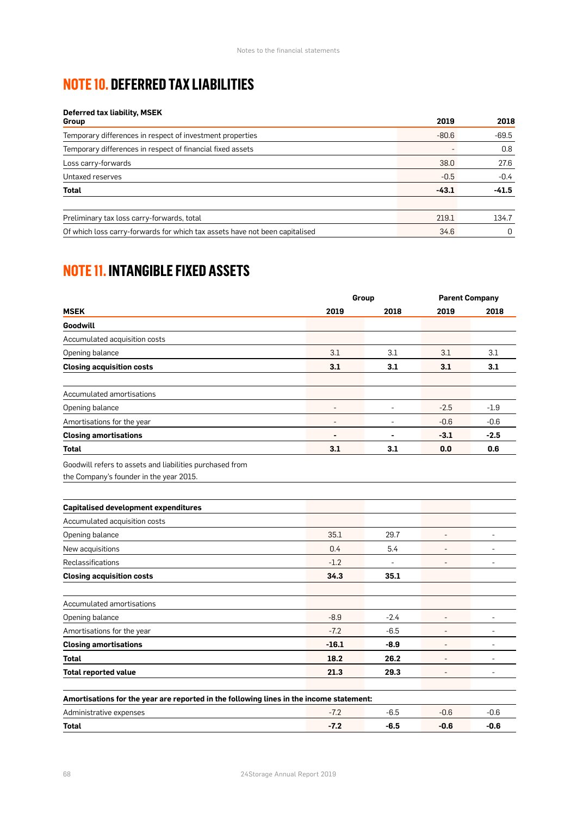# **NOTE 10. DEFERRED TAX LIABILITIES**

#### **Deferred tax liability, MSEK**

| Group                                                                       | 2019    | 2018    |
|-----------------------------------------------------------------------------|---------|---------|
| Temporary differences in respect of investment properties                   | $-80.6$ | $-69.5$ |
| Temporary differences in respect of financial fixed assets                  |         | 0.8     |
| Loss carry-forwards                                                         | 38.0    | 27.6    |
| Untaxed reserves                                                            | $-0.5$  | $-0.4$  |
| <b>Total</b>                                                                | $-43.1$ | $-41.5$ |
|                                                                             |         |         |
| Preliminary tax loss carry-forwards, total                                  | 219.1   | 134.7   |
| Of which loss carry-forwards for which tax assets have not been capitalised | 34.6    | 0       |

# **NOTE 11. INTANGIBLE FIXED ASSETS**

|                                                                                                     | Group          |                          | <b>Parent Company</b> |                          |
|-----------------------------------------------------------------------------------------------------|----------------|--------------------------|-----------------------|--------------------------|
| <b>MSEK</b>                                                                                         | 2019           | 2018                     | 2019                  | 2018                     |
| Goodwill                                                                                            |                |                          |                       |                          |
| Accumulated acquisition costs                                                                       |                |                          |                       |                          |
| Opening balance                                                                                     | 3.1            | 3.1                      | 3.1                   | 3.1                      |
| <b>Closing acquisition costs</b>                                                                    | 3.1            | 3.1                      | 3.1                   | 3.1                      |
| Accumulated amortisations                                                                           |                |                          |                       |                          |
| Opening balance                                                                                     |                | $\overline{\phantom{a}}$ | $-2.5$                | $-1.9$                   |
| Amortisations for the year                                                                          |                | $\overline{\phantom{a}}$ | $-0.6$                | $-0.6$                   |
| <b>Closing amortisations</b>                                                                        | $\blacksquare$ | $\blacksquare$           | $-3.1$                | $-2.5$                   |
| <b>Total</b>                                                                                        | 3.1            | 3.1                      | 0.0                   | 0.6                      |
| Goodwill refers to assets and liabilities purchased from<br>the Company's founder in the year 2015. |                |                          |                       |                          |
| <b>Capitalised development expenditures</b>                                                         |                |                          |                       |                          |
| Accumulated acquisition costs                                                                       |                |                          |                       |                          |
| Opening balance                                                                                     | 35.1           | 29.7                     | ÷                     | $\overline{a}$           |
| New acquisitions                                                                                    | 0.4            | 5.4                      |                       |                          |
| Reclassifications                                                                                   | $-1.2$         |                          |                       |                          |
| <b>Closing acquisition costs</b>                                                                    | 34.3           | 35.1                     |                       |                          |
| Accumulated amortisations                                                                           |                |                          |                       |                          |
| Opening balance                                                                                     | $-8.9$         | -2.4                     | $\overline{a}$        | $\overline{\phantom{m}}$ |
| Amortisations for the year                                                                          | $-7.2$         | $-6.5$                   |                       |                          |
| <b>Closing amortisations</b>                                                                        | $-16.1$        | $-8.9$                   |                       | $\overline{a}$           |
| <b>Total</b>                                                                                        | 18.2           | 26.2                     | ÷                     | $\overline{\phantom{a}}$ |
| <b>Total reported value</b>                                                                         | 21.3           | 29.3                     |                       | ÷,                       |
| Amortisations for the year are reported in the following lines in the income statement:             |                |                          |                       |                          |
| Administrative expenses                                                                             | $-7.2$         | $-6.5$                   | $-0.6$                | $-0.6$                   |
| Total                                                                                               | $-7.2$         | $-6.5$                   | $-0.6$                | $-0.6$                   |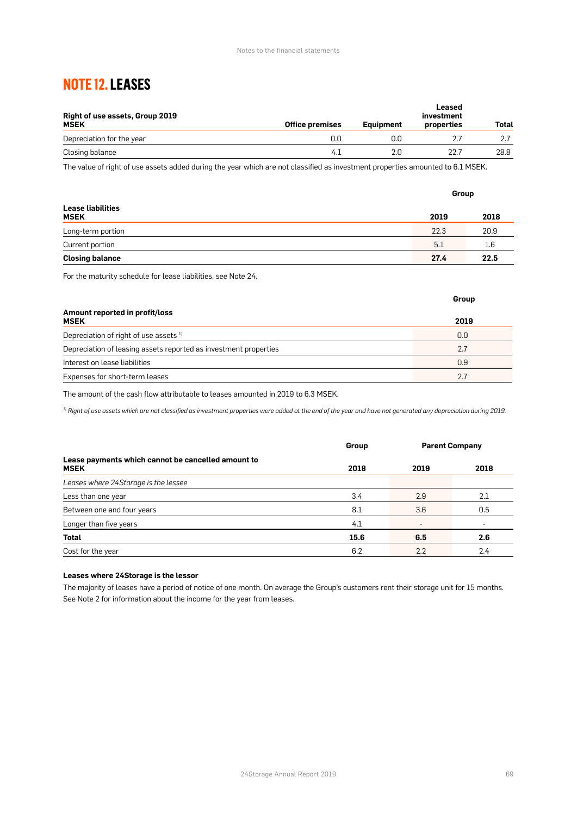# **NOTE 12. LEASES**

| <b>Right of use assets, Group 2019</b><br><b>MSEK</b> | <b>Office premises</b> | Eauipment | Leased<br>investment<br>properties | Total |
|-------------------------------------------------------|------------------------|-----------|------------------------------------|-------|
| Depreciation for the year                             | 0.0                    | O.O       |                                    |       |
| Closing balance                                       | 4.1                    | 2.0       | 22.7                               | 28.8  |

The value of right of use assets added during the year which are not classified as investment properties amounted to 6.1 MSEK.

|                                         |      | Group |  |  |
|-----------------------------------------|------|-------|--|--|
| <b>Lease liabilities</b><br><b>MSEK</b> | 2019 | 2018  |  |  |
| Long-term portion                       | 22.3 | 20.9  |  |  |
| Current portion                         | 5.1  | 1.6   |  |  |
| <b>Closing balance</b>                  | 27.4 | 22.5  |  |  |

For the maturity schedule for lease liabilities, see Note 24.

|                                                                  | Group |
|------------------------------------------------------------------|-------|
| Amount reported in profit/loss<br><b>MSEK</b>                    | 2019  |
| Depreciation of right of use assets <sup>1)</sup>                | 0.0   |
| Depreciation of leasing assets reported as investment properties | 2.7   |
| Interest on lease liabilities                                    | 0.9   |
| Expenses for short-term leases                                   | 2.7   |

The amount of the cash flow attributable to leases amounted in 2019 to 6.3 MSEK.

*1) Right of use assets which are not classified as investment properties were added at the end of the year and have not generated any depreciation during 2019.*

|                                                                   | Group | <b>Parent Company</b> |      |
|-------------------------------------------------------------------|-------|-----------------------|------|
| Lease payments which cannot be cancelled amount to<br><b>MSEK</b> | 2018  | 2019                  | 2018 |
| Leases where 24Storage is the lessee                              |       |                       |      |
| Less than one year                                                | 3.4   | 2.9                   | 2.1  |
| Between one and four years                                        | 8.1   | 3.6                   | 0.5  |
| Longer than five years                                            | 4.1   | ۰                     |      |
| Total                                                             | 15.6  | 6.5                   | 2.6  |
| Cost for the year                                                 | 6.2   | 2.2                   | 2.4  |

#### **Leases where 24Storage is the lessor**

The majority of leases have a period of notice of one month. On average the Group's customers rent their storage unit for 15 months. See Note 2 for information about the income for the year from leases.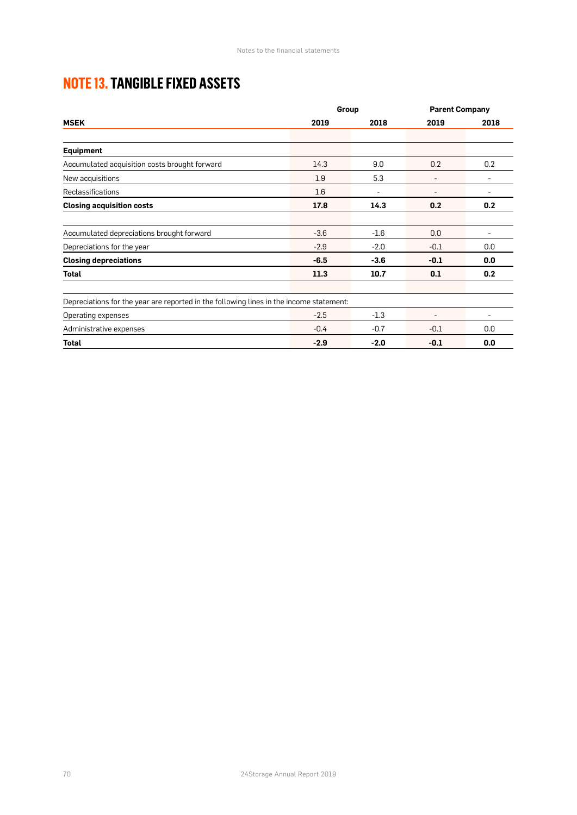# **NOTE 13. TANGIBLE FIXED ASSETS**

|                                                                                         | Group  |        | <b>Parent Company</b> |      |
|-----------------------------------------------------------------------------------------|--------|--------|-----------------------|------|
| <b>MSEK</b>                                                                             | 2019   | 2018   | 2019                  | 2018 |
|                                                                                         |        |        |                       |      |
| <b>Equipment</b>                                                                        |        |        |                       |      |
| Accumulated acquisition costs brought forward                                           | 14.3   | 9.0    | 0.2                   | 0.2  |
| New acquisitions                                                                        | 1.9    | 5.3    |                       |      |
| <b>Reclassifications</b>                                                                | 1.6    | ۰      |                       |      |
| <b>Closing acquisition costs</b>                                                        | 17.8   | 14.3   | 0.2                   | 0.2  |
|                                                                                         |        |        |                       |      |
| Accumulated depreciations brought forward                                               | $-3.6$ | $-1.6$ | 0.0                   |      |
| Depreciations for the year                                                              | $-2.9$ | $-2.0$ | $-0.1$                | 0.0  |
| <b>Closing depreciations</b>                                                            | $-6.5$ | $-3.6$ | $-0.1$                | 0.0  |
| Total                                                                                   | 11.3   | 10.7   | 0.1                   | 0.2  |
|                                                                                         |        |        |                       |      |
| Depreciations for the year are reported in the following lines in the income statement: |        |        |                       |      |
| Operating expenses                                                                      | $-2.5$ | $-1.3$ |                       |      |
| Administrative expenses                                                                 | $-0.4$ | $-0.7$ | $-0.1$                | 0.0  |
| <b>Total</b>                                                                            | $-2.9$ | $-2.0$ | $-0.1$                | 0.0  |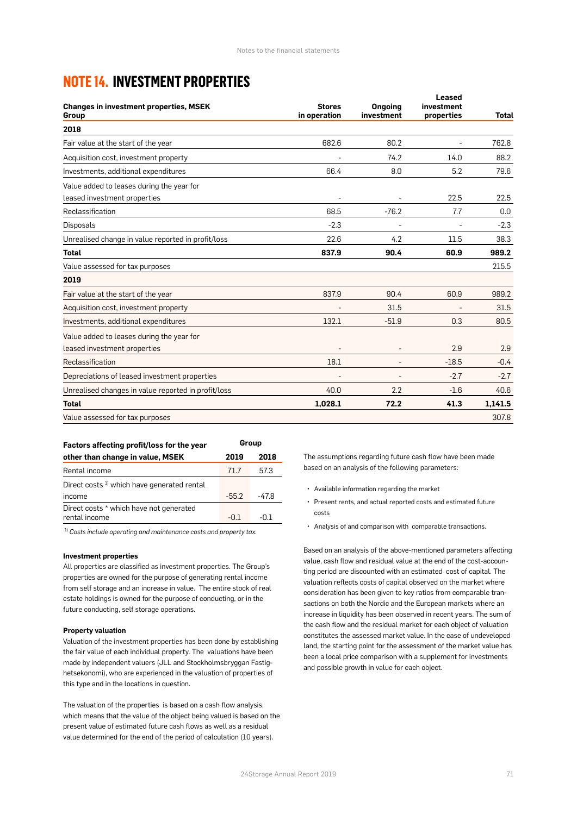### **NOTE 14. INVESTMENT PROPERTIES**

| <b>Changes in investment properties, MSEK</b><br>Group | <b>Stores</b><br>in operation | <b>Ongoing</b><br>investment | <b>Leased</b><br>investment<br>properties | <b>Total</b> |
|--------------------------------------------------------|-------------------------------|------------------------------|-------------------------------------------|--------------|
| 2018                                                   |                               |                              |                                           |              |
| Fair value at the start of the year                    | 682.6                         | 80.2                         |                                           | 762.8        |
| Acquisition cost, investment property                  |                               | 74.2                         | 14.0                                      | 88.2         |
| Investments, additional expenditures                   | 66.4                          | 8.0                          | 5.2                                       | 79.6         |
| Value added to leases during the year for              |                               |                              |                                           |              |
| leased investment properties                           |                               |                              | 22.5                                      | 22.5         |
| Reclassification                                       | 68.5                          | $-76.2$                      | 7.7                                       | 0.0          |
| <b>Disposals</b>                                       | $-2.3$                        |                              |                                           | $-2.3$       |
| Unrealised change in value reported in profit/loss     | 22.6                          | 4.2                          | 11.5                                      | 38.3         |
| <b>Total</b>                                           | 837.9                         | 90.4                         | 60.9                                      | 989.2        |
| Value assessed for tax purposes                        |                               |                              |                                           | 215.5        |
| 2019                                                   |                               |                              |                                           |              |
| Fair value at the start of the year                    | 837.9                         | 90.4                         | 60.9                                      | 989.2        |
| Acquisition cost, investment property                  |                               | 31.5                         |                                           | 31.5         |
| Investments, additional expenditures                   | 132.1                         | $-51.9$                      | 0.3                                       | 80.5         |
| Value added to leases during the year for              |                               |                              |                                           |              |
| leased investment properties                           |                               |                              | 2.9                                       | 2.9          |
| Reclassification                                       | 18.1                          |                              | $-18.5$                                   | $-0.4$       |
| Depreciations of leased investment properties          |                               |                              | $-2.7$                                    | $-2.7$       |
| Unrealised changes in value reported in profit/loss    | 40.0                          | 2.2                          | $-1.6$                                    | 40.6         |
| <b>Total</b>                                           | 1,028.1                       | 72.2                         | 41.3                                      | 1,141.5      |
| Value assessed for tax purposes                        |                               |                              |                                           | 307.8        |

| Factors affecting profit/loss for the year            | Group   |       |  |
|-------------------------------------------------------|---------|-------|--|
| other than change in value, MSEK                      | 2019    | 2018  |  |
| Rental income                                         | 71.7    | 57.3  |  |
| Direct costs <sup>1</sup> which have generated rental |         |       |  |
| income                                                | $-55.2$ | -47.8 |  |
| Direct costs * which have not generated               |         |       |  |
| rental income                                         | -01     | -0.1  |  |

1) *Costs include operating and maintenance costs and property tax.*

#### **Investment properties**

All properties are classified as investment properties. The Group's properties are owned for the purpose of generating rental income from self storage and an increase in value. The entire stock of real estate holdings is owned for the purpose of conducting, or in the future conducting, self storage operations.

#### **Property valuation**

Valuation of the investment properties has been done by establishing the fair value of each individual property. The valuations have been made by independent valuers (JLL and Stockholmsbryggan Fastighetsekonomi), who are experienced in the valuation of properties of this type and in the locations in question.

The valuation of the properties is based on a cash flow analysis, which means that the value of the object being valued is based on the present value of estimated future cash flows as well as a residual value determined for the end of the period of calculation (10 years).

The assumptions regarding future cash flow have been made based on an analysis of the following parameters:

- Available information regarding the market
- Present rents, and actual reported costs and estimated future costs
- Analysis of and comparison with comparable transactions.

Based on an analysis of the above-mentioned parameters affecting value, cash flow and residual value at the end of the cost-accounting period are discounted with an estimated cost of capital. The valuation reflects costs of capital observed on the market where consideration has been given to key ratios from comparable transactions on both the Nordic and the European markets where an increase in liquidity has been observed in recent years. The sum of the cash flow and the residual market for each object of valuation constitutes the assessed market value. In the case of undeveloped land, the starting point for the assessment of the market value has been a local price comparison with a supplement for investments and possible growth in value for each object.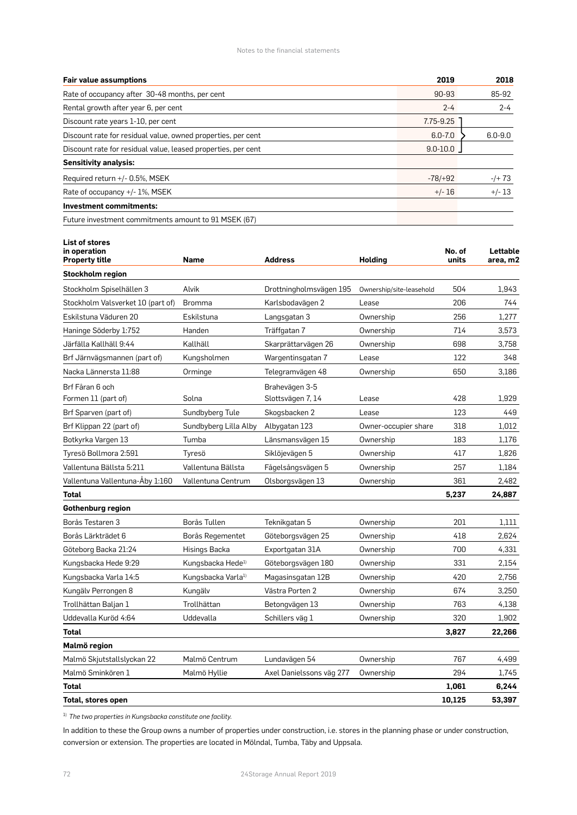Notes to the financial statements

| <b>Fair value assumptions</b>                                 | 2019         | 2018        |
|---------------------------------------------------------------|--------------|-------------|
| Rate of occupancy after 30-48 months, per cent                | 90-93        | 85-92       |
| Rental growth after year 6, per cent                          | $2 - 4$      | $2 - 4$     |
| Discount rate years 1-10, per cent                            | 7.75-9.25    |             |
| Discount rate for residual value, owned properties, per cent  | $6.0 - 7.0$  | $6.0 - 9.0$ |
| Discount rate for residual value, leased properties, per cent | $9.0 - 10.0$ |             |
| <b>Sensitivity analysis:</b>                                  |              |             |
| Required return +/- 0.5%, MSEK                                | $-78/+92$    | $-/- 73$    |
| Rate of occupancy +/- 1%, MSEK                                | $+/- 16$     | $+/- 13$    |
| <b>Investment commitments:</b>                                |              |             |
| Future investment commitments amount to 91 MSEK (67)          |              |             |

**List of stores** 

| in operation<br><b>Property title</b> | Name                           | <b>Address</b>           | <b>Holding</b>           | No. of<br>units | Lettable<br>area, m2 |
|---------------------------------------|--------------------------------|--------------------------|--------------------------|-----------------|----------------------|
| <b>Stockholm region</b>               |                                |                          |                          |                 |                      |
| Stockholm Spiselhällen 3              | Alvik                          | Drottningholmsvägen 195  | Ownership/site-leasehold | 504             | 1,943                |
| Stockholm Valsverket 10 (part of)     | <b>Bromma</b>                  | Karlsbodavägen 2         | Lease                    | 206             | 744                  |
| Eskilstuna Väduren 20                 | Eskilstuna                     | Langsgatan 3             | Ownership                | 256             | 1,277                |
| Haninge Söderby 1:752                 | Handen                         | Träffgatan 7             | Ownership                | 714             | 3,573                |
| Järfälla Kallhäll 9:44                | Kallhäll                       | Skarprättarvägen 26      | Ownership                | 698             | 3,758                |
| Brf Järnvägsmannen (part of)          | Kungsholmen                    | Wargentinsgatan 7        | Lease                    | 122             | 348                  |
| Nacka Lännersta 11:88                 | Orminge                        | Telegramvägen 48         | Ownership                | 650             | 3,186                |
| Brf Fåran 6 och                       |                                | Brahevägen 3-5           |                          |                 |                      |
| Formen 11 (part of)                   | Solna                          | Slottsvägen 7, 14        | Lease                    | 428             | 1,929                |
| Brf Sparven (part of)                 | Sundbyberg Tule                | Skogsbacken 2            | Lease                    | 123             | 449                  |
| Brf Klippan 22 (part of)              | Sundbyberg Lilla Alby          | Albygatan 123            | Owner-occupier share     | 318             | 1,012                |
| Botkyrka Vargen 13                    | Tumba                          | Länsmansvägen 15         | Ownership                | 183             | 1,176                |
| Tyresö Bollmora 2:591                 | Tyresö                         | Siklöjevägen 5           | Ownership                | 417             | 1,826                |
| Vallentuna Bällsta 5:211              | Vallentuna Bällsta             | Fågelsångsvägen 5        | Ownership                | 257             | 1,184                |
| Vallentuna Vallentuna-Åby 1:160       | Vallentuna Centrum             | Olsborgsvägen 13         | Ownership                | 361             | 2,482                |
| <b>Total</b>                          |                                |                          |                          | 5,237           | 24,887               |
| Gothenburg region                     |                                |                          |                          |                 |                      |
| Borås Testaren 3                      | Borås Tullen                   | Teknikgatan 5            | Ownership                | 201             | 1,111                |
| Borås Lärkträdet 6                    | Borås Regementet               | Göteborgsvägen 25        | Ownership                | 418             | 2,624                |
| Göteborg Backa 21:24                  | Hisings Backa                  | Exportgatan 31A          | Ownership                | 700             | 4,331                |
| Kungsbacka Hede 9:29                  | Kungsbacka Hede <sup>1)</sup>  | Göteborgsvägen 180       | Ownership                | 331             | 2,154                |
| Kungsbacka Varla 14:5                 | Kungsbacka Varla <sup>1)</sup> | Magasinsgatan 12B        | Ownership                | 420             | 2,756                |
| Kungälv Perrongen 8                   | Kungälv                        | Västra Porten 2          | Ownership                | 674             | 3,250                |
| Trollhättan Baljan 1                  | Trollhättan                    | Betongvägen 13           | Ownership                | 763             | 4,138                |
| Uddevalla Kuröd 4:64                  | Uddevalla                      | Schillers väg 1          | Ownership                | 320             | 1,902                |
| <b>Total</b>                          |                                |                          |                          | 3,827           | 22,266               |
| Malmö region                          |                                |                          |                          |                 |                      |
| Malmö Skjutstallslyckan 22            | Malmö Centrum                  | Lundavägen 54            | Ownership                | 767             | 4,499                |
| Malmö Sminkören 1                     | Malmö Hyllie                   | Axel Danielssons väg 277 | Ownership                | 294             | 1,745                |
| <b>Total</b>                          |                                |                          |                          | 1,061           | 6,244                |
| Total. stores open                    |                                |                          |                          | 10,125          | 53,397               |

1) *The two properties in Kungsbacka constitute one facility.*

In addition to these the Group owns a number of properties under construction, i.e. stores in the planning phase or under construction, conversion or extension. The properties are located in Mölndal, Tumba, Täby and Uppsala.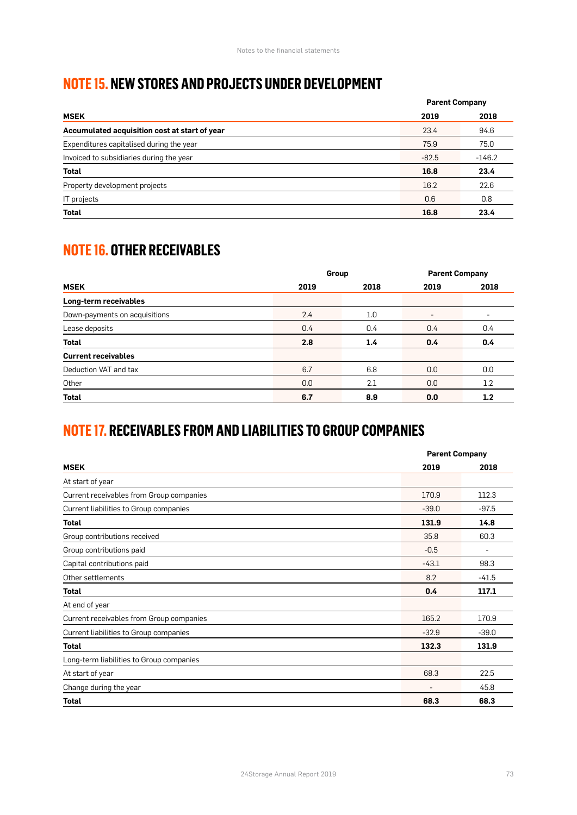### **NOTE 15. NEW STORES AND PROJECTS UNDER DEVELOPMENT**

|                                               | <b>Parent Company</b> |          |  |
|-----------------------------------------------|-----------------------|----------|--|
| <b>MSEK</b>                                   | 2019                  | 2018     |  |
| Accumulated acquisition cost at start of year | 23.4                  | 94.6     |  |
| Expenditures capitalised during the year      | 75.9                  | 75.0     |  |
| Invoiced to subsidiaries during the year      | $-82.5$               | $-146.2$ |  |
| <b>Total</b>                                  | 16.8                  | 23.4     |  |
| Property development projects                 | 16.2                  | 22.6     |  |
| IT projects                                   | 0.6                   | 0.8      |  |
| <b>Total</b>                                  | 16.8                  | 23.4     |  |

# **NOTE 16. OTHER RECEIVABLES**

|                               | Group |      | <b>Parent Company</b>    |      |
|-------------------------------|-------|------|--------------------------|------|
| <b>MSEK</b>                   | 2019  | 2018 | 2019                     | 2018 |
| Long-term receivables         |       |      |                          |      |
| Down-payments on acquisitions | 2.4   | 1.0  | $\overline{\phantom{a}}$ | ۰    |
| Lease deposits                | 0.4   | 0.4  | 0.4                      | 0.4  |
| <b>Total</b>                  | 2.8   | 1.4  | 0.4                      | 0.4  |
| <b>Current receivables</b>    |       |      |                          |      |
| Deduction VAT and tax         | 6.7   | 6.8  | 0.0                      | 0.0  |
| Other                         | 0.0   | 2.1  | 0.0                      | 1.2  |
| <b>Total</b>                  | 6.7   | 8.9  | 0.0                      | 1.2  |

# **NOTE 17. RECEIVABLES FROM AND LIABILITIES TO GROUP COMPANIES**

|                                          |         | <b>Parent Company</b> |  |  |
|------------------------------------------|---------|-----------------------|--|--|
| <b>MSEK</b>                              | 2019    | 2018                  |  |  |
| At start of year                         |         |                       |  |  |
| Current receivables from Group companies | 170.9   | 112.3                 |  |  |
| Current liabilities to Group companies   | $-39.0$ | $-97.5$               |  |  |
| <b>Total</b>                             | 131.9   | 14.8                  |  |  |
| Group contributions received             | 35.8    | 60.3                  |  |  |
| Group contributions paid                 | $-0.5$  | ۰                     |  |  |
| Capital contributions paid               | $-43.1$ | 98.3                  |  |  |
| Other settlements                        | 8.2     | $-41.5$               |  |  |
| <b>Total</b>                             | 0.4     | 117.1                 |  |  |
| At end of year                           |         |                       |  |  |
| Current receivables from Group companies | 165.2   | 170.9                 |  |  |
| Current liabilities to Group companies   | $-32.9$ | $-39.0$               |  |  |
| <b>Total</b>                             | 132.3   | 131.9                 |  |  |
| Long-term liabilities to Group companies |         |                       |  |  |
| At start of year                         | 68.3    | 22.5                  |  |  |
| Change during the year                   | ٠       | 45.8                  |  |  |
| <b>Total</b>                             | 68.3    | 68.3                  |  |  |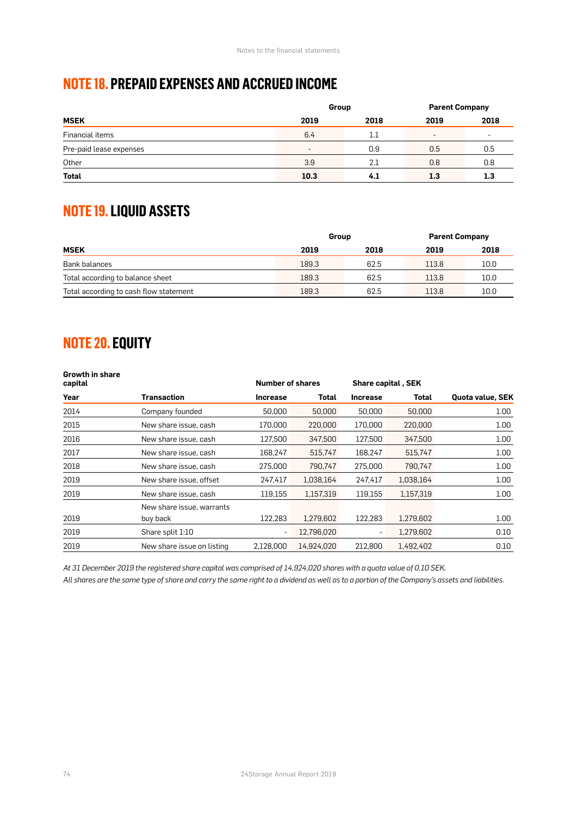## **NOTE 18. PREPAID EXPENSES AND ACCRUED INCOME**

|                         | Group                    |         | <b>Parent Company</b>    |      |
|-------------------------|--------------------------|---------|--------------------------|------|
| <b>MSEK</b>             | 2019                     | 2018    | 2019                     | 2018 |
| Financial items         | 6.4                      | $1.1\,$ | $\overline{\phantom{a}}$ | ٠    |
| Pre-paid lease expenses | $\overline{\phantom{a}}$ | 0.9     | 0.5                      | 0.5  |
| Other                   | 3.9                      | 2.1     | 0.8                      | 0.8  |
| Total                   | 10.3                     | 4.1     | 1.3                      | 1.3  |

# **NOTE 19. LIQUID ASSETS**

|                                        | Group |      | <b>Parent Company</b> |      |
|----------------------------------------|-------|------|-----------------------|------|
| <b>MSEK</b>                            | 2019  | 2018 | 2019                  | 2018 |
| Bank balances                          | 189.3 | 62.5 | 113.8                 | 10.0 |
| Total according to balance sheet       | 189.3 | 62.5 | 113.8                 | 10.0 |
| Total according to cash flow statement | 189.3 | 62.5 | 113.8                 | 10.0 |

## **NOTE 20. EQUITY**

| <b>Growth in share</b><br>capital |                            |                 | <b>Number of shares</b> |                 | <b>Share capital, SEK</b> |                         |
|-----------------------------------|----------------------------|-----------------|-------------------------|-----------------|---------------------------|-------------------------|
| Year                              | <b>Transaction</b>         | <b>Increase</b> | Total                   | <b>Increase</b> | Total                     | <b>Quota value, SEK</b> |
| 2014                              | Company founded            | 50,000          | 50,000                  | 50,000          | 50,000                    | 1.00 <sub>1</sub>       |
| 2015                              | New share issue, cash      | 170,000         | 220,000                 | 170,000         | 220,000                   | 1.00                    |
| 2016                              | New share issue, cash      | 127,500         | 347,500                 | 127,500         | 347,500                   | 1.00                    |
| 2017                              | New share issue, cash      | 168,247         | 515,747                 | 168,247         | 515,747                   | 1.00                    |
| 2018                              | New share issue, cash      | 275,000         | 790.747                 | 275,000         | 790.747                   | 1.00                    |
| 2019                              | New share issue, offset    | 247,417         | 1,038,164               | 247,417         | 1,038,164                 | 1.00                    |
| 2019                              | New share issue, cash      | 119,155         | 1,157,319               | 119,155         | 1,157,319                 | 1.00                    |
|                                   | New share issue, warrants  |                 |                         |                 |                           |                         |
| 2019                              | buy back                   | 122.283         | 1.279.602               | 122,283         | 1,279,602                 | 1.00                    |
| 2019                              | Share split 1:10           | ٠               | 12,796,020              | ٠               | 1,279,602                 | 0.10                    |
| 2019                              | New share issue on listing | 2.128.000       | 14.924.020              | 212,800         | 1.492.402                 | 0.10                    |

*At 31 December 2019 the registered share capital was comprised of 14,924,020 shares with a quota value of 0.10 SEK.* 

*All shares are the same type of share and carry the same right to a dividend as well as to a portion of the Company's assets and liabilities.*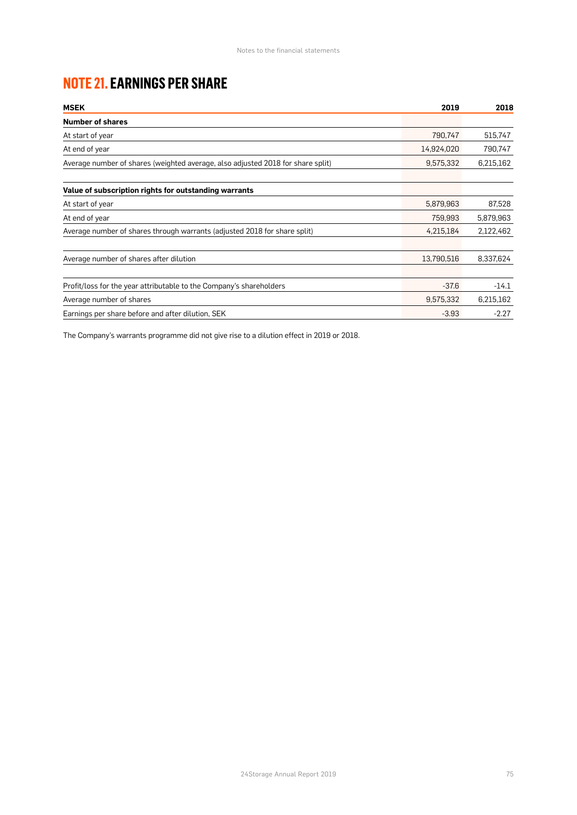# **NOTE 21. EARNINGS PER SHARE**

| <b>MSEK</b>                                                                     | 2019       | 2018      |
|---------------------------------------------------------------------------------|------------|-----------|
| <b>Number of shares</b>                                                         |            |           |
| At start of year                                                                | 790,747    | 515,747   |
| At end of year                                                                  | 14,924,020 | 790,747   |
| Average number of shares (weighted average, also adjusted 2018 for share split) | 9,575,332  | 6,215,162 |
| Value of subscription rights for outstanding warrants                           |            |           |
| At start of year                                                                | 5,879,963  | 87,528    |
| At end of year                                                                  | 759,993    | 5,879,963 |
| Average number of shares through warrants (adjusted 2018 for share split)       | 4,215,184  | 2,122,462 |
| Average number of shares after dilution                                         | 13,790,516 | 8,337,624 |
| Profit/loss for the year attributable to the Company's shareholders             | $-37.6$    | $-14.1$   |
| Average number of shares                                                        | 9,575,332  | 6,215,162 |
| Earnings per share before and after dilution, SEK                               | $-3.93$    | $-2.27$   |

The Company's warrants programme did not give rise to a dilution effect in 2019 or 2018.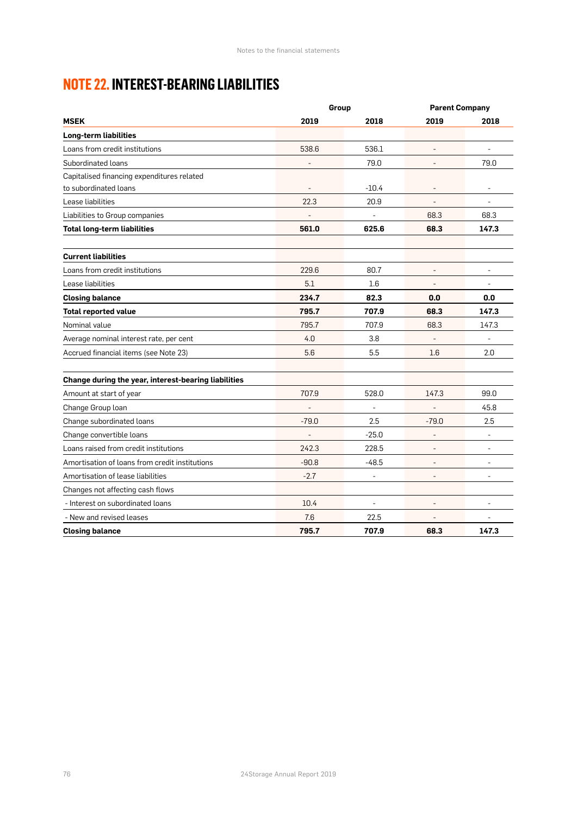# **NOTE 22. INTEREST-BEARING LIABILITIES**

|                                                      | Group                    |                | <b>Parent Company</b>    |                          |
|------------------------------------------------------|--------------------------|----------------|--------------------------|--------------------------|
| <b>MSEK</b>                                          | 2019                     | 2018           | 2019                     | 2018                     |
| Long-term liabilities                                |                          |                |                          |                          |
| Loans from credit institutions                       | 538.6                    | 536.1          |                          |                          |
| Subordinated loans                                   | $\overline{a}$           | 79.0           |                          | 79.0                     |
| Capitalised financing expenditures related           |                          |                |                          |                          |
| to subordinated loans                                |                          | $-10.4$        |                          |                          |
| Lease liabilities                                    | 22.3                     | 20.9           |                          |                          |
| Liabilities to Group companies                       |                          | $\sim$         | 68.3                     | 68.3                     |
| <b>Total long-term liabilities</b>                   | 561.0                    | 625.6          | 68.3                     | 147.3                    |
| <b>Current liabilities</b>                           |                          |                |                          |                          |
| Loans from credit institutions                       | 229.6                    | 80.7           |                          | $\overline{\phantom{a}}$ |
| Lease liabilities                                    | 5.1                      | 1.6            |                          |                          |
| <b>Closing balance</b>                               | 234.7                    | 82.3           | 0.0                      | 0.0                      |
| <b>Total reported value</b>                          | 795.7                    | 707.9          | 68.3                     | 147.3                    |
| Nominal value                                        | 795.7                    | 707.9          | 68.3                     | 147.3                    |
| Average nominal interest rate, per cent              | 4.0                      | 3.8            |                          | ÷,                       |
| Accrued financial items (see Note 23)                | 5.6                      | 5.5            | 1.6                      | 2.0                      |
| Change during the year, interest-bearing liabilities |                          |                |                          |                          |
| Amount at start of year                              | 707.9                    | 528.0          | 147.3                    | 99.0                     |
| Change Group loan                                    | $\overline{\phantom{a}}$ | J.             |                          | 45.8                     |
| Change subordinated loans                            | $-79.0$                  | 2.5            | $-79.0$                  | 2.5                      |
| Change convertible loans                             |                          | $-25.0$        |                          | $\overline{a}$           |
| Loans raised from credit institutions                | 242.3                    | 228.5          |                          | $\overline{\phantom{a}}$ |
| Amortisation of loans from credit institutions       | $-90.8$                  | $-48.5$        | $\overline{\phantom{a}}$ | $\overline{\phantom{a}}$ |
| Amortisation of lease liabilities                    | $-2.7$                   | $\blacksquare$ | $\overline{\phantom{a}}$ | $\overline{\phantom{a}}$ |
| Changes not affecting cash flows                     |                          |                |                          |                          |
| - Interest on subordinated loans                     | 10.4                     | ÷,             |                          | $\overline{a}$           |
| - New and revised leases                             | 7.6                      | 22.5           |                          | $\overline{\phantom{a}}$ |
| <b>Closing balance</b>                               | 795.7                    | 707.9          | 68.3                     | 147.3                    |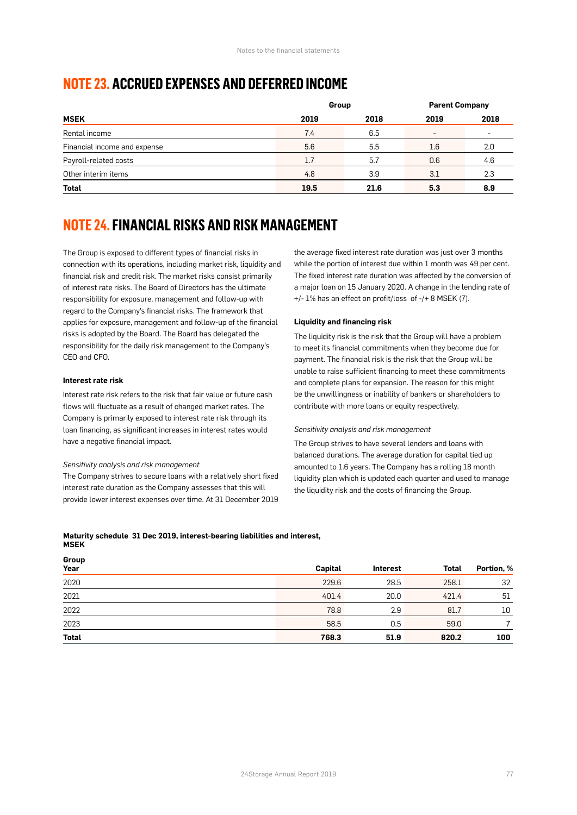### **NOTE 23. ACCRUED EXPENSES AND DEFERRED INCOME**

|                              | Group |      | <b>Parent Company</b>    |                          |
|------------------------------|-------|------|--------------------------|--------------------------|
| <b>MSEK</b>                  | 2019  | 2018 | 2019                     | 2018                     |
| Rental income                | 7.4   | 6.5  | $\overline{\phantom{a}}$ | $\overline{\phantom{a}}$ |
| Financial income and expense | 5.6   | 5.5  | 1.6                      | 2.0                      |
| Payroll-related costs        | 1.7   | 5.7  | 0.6                      | 4.6                      |
| Other interim items          | 4.8   | 3.9  | 3.1                      | 2.3                      |
| <b>Total</b>                 | 19.5  | 21.6 | 5.3                      | 8.9                      |

### **NOTE 24. FINANCIAL RISKS AND RISK MANAGEMENT**

The Group is exposed to different types of financial risks in connection with its operations, including market risk, liquidity and financial risk and credit risk. The market risks consist primarily of interest rate risks. The Board of Directors has the ultimate responsibility for exposure, management and follow-up with regard to the Company's financial risks. The framework that applies for exposure, management and follow-up of the financial risks is adopted by the Board. The Board has delegated the responsibility for the daily risk management to the Company's CEO and CFO.

#### **Interest rate risk**

Interest rate risk refers to the risk that fair value or future cash flows will fluctuate as a result of changed market rates. The Company is primarily exposed to interest rate risk through its loan financing, as significant increases in interest rates would have a negative financial impact.

#### *Sensitivity analysis and risk management*

The Company strives to secure loans with a relatively short fixed interest rate duration as the Company assesses that this will provide lower interest expenses over time. At 31 December 2019 the average fixed interest rate duration was just over 3 months while the portion of interest due within 1 month was 49 per cent. The fixed interest rate duration was affected by the conversion of a major loan on 15 January 2020. A change in the lending rate of +/- 1% has an effect on profit/loss of -/+ 8 MSEK (7).

#### **Liquidity and financing risk**

The liquidity risk is the risk that the Group will have a problem to meet its financial commitments when they become due for payment. The financial risk is the risk that the Group will be unable to raise sufficient financing to meet these commitments and complete plans for expansion. The reason for this might be the unwillingness or inability of bankers or shareholders to contribute with more loans or equity respectively.

#### *Sensitivity analysis and risk management*

The Group strives to have several lenders and loans with balanced durations. The average duration for capital tied up amounted to 1.6 years. The Company has a rolling 18 month liquidity plan which is updated each quarter and used to manage the liquidity risk and the costs of financing the Group.

#### **Maturity schedule 31 Dec 2019, interest-bearing liabilities and interest, MSEK**

**Group**

| oi nah       |         |                 |              |            |
|--------------|---------|-----------------|--------------|------------|
| Year         | Capital | <b>Interest</b> | <b>Total</b> | Portion, % |
| 2020         | 229.6   | 28.5            | 258.1        | 32         |
| 2021         | 401.4   | 20.0            | 421.4        | 51         |
| 2022         | 78.8    | 2.9             | 81.7         | 10         |
| 2023         | 58.5    | 0.5             | 59.0         |            |
| <b>Total</b> | 768.3   | 51.9            | 820.2        | 100        |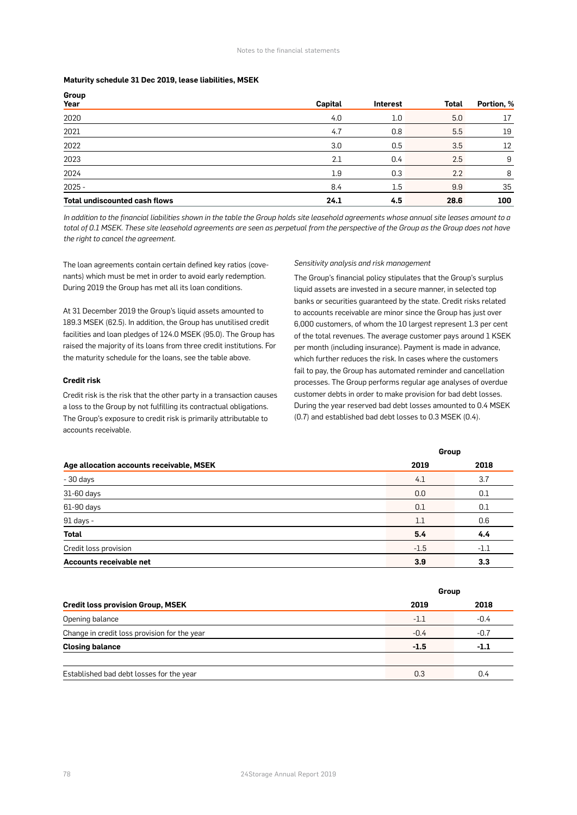#### **Maturity schedule 31 Dec 2019, lease liabilities, MSEK**

| Group<br>Year                        | Capital | <b>Interest</b> | <b>Total</b> | Portion, % |
|--------------------------------------|---------|-----------------|--------------|------------|
| 2020                                 | 4.0     | 1.0             | 5.0          | 17         |
| 2021                                 | 4.7     | 0.8             | 5.5          | 19         |
| 2022                                 | 3.0     | 0.5             | 3.5          | 12         |
| 2023                                 | 2.1     | 0.4             | 2.5          | 9          |
| 2024                                 | 1.9     | 0.3             | 2.2          | 8          |
| $2025 -$                             | 8.4     | 1.5             | 9.9          | 35         |
| <b>Total undiscounted cash flows</b> | 24.1    | 4.5             | 28.6         | 100        |

*In addition to the financial liabilities shown in the table the Group holds site leasehold agreements whose annual site leases amount to a*  total of 0.1 MSEK. These site leasehold agreements are seen as perpetual from the perspective of the Group as the Group does not have *the right to cancel the agreement.*

The loan agreements contain certain defined key ratios (covenants) which must be met in order to avoid early redemption. During 2019 the Group has met all its loan conditions.

At 31 December 2019 the Group's liquid assets amounted to 189.3 MSEK (62.5). In addition, the Group has unutilised credit facilities and loan pledges of 124.0 MSEK (95.0). The Group has raised the majority of its loans from three credit institutions. For the maturity schedule for the loans, see the table above.

#### **Credit risk**

Credit risk is the risk that the other party in a transaction causes a loss to the Group by not fulfilling its contractual obligations. The Group's exposure to credit risk is primarily attributable to accounts receivable.

#### *Sensitivity analysis and risk management*

The Group's financial policy stipulates that the Group's surplus liquid assets are invested in a secure manner, in selected top banks or securities guaranteed by the state. Credit risks related to accounts receivable are minor since the Group has just over 6,000 customers, of whom the 10 largest represent 1.3 per cent of the total revenues. The average customer pays around 1 KSEK per month (including insurance). Payment is made in advance, which further reduces the risk. In cases where the customers fail to pay, the Group has automated reminder and cancellation processes. The Group performs regular age analyses of overdue customer debts in order to make provision for bad debt losses. During the year reserved bad debt losses amounted to 0.4 MSEK (0.7) and established bad debt losses to 0.3 MSEK (0.4).

|                                          |        | Group  |  |
|------------------------------------------|--------|--------|--|
| Age allocation accounts receivable, MSEK | 2019   | 2018   |  |
| - 30 days                                | 4.1    | 3.7    |  |
| 31-60 days                               | 0.0    | 0.1    |  |
| 61-90 days                               | 0.1    | 0.1    |  |
| 91 days -                                | 1.1    | 0.6    |  |
| <b>Total</b>                             | 5.4    | 4.4    |  |
| Credit loss provision                    | $-1.5$ | $-1.1$ |  |
| Accounts receivable net                  | 3.9    | 3.3    |  |

|                                              | Group  |        |
|----------------------------------------------|--------|--------|
| <b>Credit loss provision Group, MSEK</b>     | 2019   | 2018   |
| Opening balance                              | $-1.1$ | $-0.4$ |
| Change in credit loss provision for the year | $-0.4$ | $-0.7$ |
| <b>Closing balance</b>                       | $-1.5$ | -1.1   |
|                                              |        |        |
| Established bad debt losses for the year     | 0.3    | 0.4    |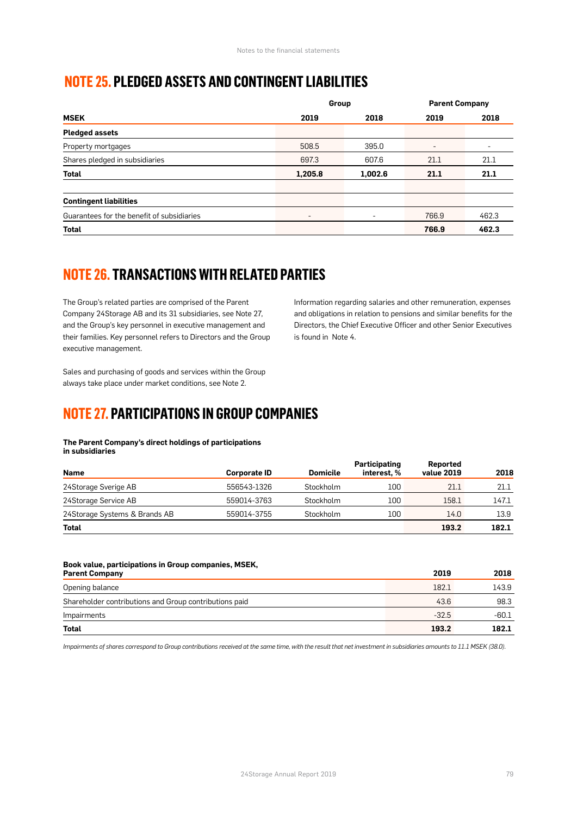### **NOTE 25. PLEDGED ASSETS AND CONTINGENT LIABILITIES**

|                                            | Group   |         | <b>Parent Company</b> |       |
|--------------------------------------------|---------|---------|-----------------------|-------|
| <b>MSEK</b>                                | 2019    | 2018    | 2019                  | 2018  |
| <b>Pledged assets</b>                      |         |         |                       |       |
| Property mortgages                         | 508.5   | 395.0   | ٠                     | ٠     |
| Shares pledged in subsidiaries             | 697.3   | 607.6   | 21.1                  | 21.1  |
| Total                                      | 1,205.8 | 1,002.6 | 21.1                  | 21.1  |
| <b>Contingent liabilities</b>              |         |         |                       |       |
| Guarantees for the benefit of subsidiaries |         |         | 766.9                 | 462.3 |
| <b>Total</b>                               |         |         | 766.9                 | 462.3 |

# **NOTE 26. TRANSACTIONS WITH RELATED PARTIES**

The Group's related parties are comprised of the Parent Company 24Storage AB and its 31 subsidiaries, see Note 27, and the Group's key personnel in executive management and their families. Key personnel refers to Directors and the Group executive management.

Information regarding salaries and other remuneration, expenses and obligations in relation to pensions and similar benefits for the Directors, the Chief Executive Officer and other Senior Executives is found in Note 4.

Sales and purchasing of goods and services within the Group always take place under market conditions, see Note 2.

### **NOTE 27. PARTICIPATIONS IN GROUP COMPANIES**

#### **The Parent Company's direct holdings of participations in subsidiaries**

| <b>Name</b>                   | <b>Corporate ID</b> | <b>Domicile</b> | Participating<br>interest. % | Reported<br>value 2019 | 2018  |
|-------------------------------|---------------------|-----------------|------------------------------|------------------------|-------|
| 24Storage Sverige AB          | 556543-1326         | Stockholm       | 100                          | 21.1                   | 21.1  |
| 24Storage Service AB          | 559014-3763         | Stockholm       | 100                          | 158.1                  | 147.1 |
| 24Storage Systems & Brands AB | 559014-3755         | Stockholm       | 100                          | 14.0                   | 13.9  |
| Total                         |                     |                 |                              | 193.2                  | 182.1 |

| Book value, participations in Group companies, MSEK,   |         |         |
|--------------------------------------------------------|---------|---------|
| <b>Parent Company</b>                                  | 2019    | 2018    |
| Opening balance                                        | 182.1   | 143.9   |
| Shareholder contributions and Group contributions paid | 43.6    | 98.3    |
| Impairments                                            | $-32.5$ | $-60.1$ |
| Total                                                  | 193.2   | 182.1   |

*Impairments of shares correspond to Group contributions received at the same time, with the result that net investment in subsidiaries amounts to 11.1 MSEK (38.0).*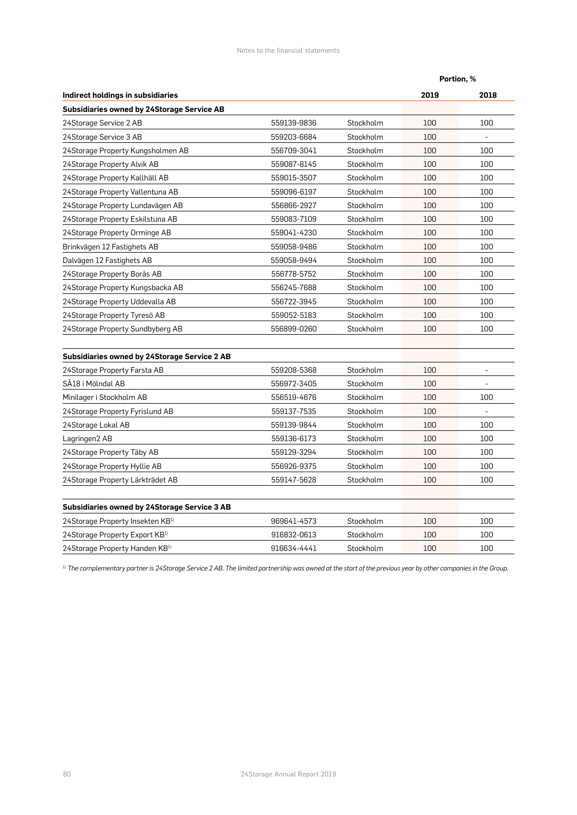|                                                     |             |           | Portion, % |      |
|-----------------------------------------------------|-------------|-----------|------------|------|
| Indirect holdings in subsidiaries                   |             |           | 2019       | 2018 |
| <b>Subsidiaries owned by 24Storage Service AB</b>   |             |           |            |      |
| 24Storage Service 2 AB                              | 559139-9836 | Stockholm | 100        | 100  |
| 24Storage Service 3 AB                              | 559203-6684 | Stockholm | 100        |      |
| 24Storage Property Kungsholmen AB                   | 556709-3041 | Stockholm | 100        | 100  |
| 24 Storage Property Alvik AB                        | 559087-8145 | Stockholm | 100        | 100  |
| 24Storage Property Kallhäll AB                      | 559015-3507 | Stockholm | 100        | 100  |
| 24Storage Property Vallentuna AB                    | 559096-6197 | Stockholm | 100        | 100  |
| 24Storage Property Lundavägen AB                    | 556866-2927 | Stockholm | 100        | 100  |
| 24Storage Property Eskilstuna AB                    | 559083-7109 | Stockholm | 100        | 100  |
| 24Storage Property Orminge AB                       | 559041-4230 | Stockholm | 100        | 100  |
| Brinkvägen 12 Fastighets AB                         | 559058-9486 | Stockholm | 100        | 100  |
| Dalvägen 12 Fastighets AB                           | 559058-9494 | Stockholm | 100        | 100  |
| 24Storage Property Borås AB                         | 556778-5752 | Stockholm | 100        | 100  |
| 24Storage Property Kungsbacka AB                    | 556245-7688 | Stockholm | 100        | 100  |
| 24Storage Property Uddevalla AB                     | 556722-3945 | Stockholm | 100        | 100  |
| 24Storage Property Tyresö AB                        | 559052-5183 | Stockholm | 100        | 100  |
| 24Storage Property Sundbyberg AB                    | 556899-0260 | Stockholm | 100        | 100  |
| <b>Subsidiaries owned by 24Storage Service 2 AB</b> |             |           |            |      |
| 24 Storage Property Farsta AB                       | 559208-5368 | Stockholm | 100        |      |
| SA18 i Mölndal AB                                   | 556972-3405 | Stockholm | 100        |      |
| Minilager i Stockholm AB                            | 556519-4676 | Stockholm | 100        | 100  |
| 24Storage Property Fyrislund AB                     | 559137-7535 | Stockholm | 100        |      |
| 24Storage Lokal AB                                  | 559139-9844 | Stockholm | 100        | 100  |
| Lagringen2 AB                                       | 559136-6173 | Stockholm | 100        | 100  |
| 24Storage Property Täby AB                          | 559129-3294 | Stockholm | 100        | 100  |
| 24Storage Property Hyllie AB                        | 556926-9375 | Stockholm | 100        | 100  |
| 24Storage Property Lärkträdet AB                    | 559147-5628 | Stockholm | 100        | 100  |
| <b>Subsidiaries owned by 24Storage Service 3 AB</b> |             |           |            |      |
| 24Storage Property Insekten KB <sup>1)</sup>        | 969641-4573 | Stockholm | 100        | 100  |
| 24Storage Property Export KB <sup>1)</sup>          | 916832-0613 | Stockholm | 100        | 100  |
| 24Storage Property Handen KB <sup>1)</sup>          | 916634-4441 | Stockholm | 100        | 100  |

<sup>1)</sup> The complementary partner is 24Storage Service 2 AB. The limited partnership was owned at the start of the previous year by other companies in the Group.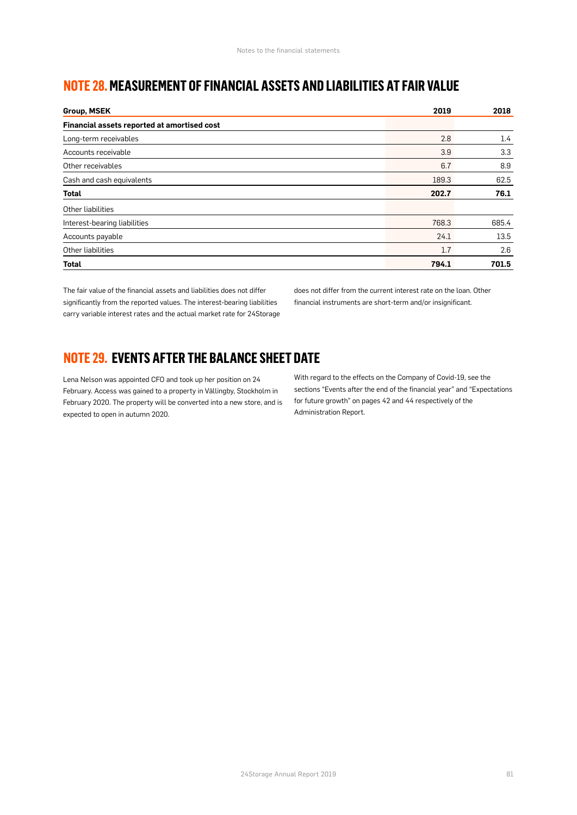### **NOTE 28. MEASUREMENT OF FINANCIAL ASSETS AND LIABILITIES AT FAIR VALUE**

| <b>Group, MSEK</b>                          | 2019  | 2018             |
|---------------------------------------------|-------|------------------|
| Financial assets reported at amortised cost |       |                  |
| Long-term receivables                       | 2.8   | $1.4\phantom{0}$ |
| Accounts receivable                         | 3.9   | 3.3              |
| Other receivables                           | 6.7   | 8.9              |
| Cash and cash equivalents                   | 189.3 | 62.5             |
| <b>Total</b>                                | 202.7 | 76.1             |
| Other liabilities                           |       |                  |
| Interest-bearing liabilities                | 768.3 | 685.4            |
| Accounts payable                            | 24.1  | 13.5             |
| Other liabilities                           | 1.7   | 2.6              |
| Total                                       | 794.1 | 701.5            |

The fair value of the financial assets and liabilities does not differ significantly from the reported values. The interest-bearing liabilities carry variable interest rates and the actual market rate for 24Storage does not differ from the current interest rate on the loan. Other financial instruments are short-term and/or insignificant.

### **NOTE 29. EVENTS AFTER THE BALANCE SHEET DATE**

Lena Nelson was appointed CFO and took up her position on 24 February. Access was gained to a property in Vällingby, Stockholm in February 2020. The property will be converted into a new store, and is expected to open in autumn 2020.

With regard to the effects on the Company of Covid-19, see the sections "Events after the end of the financial year" and "Expectations for future growth" on pages 42 and 44 respectively of the Administration Report.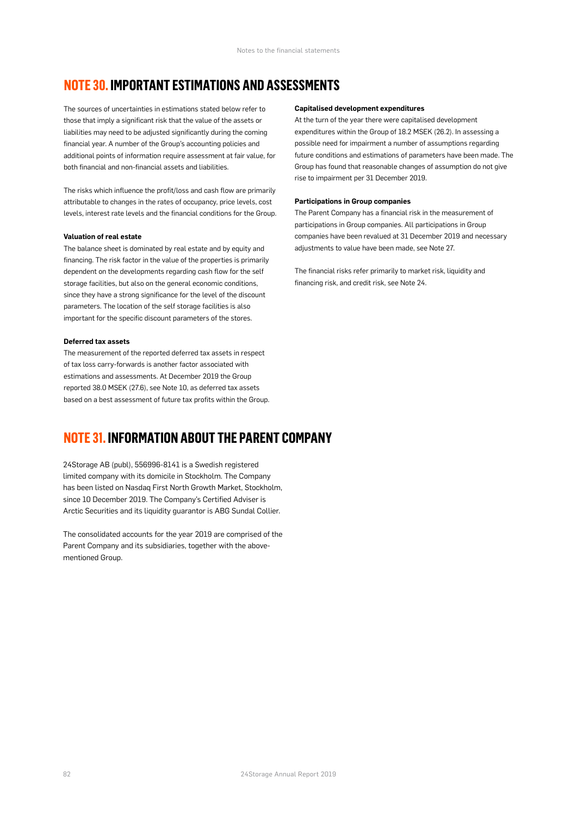### **NOTE 30. IMPORTANT ESTIMATIONS AND ASSESSMENTS**

The sources of uncertainties in estimations stated below refer to those that imply a significant risk that the value of the assets or liabilities may need to be adjusted significantly during the coming financial year. A number of the Group's accounting policies and additional points of information require assessment at fair value, for both financial and non-financial assets and liabilities.

The risks which influence the profit/loss and cash flow are primarily attributable to changes in the rates of occupancy, price levels, cost levels, interest rate levels and the financial conditions for the Group.

#### **Valuation of real estate**

The balance sheet is dominated by real estate and by equity and financing. The risk factor in the value of the properties is primarily dependent on the developments regarding cash flow for the self storage facilities, but also on the general economic conditions, since they have a strong significance for the level of the discount parameters. The location of the self storage facilities is also important for the specific discount parameters of the stores.

#### **Deferred tax assets**

The measurement of the reported deferred tax assets in respect of tax loss carry-forwards is another factor associated with estimations and assessments. At December 2019 the Group reported 38.0 MSEK (27.6), see Note 10, as deferred tax assets based on a best assessment of future tax profits within the Group.

### **NOTE 31. INFORMATION ABOUT THE PARENT COMPANY**

24Storage AB (publ), 556996-8141 is a Swedish registered limited company with its domicile in Stockholm. The Company has been listed on Nasdaq First North Growth Market, Stockholm, since 10 December 2019. The Company's Certified Adviser is Arctic Securities and its liquidity guarantor is ABG Sundal Collier.

The consolidated accounts for the year 2019 are comprised of the Parent Company and its subsidiaries, together with the abovementioned Group.

#### **Capitalised development expenditures**

At the turn of the year there were capitalised development expenditures within the Group of 18.2 MSEK (26.2). In assessing a possible need for impairment a number of assumptions regarding future conditions and estimations of parameters have been made. The Group has found that reasonable changes of assumption do not give rise to impairment per 31 December 2019.

#### **Participations in Group companies**

The Parent Company has a financial risk in the measurement of participations in Group companies. All participations in Group companies have been revalued at 31 December 2019 and necessary adjustments to value have been made, see Note 27.

The financial risks refer primarily to market risk, liquidity and financing risk, and credit risk, see Note 24.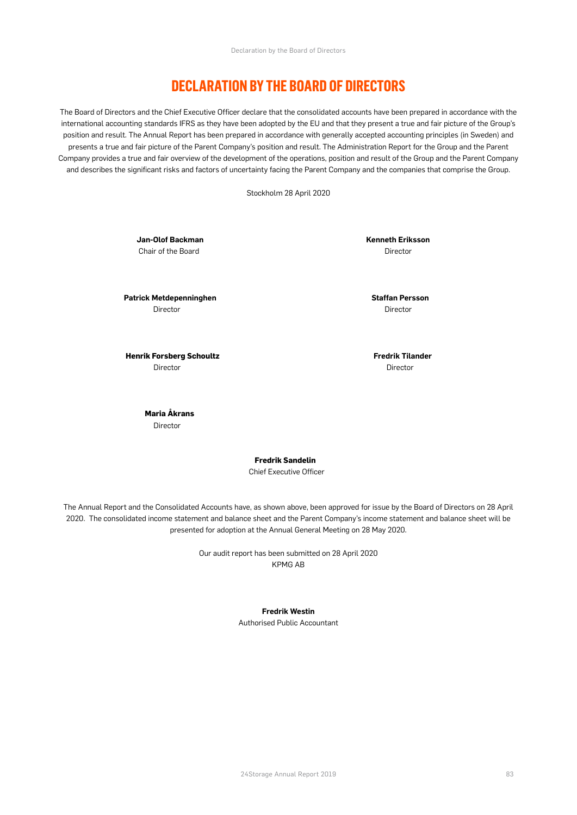### **DECLARATION BY THE BOARD OF DIRECTORS**

The Board of Directors and the Chief Executive Officer declare that the consolidated accounts have been prepared in accordance with the international accounting standards IFRS as they have been adopted by the EU and that they present a true and fair picture of the Group's position and result. The Annual Report has been prepared in accordance with generally accepted accounting principles (in Sweden) and presents a true and fair picture of the Parent Company's position and result. The Administration Report for the Group and the Parent Company provides a true and fair overview of the development of the operations, position and result of the Group and the Parent Company and describes the significant risks and factors of uncertainty facing the Parent Company and the companies that comprise the Group.

Stockholm 28 April 2020

Chair of the Board **Director** Chair of the Board Director

**Patrick Metdepenninghen** Staffan Persson *Director*  $\blacksquare$ 

**Jan-Olof Backman** Kenneth Eriksson

 **Henrik Forsberg Schoultz**<br>  **Fredrik Tilander** Director Director

> **Maria Åkrans Director**

> > **Fredrik Sandelin**

Chief Executive Officer

The Annual Report and the Consolidated Accounts have, as shown above, been approved for issue by the Board of Directors on 28 April 2020. The consolidated income statement and balance sheet and the Parent Company's income statement and balance sheet will be presented for adoption at the Annual General Meeting on 28 May 2020.

> Our audit report has been submitted on 28 April 2020 KPMG AB

#### **Fredrik Westin**

Authorised Public Accountant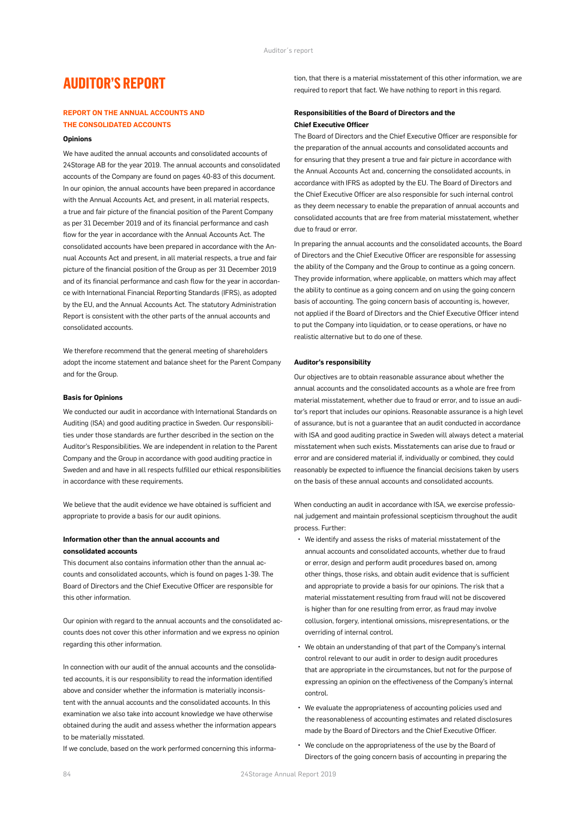### **AUDITOR'S REPORT**

#### **REPORT ON THE ANNUAL ACCOUNTS AND THE CONSOLIDATED ACCOUNTS**

#### **Opinions**

We have audited the annual accounts and consolidated accounts of 24Storage AB for the year 2019. The annual accounts and consolidated accounts of the Company are found on pages 40-83 of this document. In our opinion, the annual accounts have been prepared in accordance with the Annual Accounts Act, and present, in all material respects, a true and fair picture of the financial position of the Parent Company as per 31 December 2019 and of its financial performance and cash flow for the year in accordance with the Annual Accounts Act. The consolidated accounts have been prepared in accordance with the Annual Accounts Act and present, in all material respects, a true and fair picture of the financial position of the Group as per 31 December 2019 and of its financial performance and cash flow for the year in accordance with International Financial Reporting Standards (IFRS), as adopted by the EU, and the Annual Accounts Act. The statutory Administration Report is consistent with the other parts of the annual accounts and consolidated accounts.

We therefore recommend that the general meeting of shareholders adopt the income statement and balance sheet for the Parent Company and for the Group.

#### **Basis for Opinions**

We conducted our audit in accordance with International Standards on Auditing (ISA) and good auditing practice in Sweden. Our responsibilities under those standards are further described in the section on the Auditor's Responsibilities. We are independent in relation to the Parent Company and the Group in accordance with good auditing practice in Sweden and and have in all respects fulfilled our ethical responsibilities in accordance with these requirements.

We believe that the audit evidence we have obtained is sufficient and appropriate to provide a basis for our audit opinions.

#### **Information other than the annual accounts and consolidated accounts**

This document also contains information other than the annual accounts and consolidated accounts, which is found on pages 1-39. The Board of Directors and the Chief Executive Officer are responsible for this other information.

Our opinion with regard to the annual accounts and the consolidated accounts does not cover this other information and we express no opinion regarding this other information.

In connection with our audit of the annual accounts and the consolidated accounts, it is our responsibility to read the information identified above and consider whether the information is materially inconsistent with the annual accounts and the consolidated accounts. In this examination we also take into account knowledge we have otherwise obtained during the audit and assess whether the information appears to be materially misstated.

If we conclude, based on the work performed concerning this informa-

tion, that there is a material misstatement of this other information, we are required to report that fact. We have nothing to report in this regard.

#### **Responsibilities of the Board of Directors and the Chief Executive Officer**

The Board of Directors and the Chief Executive Officer are responsible for the preparation of the annual accounts and consolidated accounts and for ensuring that they present a true and fair picture in accordance with the Annual Accounts Act and, concerning the consolidated accounts, in accordance with IFRS as adopted by the EU. The Board of Directors and the Chief Executive Officer are also responsible for such internal control as they deem necessary to enable the preparation of annual accounts and consolidated accounts that are free from material misstatement, whether due to fraud or error.

In preparing the annual accounts and the consolidated accounts, the Board of Directors and the Chief Executive Officer are responsible for assessing the ability of the Company and the Group to continue as a going concern. They provide information, where applicable, on matters which may affect the ability to continue as a going concern and on using the going concern basis of accounting. The going concern basis of accounting is, however, not applied if the Board of Directors and the Chief Executive Officer intend to put the Company into liquidation, or to cease operations, or have no realistic alternative but to do one of these.

#### **Auditor's responsibility**

Our objectives are to obtain reasonable assurance about whether the annual accounts and the consolidated accounts as a whole are free from material misstatement, whether due to fraud or error, and to issue an auditor's report that includes our opinions. Reasonable assurance is a high level of assurance, but is not a guarantee that an audit conducted in accordance with ISA and good auditing practice in Sweden will always detect a material misstatement when such exists. Misstatements can arise due to fraud or error and are considered material if, individually or combined, they could reasonably be expected to influence the financial decisions taken by users on the basis of these annual accounts and consolidated accounts.

When conducting an audit in accordance with ISA, we exercise professional judgement and maintain professional scepticism throughout the audit process. Further:

- We identify and assess the risks of material misstatement of the annual accounts and consolidated accounts, whether due to fraud or error, design and perform audit procedures based on, among other things, those risks, and obtain audit evidence that is sufficient and appropriate to provide a basis for our opinions. The risk that a material misstatement resulting from fraud will not be discovered is higher than for one resulting from error, as fraud may involve collusion, forgery, intentional omissions, misrepresentations, or the overriding of internal control.
- We obtain an understanding of that part of the Company's internal control relevant to our audit in order to design audit procedures that are appropriate in the circumstances, but not for the purpose of expressing an opinion on the effectiveness of the Company's internal control.
- We evaluate the appropriateness of accounting policies used and the reasonableness of accounting estimates and related disclosures made by the Board of Directors and the Chief Executive Officer.
- We conclude on the appropriateness of the use by the Board of Directors of the going concern basis of accounting in preparing the